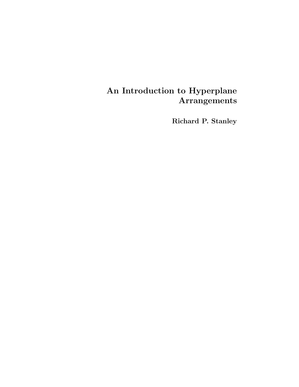# An Introduction to Hyperplane Arrangements

Richard P. Stanley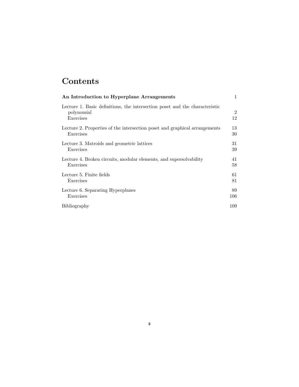# Contents

| An Introduction to Hyperplane Arrangements                                                             | $\mathbf{1}$         |
|--------------------------------------------------------------------------------------------------------|----------------------|
| Lecture 1. Basic definitions, the intersection poset and the characteristic<br>polynomial<br>Exercises | $\overline{2}$<br>12 |
| Lecture 2. Properties of the intersection poset and graphical arrangements                             | 13                   |
| Exercises                                                                                              | 30                   |
| Lecture 3. Matroids and geometric lattices                                                             | 31                   |
| Exercises                                                                                              | 39                   |
| Lecture 4. Broken circuits, modular elements, and supersolvability                                     | 41                   |
| Exercises                                                                                              | 58                   |
| Lecture 5. Finite fields                                                                               | 61                   |
| Exercises                                                                                              | 81                   |
| Lecture 6. Separating Hyperplanes                                                                      | 89                   |
| Exercises                                                                                              | 106                  |
| Bibliography                                                                                           | 109                  |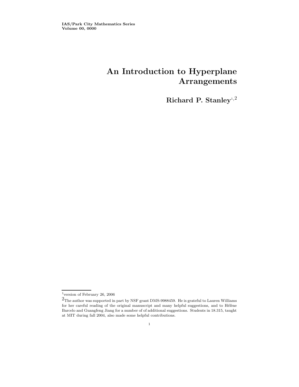## An Introduction to Hyperplane Arrangements

Richard P. Stanley<sup>1,2</sup>

<sup>1</sup>version of February 26, 2006

 $2$ The author was supported in part by NSF grant DMS-9988459. He is grateful to Lauren Williams for her careful reading of the original manuscript and many helpful suggestions, and to Hélène Barcelo and Guangfeng Jiang for a number of of additional suggestions. Students in 18.315, taught at MIT during fall 2004, also made some helpful contributions.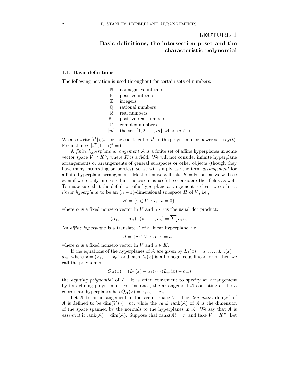### LECTURE 1

### Basic definitions, the intersection poset and the characteristic polynomial

#### 1.1. Basic definitions

The following notation is used throughout for certain sets of numbers:

- N nonnegative integers
- P positive integers
- Z integers
- Q rational numbers
- R real numbers
- $\mathbb{R}_+$  positive real numbers
- C complex numbers
- [m] the set  $\{1, 2, \ldots, m\}$  when  $m \in \mathbb{N}$

We also write  $[t^k] \chi(t)$  for the coefficient of  $t^k$  in the polynomial or power series  $\chi(t)$ . For instance,  $[t^2](1 + t)^4 = 6$ .

A finite hyperplane arrangement A is a finite set of affine hyperplanes in some vector space  $V \cong K^n$ , where K is a field. We will not consider infinite hyperplane arrangements or arrangements of general subspaces or other objects (though they have many interesting properties), so we will simply use the term *arrangement* for a finite hyperplane arrangement. Most often we will take  $K = \mathbb{R}$ , but as we will see even if we're only interested in this case it is useful to consider other fields as well. To make sure that the definition of a hyperplane arrangement is clear, we define a linear hyperplane to be an  $(n-1)$ -dimensional subspace H of V, i.e.,

$$
H = \{v \in V \,:\, \alpha \cdot v = 0\},\
$$

where  $\alpha$  is a fixed nonzero vector in V and  $\alpha \cdot v$  is the usual dot product:

$$
(\alpha_1,\ldots,\alpha_n)\cdot(v_1,\ldots,v_n)=\sum \alpha_iv_i.
$$

An *affine hyperplane* is a translate  $J$  of a linear hyperplane, i.e.,

$$
J = \{ v \in V \, : \, \alpha \cdot v = a \},
$$

where  $\alpha$  is a fixed nonzero vector in V and  $a \in K$ .

If the equations of the hyperplanes of A are given by  $L_1(x) = a_1, \ldots, L_m(x) =$  $a_m$ , where  $x = (x_1, \ldots, x_n)$  and each  $L_i(x)$  is a homogeneous linear form, then we call the polynomial

$$
Q_{\mathcal{A}}(x) = (L_1(x) - a_1) \cdots (L_m(x) - a_m)
$$

the defining polynomial of A. It is often convenient to specify an arrangement by its defining polynomial. For instance, the arrangement  $A$  consisting of the  $n$ coordinate hyperplanes has  $Q_{\mathcal{A}}(x) = x_1 x_2 \cdots x_n$ .

Let A be an arrangement in the vector space V. The dimension  $\dim(A)$  of A is defined to be dim(V) (= n), while the rank rank(A) of A is the dimension of the space spanned by the normals to the hyperplanes in  $A$ . We say that  $A$  is essential if rank $(A) = \dim(A)$ . Suppose that rank $(A) = r$ , and take  $V = K<sup>n</sup>$ . Let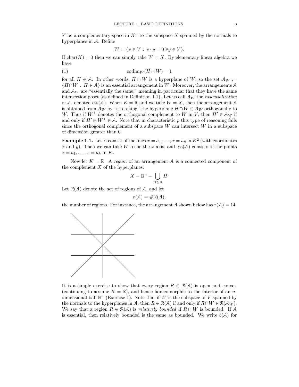Y be a complementary space in  $K^n$  to the subspace X spanned by the normals to hyperplanes in A. Define

$$
W = \{ v \in V : v \cdot y = 0 \,\forall y \in Y \}.
$$

If  $char(K) = 0$  then we can simply take  $W = X$ . By elementary linear algebra we have

$$
(1) \t\operatorname{codim}_W(H \cap W) = 1
$$

for all  $H \in \mathcal{A}$ . In other words,  $H \cap W$  is a hyperplane of W, so the set  $\mathcal{A}_W :=$  ${H \cap W : H \in \mathcal{A}}$  is an essential arrangement in W. Moreover, the arrangements A and  $A_W$  are "essentially the same," meaning in particular that they have the same intersection poset (as defined in Definition 1.1). Let us call  $\mathcal{A}_W$  the *essentialization* of A, denoted ess(A). When  $K = \mathbb{R}$  and we take  $W = X$ , then the arrangement A is obtained from  $\mathcal{A}_W$  by "stretching" the hyperplane  $H \cap W \in \mathcal{A}_W$  orthogonally to W. Thus if  $W^{\perp}$  denotes the orthogonal complement to W in V, then  $H' \in \mathcal{A}_W$  if and only if  $H' \oplus W^{\perp} \in \mathcal{A}$ . Note that in characteristic p this type of reasoning fails since the orthogonal complement of a subspace  $W$  can intersect  $W$  in a subspace of dimension greater than 0.

**Example 1.1.** Let A consist of the lines  $x = a_1, \ldots, x = a_k$  in  $K^2$  (with coordinates x and y). Then we can take W to be the x-axis, and  $ess(A)$  consists of the points  $x = a_1, \ldots, x = a_k$  in K.

Now let  $K = \mathbb{R}$ . A region of an arrangement A is a connected component of the complement  $X$  of the hyperplanes:

$$
X = \mathbb{R}^n - \bigcup_{H \in \mathcal{A}} H.
$$

Let  $\mathcal{R}(\mathcal{A})$  denote the set of regions of  $\mathcal{A}$ , and let

$$
r(\mathcal{A}) = \#\mathcal{R}(\mathcal{A}),
$$

the number of regions. For instance, the arrangement A shown below has  $r(\mathcal{A}) = 14$ .



It is a simple exercise to show that every region  $R \in \mathcal{R}(\mathcal{A})$  is open and convex (continuing to assume  $K = \mathbb{R}$ ), and hence homeomorphic to the interior of an ndimensional ball  $\mathbb{B}^n$  (Exercise 1). Note that if W is the subspace of V spanned by the normals to the hyperplanes in A, then  $R \in \mathcal{R}(\mathcal{A})$  if and only if  $R \cap W \in \mathcal{R}(\mathcal{A}_W)$ . We say that a region  $R \in \mathcal{R}(\mathcal{A})$  is relatively bounded if  $R \cap W$  is bounded. If A is essential, then relatively bounded is the same as bounded. We write  $b(A)$  for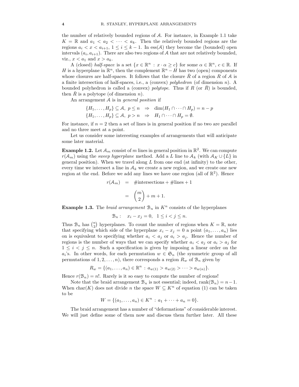the number of relatively bounded regions of A. For instance, in Example 1.1 take  $K = \mathbb{R}$  and  $a_1 < a_2 < \cdots < a_k$ . Then the relatively bounded regions are the regions  $a_i < x < a_{i+1}$ ,  $1 \leq i \leq k-1$ . In ess(A) they become the (bounded) open intervals  $(a_i, a_{i+1})$ . There are also two regions of A that are not relatively bounded, viz.,  $x < a_1$  and  $x > a_k$ .

A (closed) half-space is a set  $\{x \in \mathbb{R}^n : x \cdot \alpha \ge c\}$  for some  $\alpha \in \mathbb{R}^n$ ,  $c \in \mathbb{R}$ . If H is a hyperplane in  $\mathbb{R}^n$ , then the complement  $\mathbb{R}^n - H$  has two (open) components whose closures are half-spaces. It follows that the closure R of a region R of A is a finite intersection of half-spaces, i.e., a (convex) polyhedron (of dimension n). A bounded polyhedron is called a (convex) polytope. Thus if R (or  $\overline{R}$ ) is bounded, then  $\overline{R}$  is a polytope (of dimension n).

An arrangement A is in *general position* if

$$
\{H_1, \ldots, H_p\} \subseteq \mathcal{A}, \ p \le n \Rightarrow \dim(H_1 \cap \cdots \cap H_p) = n - p
$$
  

$$
\{H_1, \ldots, H_p\} \subseteq \mathcal{A}, \ p > n \Rightarrow H_1 \cap \cdots \cap H_p = \emptyset.
$$

For instance, if  $n = 2$  then a set of lines is in general position if no two are parallel and no three meet at a point.

Let us consider some interesting examples of arrangements that will anticipate some later material.

**Example 1.2.** Let  $\mathcal{A}_m$  consist of m lines in general position in  $\mathbb{R}^2$ . We can compute  $r(\mathcal{A}_m)$  using the sweep hyperplane method. Add a L line to  $\mathcal{A}_k$  (with  $\mathcal{A}_K \cup \{L\}$  in general position). When we travel along  $L$  from one end (at infinity) to the other, every time we intersect a line in  $A_k$  we create a new region, and we create one new region at the end. Before we add any lines we have one region (all of  $\mathbb{R}^2$ ). Hence

$$
r(\mathcal{A}_m) = \# \text{intersections} + \# \text{lines} + 1
$$

$$
= {m \choose 2} + m + 1.
$$

**Example 1.3.** The *braid arrangement*  $\mathcal{B}_n$  in  $K^n$  consists of the hyperplanes

$$
\mathcal{B}_n: \quad x_i - x_j = 0, \quad 1 \le i < j \le n.
$$

Thus  $\mathcal{B}_n$  has  $\binom{n}{2}$  hyperplanes. To count the number of regions when  $K = \mathbb{R}$ , note that specifying which side of the hyperplane  $x_i - x_j = 0$  a point  $(a_1, \ldots, a_n)$  lies on is equivalent to specifying whether  $a_i < a_j$  or  $a_i > a_j$ . Hence the number of regions is the number of ways that we can specify whether  $a_i < a_j$  or  $a_i > a_j$  for  $1 \leq i \leq j \leq n$ . Such a specification is given by imposing a linear order on the  $a_i$ 's. In other words, for each permutation  $w \in \mathfrak{S}_n$  (the symmetric group of all permutations of  $1, 2, ..., n$ , there corresponds a region  $R_w$  of  $B_n$  given by

$$
R_w = \{(a_1, \ldots, a_n) \in \mathbb{R}^n : a_{w(1)} > a_{w(2)} > \cdots > a_{w(n)}\}.
$$

Hence  $r(\mathcal{B}_n) = n!$ . Rarely is it so easy to compute the number of regions!

Note that the braid arrangement  $\mathcal{B}_n$  is not essential; indeed, rank $(\mathcal{B}_n) = n-1$ . When char(K) does not divide n the space  $W \subseteq K^n$  of equation (1) can be taken to be

$$
W = \{(a_1, \ldots, a_n) \in K^n : a_1 + \cdots + a_n = 0\}.
$$

The braid arrangement has a number of "deformations" of considerable interest. We will just define some of them now and discuss them further later. All these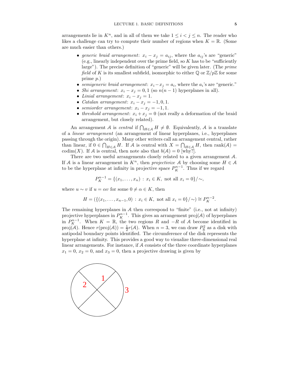arrangements lie in  $K^n$ , and in all of them we take  $1 \leq i \leq j \leq n$ . The reader who likes a challenge can try to compute their number of regions when  $K = \mathbb{R}$ . (Some are much easier than others.)

- generic braid arrangement:  $x_i x_j = a_{ij}$ , where the  $a_{ij}$ 's are "generic"  $(e.g., linearly independent over the prime field, so K has to be "sufficiently"$ large"). The precise definition of "generic" will be given later. (The prime field of K is its smallest subfield, isomorphic to either  $\mathbb{Q}$  or  $\mathbb{Z}/p\mathbb{Z}$  for some prime p.)
- semigeneric braid arrangement:  $x_i x_j = a_i$ , where the  $a_i$ 's are "generic."
- Shi arrangement:  $x_i x_j = 0, 1$  (so  $n(n-1)$  hyperplanes in all).
- Linial arrangement:  $x_i x_j = 1$ .
- Catalan arrangement:  $x_i x_j = -1, 0, 1$ .
- semiorder arrangement:  $x_i x_j = -1, 1$ .
- threshold arrangement:  $x_i + x_j = 0$  (not really a deformation of the braid arrangement, but closely related).

An arrangement A is *central* if  $\bigcap_{H \in \mathcal{A}} H \neq \emptyset$ . Equivalently, A is a translate of a linear arrangement (an arrangement of linear hyperplanes, i.e., hyperplanes passing through the origin). Many other writers call an arrangement central, rather than linear, if  $0 \in \bigcap_{H \in \mathcal{A}} H$ . If A is central with  $X = \bigcap_{H \in \mathcal{A}} H$ , then rank $(\mathcal{A}) =$ codim(X). If A is central, then note also that  $b(A) = 0$  [why?].

There are two useful arrangements closely related to a given arrangement A. If A is a linear arrangement in  $K<sup>n</sup>$ , then projectivize A by choosing some  $H \in \mathcal{A}$ to be the hyperplane at infinity in projective space  $P_K^{n-1}$ . Thus if we regard

$$
P_K^{n-1} = \{(x_1, \ldots, x_n) : x_i \in K, \text{ not all } x_i = 0\}/\sim,
$$

where  $u \sim v$  if  $u = \alpha v$  for some  $0 \neq \alpha \in K$ , then

$$
H = (\{(x_1, \ldots, x_{n-1}, 0) : x_i \in K, \text{ not all } x_i = 0\}/\sim) \cong P_K^{n-2}.
$$

The remaining hyperplanes in  $A$  then correspond to "finite" (i.e., not at infinity) projective hyperplanes in  $P_K^{n-1}$ . This gives an arrangement proj(A) of hyperplanes in  $P_K^{n-1}$ . When  $K = \mathbb{R}$ , the two regions R and  $-R$  of A become identified in proj(A). Hence  $r(\text{proj}(A)) = \frac{1}{2}r(A)$ . When  $n = 3$ , we can draw  $P_{\mathbb{R}}^2$  as a disk with antipodal boundary points identified. The circumference of the disk represents the hyperplane at infinity. This provides a good way to visualize three-dimensional real linear arrangements. For instance, if A consists of the three coordinate hyperplanes  $x_1 = 0, x_2 = 0$ , and  $x_3 = 0$ , then a projective drawing is given by

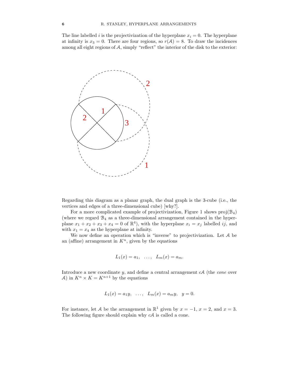The line labelled i is the projectivization of the hyperplane  $x_i = 0$ . The hyperplane at infinity is  $x_3 = 0$ . There are four regions, so  $r(A) = 8$ . To draw the incidences among all eight regions of A, simply "reflect" the interior of the disk to the exterior:



Regarding this diagram as a planar graph, the dual graph is the 3-cube (i.e., the vertices and edges of a three-dimensional cube) [why?].

For a more complicated example of projectivization, Figure 1 shows  $proj(\mathcal{B}_4)$ (where we regard  $\mathcal{B}_4$  as a three-dimensional arrangement contained in the hyperplane  $x_1 + x_2 + x_3 + x_4 = 0$  of  $\mathbb{R}^4$ , with the hyperplane  $x_i = x_j$  labelled ij, and with  $x_1 = x_4$  as the hyperplane at infinity.

We now define an operation which is "inverse" to projectivization. Let A be an (affine) arrangement in  $K<sup>n</sup>$ , given by the equations

$$
L_1(x) = a_1, \ldots, L_m(x) = a_m.
$$

Introduce a new coordinate  $y$ , and define a central arrangement  $cA$  (the *cone* over A) in  $K^n \times K = K^{n+1}$  by the equations

$$
L_1(x) = a_1y, \ldots, L_m(x) = a_my, y = 0.
$$

For instance, let A be the arrangement in  $\mathbb{R}^1$  given by  $x = -1$ ,  $x = 2$ , and  $x = 3$ . The following figure should explain why  $cA$  is called a cone.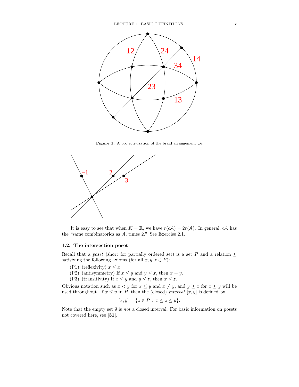

**Figure 1.** A projectivization of the braid arrangement  $B_4$ 



It is easy to see that when  $K = \mathbb{R}$ , we have  $r(cA) = 2r(A)$ . In general, cA has the "same combinatorics as A, times 2." See Exercise 2.1.

#### 1.2. The intersection poset

Recall that a *poset* (short for partially ordered set) is a set P and a relation  $\leq$ satisfying the following axioms (for all  $x, y, z \in P$ ):

- (P1) (reflexivity)  $x \leq x$
- (P2) (antisymmetry) If  $x \leq y$  and  $y \leq x$ , then  $x = y$ .
- (P3) (transitivity) If  $x \leq y$  and  $y \leq z$ , then  $x \leq z$ .

Obvious notation such as  $x < y$  for  $x \le y$  and  $x \ne y$ , and  $y \ge x$  for  $x \le y$  will be used throughout. If  $x \leq y$  in P, then the (closed) *interval* [x, y] is defined by

$$
[x, y] = \{ z \in P : x \le z \le y \}.
$$

Note that the empty set  $\emptyset$  is *not* a closed interval. For basic information on posets not covered here, see [31].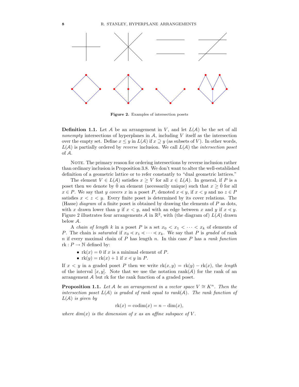

Figure 2. Examples of intersection posets

**Definition 1.1.** Let A be an arrangement in V, and let  $L(A)$  be the set of all nonempty intersections of hyperplanes in  $A$ , including  $V$  itself as the intersection over the empty set. Define  $x \leq y$  in  $L(\mathcal{A})$  if  $x \supseteq y$  (as subsets of V). In other words,  $L(\mathcal{A})$  is partially ordered by *reverse* inclusion. We call  $L(\mathcal{A})$  the *intersection poset* of A.

NOTE. The primary reason for ordering intersections by reverse inclusion rather than ordinary inclusion is Proposition 3.8. We don't want to alter the well-established definition of a geometric lattice or to refer constantly to "dual geometric lattices."

The element  $V \in L(\mathcal{A})$  satisfies  $x \geq V$  for all  $x \in L(\mathcal{A})$ . In general, if P is a poset then we denote by  $\hat{0}$  an element (necessarily unique) such that  $x \geq \hat{0}$  for all  $x \in P$ . We say that y covers x in a poset P, denoted  $x \leq y$ , if  $x \leq y$  and no  $z \in P$ satisfies  $x < z < y$ . Every finite poset is determined by its cover relations. The (Hasse) *diagram* of a finite poset is obtained by drawing the elements of  $P$  as dots, with x drawn lower than y if  $x < y$ , and with an edge between x and y if  $x < y$ . Figure 2 illustrates four arrangements A in  $\mathbb{R}^2$ , with (the diagram of)  $L(\mathcal{A})$  drawn below A.

A *chain of length* k in a poset P is a set  $x_0 < x_1 < \cdots < x_k$  of elements of P. The chain is saturated if  $x_0 \ll x_1 \ll \cdots \ll x_k$ . We say that P is graded of rank  $n$  if every maximal chain of  $P$  has length  $n$ . In this case  $P$  has a rank function rk :  $P \to \mathbb{N}$  defined by:

- $rk(x) = 0$  if x is a minimal element of P.
- $rk(y) = rk(x) + 1$  if  $x \le y$  in P.

If  $x < y$  in a graded poset P then we write  $rk(x, y) = rk(y) - rk(x)$ , the length of the interval  $[x, y]$ . Note that we use the notation rank(A) for the rank of an arrangement A but rk for the rank function of a graded poset.

**Proposition 1.1.** Let A be an arrangement in a vector space  $V \cong K^n$ . Then the intersection poset  $L(\mathcal{A})$  is graded of rank equal to rank $(\mathcal{A})$ . The rank function of  $L(A)$  is given by

$$
rk(x) = codim(x) = n - dim(x),
$$

where  $dim(x)$  is the dimension of x as an affine subspace of V.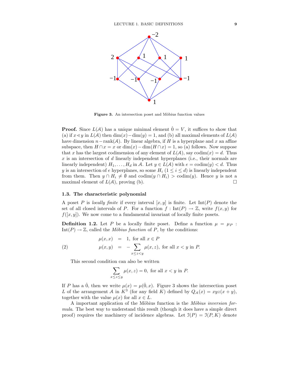

Figure 3. An intersection poset and Möbius function values

**Proof.** Since  $L(\mathcal{A})$  has a unique minimal element  $\hat{0} = V$ , it suffices to show that (a) if  $x \leq y$  in  $L(\mathcal{A})$  then  $\dim(x) - \dim(y) = 1$ , and (b) all maximal elements of  $L(\mathcal{A})$ have dimension  $n-\text{rank}(\mathcal{A})$ . By linear algebra, if H is a hyperplane and x an affine subspace, then  $H \cap x = x$  or  $\dim(x) - \dim(H \cap x) = 1$ , so (a) follows. Now suppose that x has the largest codimension of any element of  $L(\mathcal{A})$ , say codim $(x) = d$ . Thus  $x$  is an intersection of  $d$  linearly independent hyperplanes (i.e., their normals are linearly independent)  $H_1, \ldots, H_d$  in A. Let  $y \in L(\mathcal{A})$  with  $e = \text{codim}(y) < d$ . Thus y is an intersection of e hyperplanes, so some  $H_i$  ( $1 \leq i \leq d$ ) is linearly independent from them. Then  $y \cap H_i \neq \emptyset$  and  $\operatorname{codim}(y \cap H_i) > \operatorname{codim}(y)$ . Hence y is not a maximal element of  $L(A)$ , proving (b). maximal element of  $L(\mathcal{A})$ , proving (b).

#### 1.3. The characteristic polynomial

A poset P is locally finite if every interval  $[x, y]$  is finite. Let  $Int(P)$  denote the set of all closed intervals of P. For a function  $f: Int(P) \to \mathbb{Z}$ , write  $f(x, y)$  for  $f([x, y])$ . We now come to a fundamental invariant of locally finite posets.

**Definition 1.2.** Let P be a locally finite poset. Define a function  $\mu = \mu_P$ :  $Int(P) \to \mathbb{Z}$ , called the *Möbius function* of P, by the conditions:

(2) 
$$
\mu(x, x) = 1, \text{ for all } x \in P
$$

$$
\mu(x, y) = -\sum_{x \le z < y} \mu(x, z), \text{ for all } x < y \text{ in } P.
$$

This second condition can also be written

$$
\sum_{x \le z \le y} \mu(x, z) = 0
$$
, for all  $x < y$  in  $P$ .

If P has a  $\hat{0}$ , then we write  $\mu(x) = \mu(\hat{0}, x)$ . Figure 3 shows the intersection poset L of the arrangement A in  $K^3$  (for any field K) defined by  $Q_{\mathcal{A}}(x) = xyz(x+y)$ , together with the value  $\mu(x)$  for all  $x \in L$ .

A important application of the Möbius function is the Möbius inversion formula. The best way to understand this result (though it does have a simple direct proof) requires the machinery of incidence algebras. Let  $\mathfrak{I}(P) = \mathfrak{I}(P, K)$  denote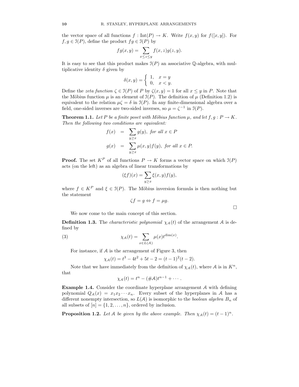the vector space of all functions  $f : Int(P) \to K$ . Write  $f(x, y)$  for  $f([x, y])$ . For  $f, g \in \mathfrak{I}(P)$ , define the product  $fg \in \mathfrak{I}(P)$  by

$$
fg(x,y) = \sum_{x \le z \le y} f(x,z)g(z,y).
$$

It is easy to see that this product makes  $\mathcal{I}(P)$  an associative Q-algebra, with multiplicative identity  $\delta$  given by

$$
\delta(x,y) = \begin{cases} 1, & x=y \\ 0, & x
$$

Define the zeta function  $\zeta \in \mathcal{I}(P)$  of P by  $\zeta(x, y) = 1$  for all  $x \leq y$  in P. Note that the Möbius function  $\mu$  is an element of  $\mathfrak{I}(P)$ . The definition of  $\mu$  (Definition 1.2) is equivalent to the relation  $\mu \zeta = \delta$  in  $\mathfrak{I}(P)$ . In any finite-dimensional algebra over a field, one-sided inverses are two-sided inverses, so  $\mu = \zeta^{-1}$  in  $\mathfrak{I}(P)$ .

**Theorem 1.1.** Let P be a finite poset with Möbius function  $\mu$ , and let  $f, g : P \to K$ . Then the following two conditions are equivalent:

$$
f(x) = \sum_{y \ge x} g(y), \text{ for all } x \in P
$$
  

$$
g(x) = \sum_{y \ge x} \mu(x, y) f(y), \text{ for all } x \in P.
$$

**Proof.** The set  $K^P$  of all functions  $P \to K$  forms a vector space on which  $\mathfrak{I}(P)$ acts (on the left) as an algebra of linear transformations by

$$
(\xi f)(x) = \sum_{y \ge x} \xi(x, y) f(y),
$$

where  $f \in K^P$  and  $\xi \in \mathcal{I}(P)$ . The Möbius inversion formula is then nothing but the statement

$$
\zeta f = g \Leftrightarrow f = \mu g.
$$

We now come to the main concept of this section.

**Definition 1.3.** The *characteristic polynomial*  $\chi_A(t)$  of the arrangement A is defined by

(3) 
$$
\chi_{\mathcal{A}}(t) = \sum_{x \in L(\mathcal{A})} \mu(x) t^{\dim(x)}.
$$

For instance, if A is the arrangement of Figure 3, then

$$
\chi_{\mathcal{A}}(t) = t^3 - 4t^2 + 5t - 2 = (t - 1)^2(t - 2).
$$

Note that we have immediately from the definition of  $\chi_{\mathcal{A}}(t)$ , where A is in  $K^n$ , that

$$
\chi_{\mathcal{A}}(t)=t^{n}-(\#\mathcal{A})t^{n-1}+\cdots.
$$

Example 1.4. Consider the coordinate hyperplane arrangement A with defining polynomial  $Q_A(x) = x_1x_2 \cdots x_n$ . Every subset of the hyperplanes in A has a different nonempty intersection, so  $L(\mathcal{A})$  is isomorphic to the *boolean algebra*  $B_n$  of all subsets of  $[n] = \{1, 2, \ldots, n\}$ , ordered by inclusion.

**Proposition 1.2.** Let A be given by the above example. Then  $\chi_A(t) = (t-1)^n$ .

$$
\Box
$$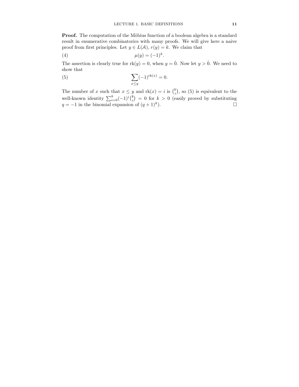**Proof.** The computation of the Möbius function of a boolean algebra is a standard result in enumerative combinatorics with many proofs. We will give here a naive proof from first principles. Let  $y \in L(\mathcal{A}), r(y) = k$ . We claim that

$$
\mu(y) = (-1)^k.
$$

The assertion is clearly true for  $rk(y) = 0$ , when  $y = \hat{0}$ . Now let  $y > \hat{0}$ . We need to show that

(5) 
$$
\sum_{x \le y} (-1)^{\text{rk}(x)} = 0.
$$

The number of x such that  $x \leq y$  and  $rk(x) = i$  is  $\binom{k}{i}$ , so (5) is equivalent to the well-known identity  $\sum_{i=0}^{k}(-1)^{i}\binom{k}{i} = 0$  for  $k > 0$  (easily proved by substituting  $q = -1$  in the binomial expansion of  $(q + 1)^k$ ).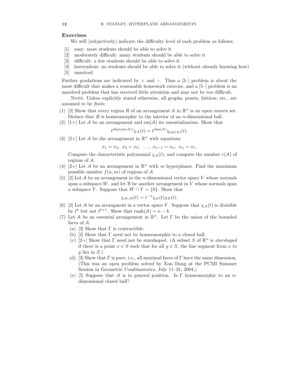#### Exercises

We will (subjectively) indicate the difficulty level of each problem as follows:

- [1] easy: most students should be able to solve it
- [2] moderately difficult: many students should be able to solve it
- [3] difficult: a few students should be able to solve it
- [4] horrendous: no students should be able to solve it (without already knowing how)
- [5] unsolved.

Further gradations are indicated by + and −. Thus a [3–] problem is about the most difficult that makes a reasonable homework exercise, and a [5–] problem is an unsolved problem that has received little attention and may not be too difficult.

NOTE. Unless explicitly stated otherwise, all graphs, posets, lattices, etc., are assumed to be finite.

- (1) [2] Show that every region R of an arrangement A in  $\mathbb{R}^n$  is an open convex set. Deduce that  $R$  is homeomorphic to the interior of an *n*-dimensional ball.
- (2)  $[1+]$  Let A be an arrangement and ess(A) its essentialization. Show that

$$
t^{\dim(\mathrm{ess}(\mathcal{A}))}\chi_{\mathcal{A}}(t) = t^{\dim(\mathcal{A})}\chi_{\mathrm{ess}(\mathcal{A})}(t).
$$

(3) [2+] Let A be the arrangement in  $\mathbb{R}^n$  with equations

 $x_1 = x_2, x_2 = x_3, \ldots, x_{n-1} = x_n, x_n = x_1.$ 

Compute the characteristic polynomial  $\chi_{\mathcal{A}}(t)$ , and compute the number  $r(\mathcal{A})$  of regions of A.

- (4) [2+] Let A be an arrangement in  $\mathbb{R}^n$  with m hyperplanes. Find the maximum possible number  $f(n, m)$  of regions of A.
- (5) [2] Let A be an arrangement in the *n*-dimensional vector space V whose normals span a subspace  $W$ , and let  $B$  be another arrangement in  $V$  whose normals span a subspace Y. Suppose that  $W \cap Y = \{0\}$ . Show that

$$
\chi_{\mathcal{A}\cup\mathcal{B}}(t) = t^{-n}\chi_{\mathcal{A}}(t)\chi_{\mathcal{B}}(t).
$$

- (6) [2] Let A be an arrangment in a vector space V. Suppose that  $\chi_{\mathcal{A}}(t)$  is divisible by  $t^k$  but not  $t^{k+1}$ . Show that  $\text{rank}(\mathcal{A}) = n - k$ .
- (7) Let A be an essential arrangement in  $\mathbb{R}^n$ . Let  $\Gamma$  be the union of the bounded faces of A.
	- (a) [3] Show that  $\Gamma$  is contractible.
	- (b) [2] Show that Γ need not be homeomorphic to a closed ball.
	- (c) [2+] Show that  $\Gamma$  need not be starshaped. (A subset S of  $\mathbb{R}^n$  is *starshaped* if there is a point  $x \in S$  such that for all  $y \in S$ , the line segment from x to  $y$  lies in  $S$ .)
	- (d) [3] Show that  $\Gamma$  is pure, i.e., all maximal faces of  $\Gamma$  have the same dimension. (This was an open problem solved by Xun Dong at the PCMI Summer Session in Geometric Combinatorics, July 11–31, 2004.)
	- (e) [5] Suppose that A is in general position. Is  $\Gamma$  homeomorphic to an ndimensional closed ball?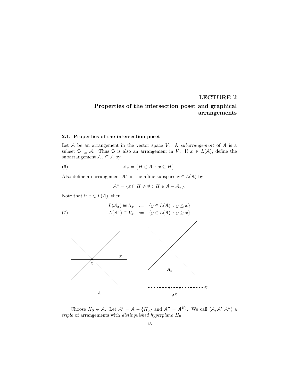## LECTURE 2 Properties of the intersection poset and graphical arrangements

#### 2.1. Properties of the intersection poset

Let  $A$  be an arrangement in the vector space  $V$ . A subarrangement of  $A$  is a subset  $\mathcal{B} \subseteq \mathcal{A}$ . Thus  $\mathcal{B}$  is also an arrangement in V. If  $x \in L(\mathcal{A})$ , define the subarrangement  $\mathcal{A}_x \subseteq \mathcal{A}$  by

(6) 
$$
\mathcal{A}_x = \{H \in \mathcal{A} : x \subseteq H\}.
$$

Also define an arrangement  $A^x$  in the affine subspace  $x \in L(A)$  by

$$
\mathcal{A}^x = \{x \cap H \neq \emptyset : H \in \mathcal{A} - \mathcal{A}_x\}.
$$

Note that if  $x \in L(\mathcal{A})$ , then

(7) 
$$
L(\mathcal{A}_x) \cong \Lambda_x := \{ y \in L(\mathcal{A}) : y \leq x \}
$$

$$
L(\mathcal{A}^x) \cong V_x := \{ y \in L(\mathcal{A}) : y \geq x \}
$$



Choose  $H_0 \in \mathcal{A}$ . Let  $\mathcal{A}' = \mathcal{A} - \{H_0\}$  and  $\mathcal{A}'' = \mathcal{A}^{H_0}$ . We call  $(\mathcal{A}, \mathcal{A}', \mathcal{A}'')$  a triple of arrangements with *distinguished hyperplane*  $H_0$ .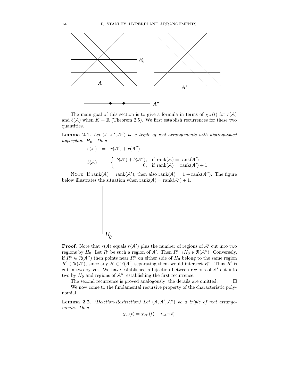

The main goal of this section is to give a formula in terms of  $\chi_{\mathcal{A}}(t)$  for  $r(\mathcal{A})$ and  $b(A)$  when  $K = \mathbb{R}$  (Theorem 2.5). We first establish recurrences for these two quantities.

**Lemma 2.1.** Let  $(A, A', A'')$  be a triple of real arrangements with distinguished hyperplane  $H_0$ . Then

$$
r(\mathcal{A}) = r(\mathcal{A}') + r(\mathcal{A}'')
$$
  
\n
$$
b(\mathcal{A}) = \begin{cases} b(\mathcal{A}') + b(\mathcal{A}''), & \text{if } \operatorname{rank}(\mathcal{A}) = \operatorname{rank}(\mathcal{A}') \\ 0, & \text{if } \operatorname{rank}(\mathcal{A}) = \operatorname{rank}(\mathcal{A}') + 1. \end{cases}
$$

NOTE. If  $rank(A) = rank(A')$ , then also  $rank(A) = 1 + rank(A'')$ . The figure below illustrates the situation when  $rank(A) = rank(A') + 1$ .



**Proof.** Note that  $r(A)$  equals  $r(A')$  plus the number of regions of A' cut into two regions by  $H_0$ . Let R' be such a region of A'. Then  $R' \cap H_0 \in \mathcal{R}(\mathcal{A}'')$ . Conversely, if  $R'' \in \mathcal{R}(\mathcal{A}'')$  then points near  $R''$  on either side of  $H_0$  belong to the same region  $R' \in \mathcal{R}(\mathcal{A}')$ , since any  $H \in \mathcal{R}(\mathcal{A}')$  separating them would intersect  $R''$ . Thus  $R'$  is cut in two by  $H_0$ . We have established a bijection between regions of  $A'$  cut into two by  $H_0$  and regions of  $A''$ , establishing the first recurrence.

The second recurrence is proved analogously; the details are omitted.  $\Box$ 

We now come to the fundamental recursive property of the characteristic polynomial.

**Lemma 2.2.** (Deletion-Restriction) Let  $(A, A', A'')$  be a triple of real arrangements. Then

$$
\chi_{\mathcal{A}}(t) = \chi_{\mathcal{A}'}(t) - \chi_{\mathcal{A}''}(t).
$$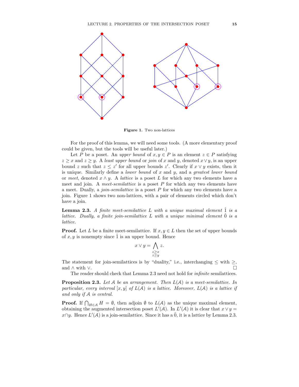

Figure 1. Two non-lattices

For the proof of this lemma, we will need some tools. (A more elementary proof could be given, but the tools will be useful later.)

Let P be a poset. An upper bound of  $x, y \in P$  is an element  $z \in P$  satisfying  $z \geq x$  and  $z \geq y$ . A least upper bound or join of x and y, denoted  $x \vee y$ , is an upper bound z such that  $z \leq z'$  for all upper bounds z'. Clearly if  $x \vee y$  exists, then it is unique. Similarly define a *lower bound* of  $x$  and  $y$ , and a *greatest lower bound* or meet, denoted  $x \wedge y$ . A *lattice* is a poset L for which any two elements have a meet and join. A meet-semilattice is a poset  $P$  for which any two elements have a meet. Dually, a *join-semilattice* is a poset  $P$  for which any two elements have a join. Figure 1 shows two non-lattices, with a pair of elements circled which don't have a join.

**Lemma 2.3.** A finite meet-semilattice L with a unique maximal element  $\hat{1}$  is a lattice. Dually, a finite join-semilattice  $L$  with a unique minimal element  $\hat{0}$  is a lattice.

**Proof.** Let L be a finite meet-semilattice. If  $x, y \in L$  then the set of upper bounds of  $x, y$  is nonempty since  $\hat{1}$  is an upper bound. Hence

$$
x \vee y = \bigwedge_{\substack{z \ge x \\ z \ge y}} z.
$$

The statement for join-semilattices is by "duality," i.e., interchanging  $\leq$  with  $\geq$ , and  $\wedge$  with  $\vee$ . and  $\wedge$  with ∨.  $\Box$ 

The reader should check that Lemma 2.3 need not hold for *infinite* semilattices.

**Proposition 2.3.** Let A be an arrangement. Then  $L(A)$  is a meet-semilattice. In particular, every interval  $[x, y]$  of  $L(\mathcal{A})$  is a lattice. Moreover,  $L(\mathcal{A})$  is a lattice if and only if A is central.

**Proof.** If  $\bigcap_{H \in \mathcal{A}} H = \emptyset$ , then adjoin  $\emptyset$  to  $L(\mathcal{A})$  as the unique maximal element, obtaining the augmented intersection poset  $L'(\mathcal{A})$ . In  $L'(\mathcal{A})$  it is clear that  $x \vee y =$ x∩y. Hence  $L'(\mathcal{A})$  is a join-semilattice. Since it has a  $\hat{0}$ , it is a lattice by Lemma 2.3.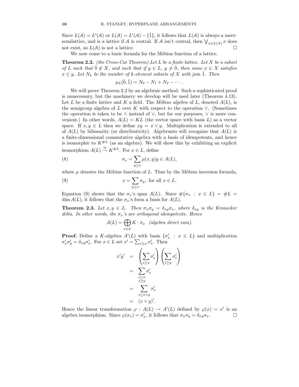Since  $L(\mathcal{A}) = L'(\mathcal{A})$  or  $L(\mathcal{A}) = L'(\mathcal{A}) - {\hat{1}}$ , it follows that  $L(\mathcal{A})$  is always a meetsemilattice, and is a lattice if A is central. If A isn't central, then  $\bigvee_{x \in L(\mathcal{A})} x$  does not exist, so  $L(\mathcal{A})$  is not a lattice.

We now come to a basic formula for the Möbius function of a lattice.

**Theorem 2.2.** (the Cross-Cut Theorem) Let L be a finite lattice. Let X be a subset of L such that  $0 \notin X$ , and such that if  $y \in L$ ,  $y \neq 0$ , then some  $x \in X$  satisfies  $x \leq y$ . Let  $N_k$  be the number of k-element subsets of X with join  $\hat{1}$ . Then

$$
\mu_L(\hat{0}, \hat{1}) = N_0 - N_1 + N_2 - \cdots.
$$

We will prove Theorem 2.2 by an algebraic method. Such a sophisticated proof is unnecessary, but the machinery we develop will be used later (Theorem 4.13). Let L be a finite lattice and K a field. The Möbius algebra of L, denoted  $A(L)$ , is the semigroup algebra of L over K with respect to the operation  $\vee$ . (Sometimes the operation is taken to be ∧ instead of ∨, but for our purposes, ∨ is more convenient.) In other words,  $A(L) = KL$  (the vector space with basis L) as a vector space. If  $x, y \in L$  then we define  $xy = x \vee y$ . Multiplication is extended to all of  $A(L)$  by bilinearity (or distributivity). Algebraists will recognize that  $A(L)$  is a finite-dimensional commutative algebra with a basis of idempotents, and hence is isomorphic to  $K^{\#L}$  (as an algebra). We will show this by exhibiting an explicit isomorphism  $A(L) \stackrel{\cong}{\to} K^{\#L}$ . For  $x \in L$ , define

(8) 
$$
\sigma_x = \sum_{y \ge x} \mu(x, y) y \in A(L),
$$

where  $\mu$  denotes the Möbius function of L. Thus by the Möbius inversion formula,

(9) 
$$
x = \sum_{y \ge x} \sigma_y, \text{ for all } x \in L.
$$

Equation (9) shows that the  $\sigma_x$ 's span  $A(L)$ . Since  $\#\{\sigma_x : x \in L\} = \#L =$ dim  $A(L)$ , it follows that the  $\sigma_x$ 's form a basis for  $A(L)$ .

**Theorem 2.3.** Let  $x, y \in L$ . Then  $\sigma_x \sigma_y = \delta_{xy} \sigma_x$ , where  $\delta_{xy}$  is the Kronecker delta. In other words, the  $\sigma_x$ 's are orthogonal idempotents. Hence

$$
A(L) = \bigoplus_{x \in L} K \cdot \sigma_x \quad (algebra \ direct \ sum).
$$

**Proof.** Define a K-algebra  $A'(L)$  with basis  $\{\sigma'_x : x \in L\}$  and multiplication  $\sigma'_x \sigma'_y = \delta_{xy} \sigma'_x$ . For  $x \in L$  set  $x' = \sum_{s \geq x} \sigma'_s$ . Then

$$
x'y' = \left(\sum_{s \ge x} \sigma'_s\right) \left(\sum_{t \ge y} \sigma'_t\right)
$$
  
= 
$$
\sum_{\substack{s \ge x \\ s \ge y}} \sigma'_s
$$
  
= 
$$
\sum_{s \ge x \vee y} \sigma'_s
$$
  
= 
$$
(x \vee y)'
$$
.

Hence the linear transformation  $\varphi : A(L) \to A'(L)$  defined by  $\varphi(x) = x'$  is an algebra isomorphism. Since  $\varphi(\sigma_x) = \sigma'_x$ , it follows that  $\sigma_x \sigma_y = \delta_{xy} \sigma_x$ .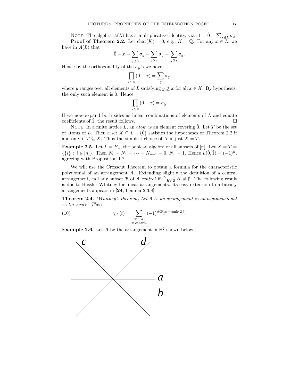NOTE. The algebra  $A(L)$  has a multiplicative identity, viz.,  $1 = \hat{0} = \sum_{x \in L} \sigma_x$ . **Proof of Theorem 2.2.** Let  $char(K) = 0$ , e.g.,  $K = \mathbb{Q}$ . For any  $x \in \mathbb{Z}$ , we

have in  $A(L)$  that

$$
\hat{0}-x=\sum_{y\geq \hat{0}}\sigma_{y}-\sum_{y\geq x}\sigma_{y}=\sum_{y\ngeq x}\sigma_{y}.
$$

Hence by the orthogonality of the  $\sigma_y$ 's we have

$$
\prod_{x \in X} (\hat{0} - x) = \sum_{y} \sigma_y,
$$

where y ranges over all elements of L satisfying  $y \not\geq x$  for all  $x \in X$ . By hypothesis, the only such element is  $\hat{0}$ . Hence

$$
\prod_{x \in X} (\hat{0} - x) = \sigma_{\hat{0}}.
$$

If we now expand both sides as linear combinations of elements of  $L$  and equate coefficients of  $\hat{1}$ , the result follows.

NOTE. In a finite lattice L, an *atom* is an element covering  $\hat{0}$ . Let T be the set of atoms of L. Then a set  $X \subseteq L - \{0\}$  satisfies the hypotheses of Theorem 2.2 if and only if  $T \subseteq X$ . Thus the simplest choice of X is just  $X = T$ .

**Example 2.5.** Let  $L = B_n$ , the boolean algebra of all subsets of [n]. Let  $X = T =$  $\{\{i\} : i \in [n]\}.$  Then  $N_0 = N_1 = \cdots = N_{n-1} = 0, N_n = 1.$  Hence  $\mu(\hat{0}, \hat{1}) = (-1)^n$ , agreeing with Proposition 1.2.

We will use the Crosscut Theorem to obtain a formula for the characteristic polynomial of an arrangement A. Extending slightly the definition of a central arrangement, call any subset B of A central if  $\bigcap_{H \in \mathcal{B}} H \neq \emptyset$ . The following result is due to Hassler Whitney for linear arrangements. Its easy extension to arbitrary arrangements appears in [24, Lemma 2.3.8].

Theorem 2.4. (Whitney's theorem) Let A be an arrangement in an n-dimensional vector space. Then

(10) 
$$
\chi_{\mathcal{A}}(t) = \sum_{\substack{\mathcal{B} \subseteq \mathcal{A} \\ \mathcal{B} \text{ central}}} (-1)^{\# \mathcal{B}} t^{n-\text{rank}(\mathcal{B})}.
$$

**Example 2.6.** Let A be the arrangement in  $\mathbb{R}^2$  shown below.

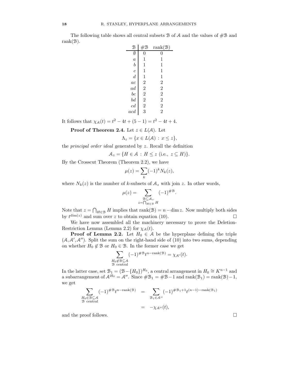The following table shows all central subsets  $\mathcal B$  of  $\mathcal A$  and the values of  $\#\mathcal B$  and rank $(B)$ .

| B                                           | $\#\mathcal{B}$                                   | rank(B)                 |
|---------------------------------------------|---------------------------------------------------|-------------------------|
| Ø                                           | 0                                                 | 0                       |
| $\alpha$                                    | $\mathbf 1$                                       | 1                       |
| $\boldsymbol{b}$                            | 1                                                 | 1                       |
|                                             | $\mathbf{1}$                                      | $\mathbf{1}$            |
| $\begin{array}{c} c \\ d \\ ac \end{array}$ | $\mathbf{1}$                                      | $\mathbf{1}$            |
|                                             |                                                   |                         |
| $\frac{1}{ad}$                              |                                                   | $\frac{2}{2}$           |
| bc                                          |                                                   |                         |
| $^{bd}$                                     |                                                   | $\overline{2}$          |
| $\frac{cd}{acd}$                            | $\begin{smallmatrix}2&2\2&2\2&3\end{smallmatrix}$ | $\overline{\mathbf{c}}$ |
|                                             |                                                   | $\overline{2}$          |

It follows that  $\chi_A(t) = t^2 - 4t + (5 - 1) = t^2 - 4t + 4$ .

**Proof of Theorem 2.4.** Let  $z \in L(\mathcal{A})$ . Let

$$
\Lambda_z = \{ x \in L(\mathcal{A}) \, : \, x \leq z \},
$$

the *principal order ideal* generated by  $z$ . Recall the definition

$$
\mathcal{A}_z = \{ H \in \mathcal{A} : H \leq z \text{ (i.e., } z \subseteq H) \}.
$$

By the Crosscut Theorem (Theorem 2.2), we have

$$
\mu(z) = \sum_{k} (-1)^k N_k(z),
$$

where  $N_k(z)$  is the number of k-subsets of  $A_z$  with join z. In other words,

$$
\mu(z) = \sum_{\substack{\mathcal{B} \subseteq \mathcal{A}_z \\ z = \bigcap_{H \in \mathcal{B}} H}} (-1)^{\# \mathcal{B}}.
$$

Note that  $z = \bigcap_{H \in \mathcal{B}} H$  implies that rank( $\mathcal{B}$ ) = n - dim z. Now multiply both sides by  $t^{\dim(z)}$  and sum over z to obtain equation (10).

We have now assembled all the machinery necessary to prove the Deletion-Restriction Lemma (Lemma 2.2) for  $\chi_{\mathcal{A}}(t)$ .

**Proof of Lemma 2.2.** Let  $H_0 \in \mathcal{A}$  be the hyperplane defining the triple  $(A, A', A'')$ . Split the sum on the right-hand side of (10) into two sums, depending on whether  $H_0 \notin \mathcal{B}$  or  $H_0 \in \mathcal{B}$ . In the former case we get

$$
\sum_{\substack{H_0 \notin \mathcal{B} \subseteq \mathcal{A} \\ \mathcal{B} \text{ central}}} (-1)^{\# \mathcal{B}} t^{n - \text{rank}(\mathcal{B})} = \chi_{\mathcal{A}'}(t).
$$

In the latter case, set  $\mathcal{B}_1 = (\mathcal{B} - \{H_0\})^{H_0}$ , a central arrangement in  $H_0 \cong K^{n-1}$  and a subarrangement of  $\mathcal{A}^{H_0} = \mathcal{A}''$ . Since  $\#\mathcal{B}_1 = \#\mathcal{B}-1$  and  $\text{rank}(\mathcal{B}_1) = \text{rank}(\mathcal{B})-1$ , we get

$$
\sum_{\substack{H_0 \in \mathcal{B} \subseteq \mathcal{A} \\ \mathcal{B} \text{ central}}} (-1)^{\# \mathcal{B}} t^{n-\text{rank}(\mathcal{B})} = \sum_{\substack{\mathcal{B}_1 \in \mathcal{A}'' \\ \sim}} (-1)^{\# \mathcal{B}_1 + 1} t^{(n-1) - \text{rank}(\mathcal{B}_1)} \\ = -\chi_{\mathcal{A}''}(t),
$$

and the proof follows.  $\Box$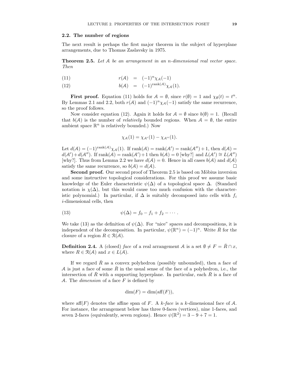#### 2.2. The number of regions

The next result is perhaps the first major theorem in the subject of hyperplane arrangements, due to Thomas Zaslavsky in 1975.

**Theorem 2.5.** Let A be an arrangement in an n-dimensional real vector space. Then

(11) 
$$
r(A) = (-1)^n \chi_A(-1)
$$

(12) 
$$
b(\mathcal{A}) = (-1)^{\text{rank}(\mathcal{A})} \chi_{\mathcal{A}}(1).
$$

**First proof.** Equation (11) holds for  $A = \emptyset$ , since  $r(\emptyset) = 1$  and  $\chi_{\emptyset}(t) = t^n$ . By Lemmas 2.1 and 2.2, both  $r(A)$  and  $(-1)^n \chi_A(-1)$  satisfy the same recurrence, so the proof follows.

Now consider equation (12). Again it holds for  $A = \emptyset$  since  $b(\emptyset) = 1$ . (Recall that  $b(\mathcal{A})$  is the number of *relatively* bounded regions. When  $\mathcal{A} = \emptyset$ , the entire ambient space  $\mathbb{R}^n$  is relatively bounded.) Now

$$
\chi_{\mathcal{A}}(1) = \chi_{\mathcal{A}'}(1) - \chi_{\mathcal{A}''}(1).
$$

Let  $d(\mathcal{A}) = (-1)^{\text{rank}(\mathcal{A})} \chi_{\mathcal{A}}(1)$ . If  $\text{rank}(\mathcal{A}) = \text{rank}(\mathcal{A}') = \text{rank}(\mathcal{A}'') + 1$ , then  $d(\mathcal{A}) =$  $d(\mathcal{A}') + d(\mathcal{A}'')$ . If  $\text{rank}(\mathcal{A}) = \text{rank}(\mathcal{A}') + 1$  then  $b(\mathcal{A}) = 0$  [why?] and  $L(\mathcal{A}') \cong L(\mathcal{A}'')$ [why?]. Thus from Lemma 2.2 we have  $d(A) = 0$ . Hence in all cases  $b(A)$  and  $d(A)$ satisfy the same recurrence, so  $b(A) = d(A)$ .

Second proof. Our second proof of Theorem 2.5 is based on Möbius inversion and some instructive topological considerations. For this proof we assume basic knowledge of the Euler characteristic  $\psi(\Delta)$  of a topological space  $\Delta$ . (Standard notation is  $\chi(\Delta)$ , but this would cause too much confusion with the characteristic polynomial.) In particular, if  $\Delta$  is suitably decomposed into cells with  $f_i$ i-dimensional cells, then

(13) 
$$
\psi(\Delta) = f_0 - f_1 + f_2 - \cdots.
$$

We take (13) as the definition of  $\psi(\Delta)$ . For "nice" spaces and decompositions, it is independent of the decomposition. In particular,  $\psi(\mathbb{R}^n) = (-1)^n$ . Write  $\overline{R}$  for the closure of a region  $R \in \mathcal{R}(\mathcal{A})$ .

**Definition 2.4.** A (closed) face of a real arrangement A is a set  $\emptyset \neq F = R \cap x$ , where  $R \in \mathcal{R}(\mathcal{A})$  and  $x \in L(\mathcal{A})$ .

If we regard  $\bar{R}$  as a convex polyhedron (possibly unbounded), then a face of A is just a face of some  $\overline{R}$  in the usual sense of the face of a polyhedron, i.e., the intersection of R with a supporting hyperplane. In particular, each R is a face of A. The *dimension* of a face  $F$  is defined by

$$
\dim(F) = \dim(\text{aff}(F)),
$$

where aff $(F)$  denotes the affine span of F. A k-face is a k-dimensional face of A. For instance, the arrangement below has three 0-faces (vertices), nine 1-faces, and seven 2-faces (equivalently, seven regions). Hence  $\psi(\mathbb{R}^2) = 3 - 9 + 7 = 1$ .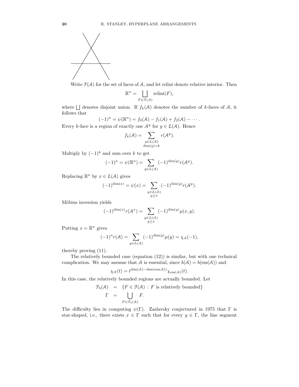

Write  $\mathcal{F}(\mathcal{A})$  for the set of faces of  $\mathcal{A}$ , and let relint denote relative interior. Then

$$
\mathbb{R}^n = \bigsqcup_{F \in \mathcal{F}(\mathcal{A})} \text{relint}(F),
$$

where  $\Box$  denotes disjoint union. If  $f_k(\mathcal{A})$  denotes the number of k-faces of  $\mathcal{A}$ , it follows that

$$
(-1)^n = \psi(\mathbb{R}^n) = f_0(\mathcal{A}) - f_1(\mathcal{A}) + f_2(\mathcal{A}) - \cdots
$$

Every k-face is a region of exactly one  $\mathcal{A}^y$  for  $y \in L(\mathcal{A})$ . Hence

$$
f_k(\mathcal{A}) = \sum_{\substack{y \in L(\mathcal{A}) \\ \dim(y) = k}} r(\mathcal{A}^y).
$$

Multiply by  $(-1)^k$  and sum over k to get

$$
(-1)^n = \psi(\mathbb{R}^n) = \sum_{y \in L(\mathcal{A})} (-1)^{\dim(y)} r(\mathcal{A}^y).
$$

Replacing  $\mathbb{R}^n$  by  $x \in L(\mathcal{A})$  gives

$$
(-1)^{\dim(x)} = \psi(x) = \sum_{\substack{y \in L(\mathcal{A}) \\ y \ge x}} (-1)^{\dim(y)} r(\mathcal{A}^y).
$$

Möbius inversion yields

$$
(-1)^{\dim(x)} r(\mathcal{A}^x) = \sum_{\substack{y \in L(\mathcal{A}) \\ y \ge x}} (-1)^{\dim(y)} \mu(x, y).
$$

Putting  $x = \mathbb{R}^n$  gives

$$
(-1)^n r(\mathcal{A}) = \sum_{y \in L(\mathcal{A})} (-1)^{\dim(y)} \mu(y) = \chi_{\mathcal{A}}(-1),
$$

thereby proving (11).

The relatively bounded case (equation (12)) is similar, but with one technical complication. We may assume that A is essential, since  $b(A) = b(\text{ess}(A))$  and

$$
\chi_{\mathcal{A}}(t) = t^{\dim(\mathcal{A}) - \dim(\mathrm{ess}(\mathcal{A}))} \chi_{\mathrm{ess}(\mathcal{A})}(t).
$$

In this case, the relatively bounded regions are actually bounded. Let

$$
\mathcal{F}_b(\mathcal{A}) = \{ F \in \mathcal{F}(\mathcal{A}) : F \text{ is relatively bounded} \}
$$

$$
\Gamma = \bigcup_{F \in \mathcal{F}_b(\mathcal{A})} F.
$$

The difficulty lies in computing  $\psi(\Gamma)$ . Zaslavsky conjectured in 1975 that  $\Gamma$  is star-shaped, i.e., there exists  $x \in \Gamma$  such that for every  $y \in \Gamma$ , the line segment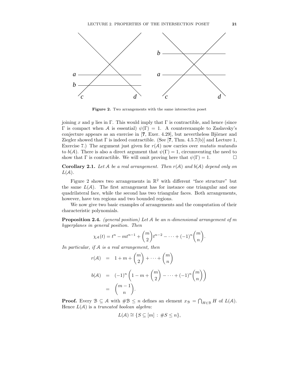

Figure 2. Two arrangements with the same intersection poset

joining x and y lies in Γ. This would imply that  $\Gamma$  is contractible, and hence (since Γ is compact when A is essential)  $\psi$ (Γ) = 1. A counterexample to Zaslavsky's conjecture appears as an exercise in  $[7, \text{Exer. } 4.29]$ , but nevertheless Björner and Ziegler showed that  $\Gamma$  is indeed contractible. (See [7, Thm. 4.5.7(b)] and Lecture 1, Exercise 7.) The argument just given for  $r(A)$  now carries over mutatis mutandis to  $b(\mathcal{A})$ . There is also a direct argument that  $\psi(\Gamma) = 1$ , circumventing the need to show that  $\Gamma$  is contractible. We will omit proving here that  $\psi(\Gamma) = 1$ .

**Corollary 2.1.** Let A be a real arrangement. Then  $r(A)$  and  $b(A)$  depend only on  $L(A)$ .

Figure 2 shows two arrangements in  $\mathbb{R}^2$  with different "face structure" but the same  $L(A)$ . The first arrangement has for instance one triangular and one quadrilateral face, while the second has two triangular faces. Both arrangements, however, have ten regions and two bounded regions.

We now give two basic examples of arrangements and the computation of their characteristic polynomials.

**Proposition 2.4.** (general position) Let  $A$  be an n-dimensional arrangement of m hyperplanes in general position. Then

$$
\chi_A(t) = t^n - mt^{n-1} + \binom{m}{2} t^{n-2} - \dots + (-1)^n \binom{m}{n}.
$$

In particular, if A is a real arrangement, then

$$
r(A) = 1 + m + \binom{m}{2} + \dots + \binom{m}{n}
$$
  
\n
$$
b(A) = (-1)^n \left(1 - m + \binom{m}{2} - \dots + (-1)^n \binom{m}{n}\right)
$$
  
\n
$$
= \binom{m-1}{n}.
$$

**Proof.** Every  $\mathcal{B} \subseteq \mathcal{A}$  with  $\#\mathcal{B} \leq n$  defines an element  $x_{\mathcal{B}} = \bigcap_{H \in \mathcal{B}} H$  of  $L(\mathcal{A})$ . Hence  $L(A)$  is a truncated boolean algebra:

$$
L(\mathcal{A}) \cong \{ S \subseteq [m] : \#S \le n \},\
$$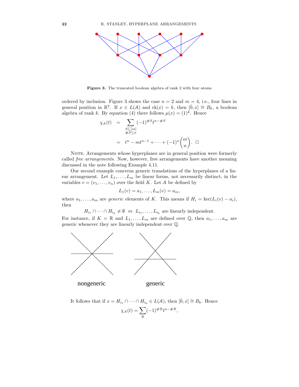

Figure 3. The truncated boolean algebra of rank 2 with four atoms

ordered by inclusion. Figure 3 shows the case  $n = 2$  and  $m = 4$ , i.e., four lines in general position in  $\mathbb{R}^2$ . If  $x \in L(\mathcal{A})$  and  $\mathrm{rk}(x) = k$ , then  $[0, x] \cong B_k$ , a boolean algebra of rank k. By equation (4) there follows  $\mu(x) = (1)^k$ . Hence

$$
\chi_{\mathcal{A}}(t) = \sum_{\substack{S \subseteq [m] \\ \#S \le n}} (-1)^{\#S} t^{n - \#S}
$$
  
=  $t^n - mt^{n-1} + \dots + (-1)^n \binom{m}{n}$ .  $\Box$ 

NOTE. Arrangements whose hyperplanes are in general position were formerly called free arrangements. Now, however, free arrangements have another meaning discussed in the note following Example 4.11.

Our second example concerns generic translations of the hyperplanes of a linear arrangement. Let  $L_1, \ldots, L_m$  be linear forms, not necessarily distinct, in the variables  $v = (v_1, \ldots, v_n)$  over the field K. Let A be defined by

$$
L_1(v) = a_1, \ldots, L_m(v) = a_m,
$$

where  $a_1, \ldots, a_m$  are *generic* elements of K. This means if  $H_i = \text{ker}(L_i(v) - a_i)$ , then

 $H_{i_1} \cap \cdots \cap H_{i_k} \neq \emptyset \Leftrightarrow L_{i_1}, \ldots, L_{i_k}$  are linearly independent.

For instance, if  $K = \mathbb{R}$  and  $L_1, \ldots, L_m$  are defined over  $\mathbb{Q}$ , then  $a_1, \ldots, a_m$  are generic whenever they are linearly independent over Q.



It follows that if  $x = H_{i_1} \cap \cdots \cap H_{i_k} \in L(\mathcal{A})$ , then  $[\hat{0}, x] \cong B_k$ . Hence

$$
\chi_{\mathcal{A}}(t)=\sum_{\mathcal{B}}(-1)^{\#\mathcal{B}}t^{n-\#\mathcal{B}},
$$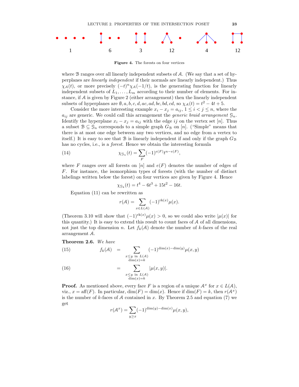

Figure 4. The forests on four vertices

where  $\mathcal B$  ranges over all linearly independent subsets of  $\mathcal A$ . (We say that a set of hyperplanes are linearly independent if their normals are linearly independent.) Thus  $\chi_{\mathcal{A}}(t)$ , or more precisely  $(-t)^n \chi_{\mathcal{A}}(-1/t)$ , is the generating function for linearly independent subsets of  $L_1, \ldots, L_m$  according to their number of elements. For instance, if A is given by Figure 2 (either arrangement) then the linearly independent subsets of hyperplanes are  $\emptyset$ , a, b, c, d, ac, ad, bc, bd, cd, so  $\chi_A(t) = t^2 - 4t + 5$ .

Consider the more interesting example  $x_i - x_j = a_{ij}$ ,  $1 \leq i < j \leq n$ , where the  $a_{ij}$  are generic. We could call this arrangement the *generic braid arrangement*  $\mathcal{G}_n$ . Identify the hyperplane  $x_i - x_j = a_{ij}$  with the edge ij on the vertex set [n]. Thus a subset  $\mathcal{B} \subseteq \mathcal{G}_n$  corresponds to a simple graph  $G_{\mathcal{B}}$  on [n]. ("Simple" means that there is at most one edge between any two vertices, and no edge from a vertex to itself.) It is easy to see that  $\mathcal B$  is linearly independent if and only if the graph  $G_{\mathcal B}$ has no cycles, i.e., is a *forest*. Hence we obtain the interesting formula

(14) 
$$
\chi_{\mathcal{G}_n}(t) = \sum_{F} (-1)^{e(F)} t^{n - e(F)},
$$

where F ranges over all forests on  $[n]$  and  $e(F)$  denotes the number of edges of F. For instance, the isomorphism types of forests (with the number of distinct labelings written below the forest) on four vertices are given by Figure 4. Hence

$$
\chi_{\mathfrak{g}_4}(t) = t^4 - 6t^3 + 15t^2 - 16t.
$$

Equation (11) can be rewritten as

$$
r(\mathcal{A}) = \sum_{x \in L(\mathcal{A})} (-1)^{\text{rk}(x)} \mu(x).
$$

(Theorem 3.10 will show that  $(-1)^{\text{rk}(x)}\mu(x) > 0$ , so we could also write  $|\mu(x)|$  for this quantity.) It is easy to extend this result to count faces of  $A$  of all dimensions, not just the top dimension n. Let  $f_k(\mathcal{A})$  denote the number of k-faces of the real arrangement A.

Theorem 2.6. We have

(15) 
$$
f_k(\mathcal{A}) = \sum_{\substack{x \leq y \text{ in } L(\mathcal{A}) \\ \dim(x) = k}} (-1)^{\dim(x) - \dim(y)} \mu(x, y)
$$

$$
= \sum_{\substack{x \leq y \text{ in } L(\mathcal{A}) \\ \dim(x) = k}} |\mu(x, y)|.
$$

**Proof.** As mentioned above, every face F is a region of a unique  $A^x$  for  $x \in L(A)$ , viz.,  $x = \text{aff}(F)$ . In particular,  $\dim(F) = \dim(x)$ . Hence if  $\dim(F) = k$ , then  $r(A^x)$ is the number of k-faces of A contained in x. By Theorem 2.5 and equation (7) we get

$$
r(\mathcal{A}^x) = \sum_{y \ge x} (-1)^{\dim(y) - \dim(x)} \mu(x, y),
$$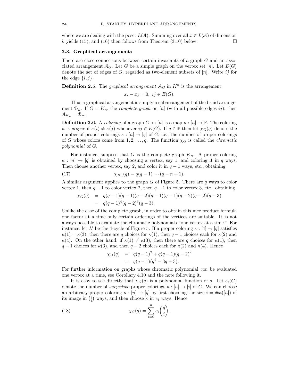where we are dealing with the poset  $L(\mathcal{A})$ . Summing over all  $x \in L(\mathcal{A})$  of dimension k vields (15), and (16) then follows from Theorem (3.10) below. k yields  $(15)$ , and  $(16)$  then follows from Theorem  $(3.10)$  below.

#### 2.3. Graphical arrangements

There are close connections between certain invariants of a graph G and an associated arrangement  $\mathcal{A}_G$ . Let G be a simple graph on the vertex set [n]. Let  $E(G)$ denote the set of edges of G, regarded as two-element subsets of  $[n]$ . Write ij for the edge  $\{i, j\}.$ 

**Definition 2.5.** The *graphical arrangement*  $A_G$  in  $K^n$  is the arrangement

$$
x_i - x_j = 0, \ ij \in E(G).
$$

Thus a graphical arrangement is simply a subarrangement of the braid arrangement  $\mathcal{B}_n$ . If  $G = K_n$ , the *complete graph* on [n] (with all possible edges ij), then  $\mathcal{A}_{K_n} = \mathcal{B}_n.$ 

**Definition 2.6.** A *coloring* of a graph G on  $[n]$  is a map  $\kappa : [n] \to \mathbb{P}$ . The coloring  $\kappa$  is proper if  $\kappa(i) \neq \kappa(j)$  whenever  $ij \in E(G)$ . If  $q \in \mathbb{P}$  then let  $\chi_G(q)$  denote the number of proper colorings  $\kappa : [n] \to [q]$  of G, i.e., the number of proper colorings of G whose colors come from 1, 2, ..., q. The function  $\chi_G$  is called the *chromatic* polynomial of G.

For instance, suppose that G is the complete graph  $K_n$ . A proper coloring  $\kappa : [n] \to [q]$  is obtained by choosing a vertex, say 1, and coloring it in q ways. Then choose another vertex, say 2, and color it in  $q-1$  ways, etc., obtaining

(17) 
$$
\chi_{K_n}(q) = q(q-1)\cdots(q-n+1).
$$

A similar argument applies to the graph  $G$  of Figure 5. There are  $q$  ways to color vertex 1, then  $q-1$  to color vertex 2, then  $q-1$  to color vertex 3, etc., obtaining

$$
\chi_G(q) = q(q-1)(q-1)(q-2)(q-1)(q-1)(q-2)(q-2)(q-3)
$$
  
=  $q(q-1)^4(q-2)^3(q-3)$ .

Unlike the case of the complete graph, in order to obtain this nice product formula one factor at a time only certain orderings of the vertices are suitable. It is not always possible to evaluate the chromatic polynomials "one vertex at a time." For instance, let H be the 4-cycle of Figure 5. If a proper coloring  $\kappa : [4] \to [q]$  satisfies  $\kappa(1) = \kappa(3)$ , then there are q choices for  $\kappa(1)$ , then  $q-1$  choices each for  $\kappa(2)$  and  $\kappa(4)$ . On the other hand, if  $\kappa(1) \neq \kappa(3)$ , then there are q choices for  $\kappa(1)$ , then  $q-1$  choices for  $\kappa(3)$ , and then  $q-2$  choices each for  $\kappa(2)$  and  $\kappa(4)$ . Hence

$$
\chi_H(q) = q(q-1)^2 + q(q-1)(q-2)^2
$$
  
=  $q(q-1)(q^2 - 3q + 3).$ 

For further information on graphs whose chromatic polynomial can be evaluated one vertex at a time, see Corollary 4.10 and the note following it.

It is easy to see directly that  $\chi_G(q)$  is a polynomial function of q. Let  $e_i(G)$ denote the number of *surjective* proper colorings  $\kappa : [n] \to [i]$  of G. We can choose an arbitrary proper coloring  $\kappa : [n] \to [q]$  by first choosing the size  $i = \# \kappa([n])$  of its image in  $\binom{q}{i}$  ways, and then choose  $\kappa$  in  $e_i$  ways. Hence

(18) 
$$
\chi_G(q) = \sum_{i=0}^n e_i \binom{q}{i}.
$$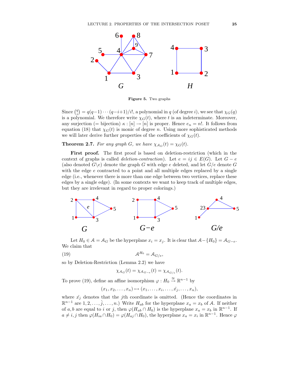

Figure 5. Two graphs

Since  $\binom{q}{i} = q(q-1)\cdots(q-i+1)/i!$ , a polynomial in q (of degree i), we see that  $\chi_G(q)$ is a polynomial. We therefore write  $\chi_G(t)$ , where t is an indeterminate. Moreover, any surjection (= bijection)  $\kappa : [n] \to [n]$  is proper. Hence  $e_n = n!$ . It follows from equation (18) that  $\chi_G(t)$  is monic of degree n. Using more sophisticated methods we will later derive further properties of the coefficients of  $\chi_G(t)$ .

**Theorem 2.7.** For any graph G, we have  $\chi_{A_G}(t) = \chi_G(t)$ .

First proof. The first proof is based on deletion-restriction (which in the context of graphs is called *deletion-contraction*). Let  $e = ij \in E(G)$ . Let  $G - e$ (also denoted  $G\backslash e$ ) denote the graph G with edge e deleted, and let  $G/e$  denote G with the edge e contracted to a point and all multiple edges replaced by a single edge (i.e., whenever there is more than one edge between two vertices, replace these edges by a single edge). (In some contexts we want to keep track of multiple edges, but they are irrelevant in regard to proper colorings.)



Let  $H_0 \in \mathcal{A} = \mathcal{A}_G$  be the hyperplane  $x_i = x_j$ . It is clear that  $\mathcal{A} - \{H_0\} = \mathcal{A}_{G-e}$ . We claim that

(19) A <sup>H</sup><sup>0</sup> = AG/e,

so by Deletion-Restriction (Lemma 2.2) we have

$$
\chi_{\mathcal{A}_G}(t) = \chi_{\mathcal{A}_{G-e}}(t) = \chi_{\mathcal{A}_{G/e}}(t).
$$

To prove (19), define an affine isomorphism  $\varphi: H_0 \stackrel{\cong}{\to} \mathbb{R}^{n-1}$  by

$$
(x_1, x_2, \ldots, x_n) \mapsto (x_1, \ldots, x_i, \ldots, \hat{x_j}, \ldots, x_n),
$$

where  $\hat{x_j}$  denotes that the *j*th coordinate is omitted. (Hence the coordinates in  $\mathbb{R}^{n-1}$  are  $1, 2, \ldots, \hat{j}, \ldots, n$ .) Write  $H_{ab}$  for the hyperplane  $x_a = x_b$  of A. If neither of a, b are equal to i or j, then  $\varphi(H_{ab} \cap H_0)$  is the hyperplane  $x_a = x_b$  in  $\mathbb{R}^{n-1}$ . If  $a \neq i, j$  then  $\varphi(H_{ia} \cap H_0) = \varphi(H_{aj} \cap H_0)$ , the hyperplane  $x_a = x_i$  in  $\mathbb{R}^{n-1}$ . Hence  $\varphi$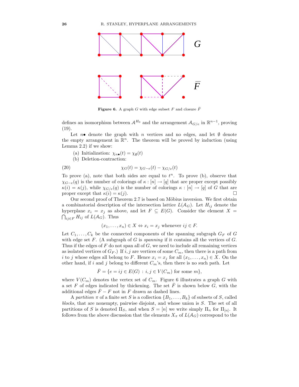

**Figure 6.** A graph G with edge subset F and closure  $\overline{F}$ 

defines an isomorphism between  $\mathcal{A}^{H_0}$  and the arrangement  $\mathcal{A}_{G/e}$  in  $\mathbb{R}^{n-1}$ , proving (19).

Let  $n\bullet$  denote the graph with n vertices and no edges, and let  $\emptyset$  denote the empty arrangement in  $\mathbb{R}^n$ . The theorem will be proved by induction (using Lemma 2.2) if we show:

(a) Initialization:  $\chi_{n\bullet}(t) = \chi_{\emptyset}(t)$ 

(b) Deletion-contraction:

(20) 
$$
\chi_G(t) = \chi_{G-e}(t) - \chi_{G/e}(t)
$$

To prove (a), note that both sides are equal to  $t^n$ . To prove (b), observe that  $\chi_{G-e}(q)$  is the number of colorings of  $\kappa : [n] \to [q]$  that are proper except possibly  $\kappa(i) = \kappa(j)$ , while  $\chi_{G/e}(q)$  is the number of colorings  $\kappa : [n] \to [q]$  of G that are proper except that  $\kappa(i) = \kappa(j)$ .

Our second proof of Theorem 2.7 is based on Möbius inversion. We first obtain a combinatorial description of the intersection lattice  $L(A_G)$ . Let  $H_{ij}$  denote the hyperplane  $x_i = x_j$  as above, and let  $F \subseteq E(G)$ . Consider the element  $X =$  $\bigcap_{ij\in F} H_{ij}$  of  $L(\mathcal{A}_G)$ . Thus

 $(x_1, \ldots, x_n) \in X \Leftrightarrow x_i = x_j$  whenever  $ij \in F$ .

Let  $C_1, \ldots, C_k$  be the connected components of the spanning subgraph  $G_F$  of G with edge set  $F$ . (A subgraph of  $G$  is spanning if it contains all the vertices of  $G$ . Thus if the edges of  $F$  do not span all of  $G$ , we need to include all remaining vertices as isolated vertices of  $G_F$ .) If i, j are vertices of some  $C_m$ , then there is a path from i to j whose edges all belong to F. Hence  $x_i = x_j$  for all  $(x_1, \ldots, x_n) \in X$ . On the other hand, if i and j belong to different  $C_m$ 's, then there is no such path. Let

$$
\bar{F}=\{e=ij\in E(G)\,:\,i,j\in V(C_m)\text{ for some }m\},
$$

where  $V(C_m)$  denotes the vertex set of  $C_m$ . Figure 6 illustrates a graph G with a set F of edges indicated by thickening. The set  $\overline{F}$  is shown below G, with the additional edges  $\overline{F} - F$  not in F drawn as dashed lines.

A partition  $\pi$  of a finite set S is a collection  $\{B_1, \ldots, B_k\}$  of subsets of S, called blocks, that are nonempty, pairwise disjoint, and whose union is S. The set of all partitions of S is denoted  $\Pi_S$ , and when  $S = [n]$  we write simply  $\Pi_n$  for  $\Pi_{[n]}$ . It follows from the above discussion that the elements  $X_{\pi}$  of  $L(\mathcal{A}_G)$  correspond to the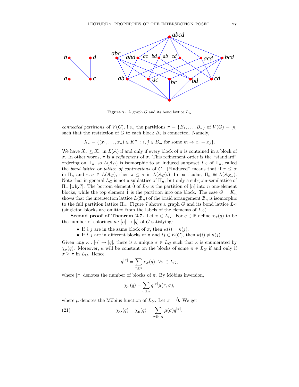

**Figure 7.** A graph G and its bond lattice  $L_G$ 

connected partitions of  $V(G)$ , i.e., the partitions  $\pi = \{B_1, \ldots, B_k\}$  of  $V(G) = [n]$ such that the restriction of  $G$  to each block  $B_i$  is connected. Namely,

$$
X_{\pi} = \{(x_1, \ldots, x_n) \in K^n : i, j \in B_m \text{ for some } m \Rightarrow x_i = x_j\}.
$$

We have  $X_{\pi} \leq X_{\sigma}$  in  $L(\mathcal{A})$  if and only if every block of  $\pi$  is contained in a block of σ. In other words, π is a refinement of σ. This refinement order is the "standard" ordering on  $\Pi_n$ , so  $L(\mathcal{A}_G)$  is isomorphic to an induced subposet  $L_G$  of  $\Pi_n$ , called the bond lattice or lattice of contractions of G. ("Induced" means that if  $\pi \leq \sigma$ in  $\Pi_n$  and  $\pi, \sigma \in L(\mathcal{A}_G)$ , then  $\pi \leq \sigma$  in  $L(\mathcal{A}_G)$ .) In particular,  $\Pi_n \cong L(\mathcal{A}_{K_n})$ . Note that in general  $L_G$  is not a sublattice of  $\Pi_n$ , but only a sub-join-semilattice of  $\Pi_n$  [why?]. The bottom element 0 of  $L_G$  is the partition of [n] into n one-element blocks, while the top element  $\hat{1}$  is the partition into one block. The case  $G = K_n$ shows that the intersection lattice  $L(\mathcal{B}_n)$  of the braid arrangement  $\mathcal{B}_n$  is isomorphic to the full partition lattice  $\Pi_n$ . Figure 7 shows a graph G and its bond lattice  $L_G$ (singleton blocks are omitted from the labels of the elements of  $L_G$ ).

**Second proof of Theorem 2.7.** Let  $\pi \in L_G$ . For  $q \in \mathbb{P}$  define  $\chi_{\pi}(q)$  to be the number of colorings  $\kappa : [n] \to [q]$  of G satisfying:

- If i, j are in the same block of  $\pi$ , then  $\kappa(i) = \kappa(j)$ .
- If i, j are in different blocks of  $\pi$  and  $ij \in E(G)$ , then  $\kappa(i) \neq \kappa(j)$ .

Given any  $\kappa : [n] \to [q]$ , there is a unique  $\sigma \in L_G$  such that  $\kappa$  is enumerated by  $\chi_{\sigma}(q)$ . Moreover,  $\kappa$  will be constant on the blocks of some  $\pi \in L_G$  if and only if  $\sigma \geq \pi$  in  $L_G$ . Hence

$$
q^{|\pi|} = \sum_{\sigma \geq \pi} \chi_{\sigma}(q) \ \ \forall \pi \in L_G,
$$

where  $|\pi|$  denotes the number of blocks of  $\pi$ . By Möbius inversion,

$$
\chi_{\pi}(q) = \sum_{\sigma \geq \pi} q^{|\sigma|} \mu(\pi, \sigma),
$$

where  $\mu$  denotes the Möbius function of  $L_G$ . Let  $\pi = 0$ . We get

(21) 
$$
\chi_G(q) = \chi_{\hat{0}}(q) = \sum_{\sigma \in L_G} \mu(\sigma) q^{|\sigma|}.
$$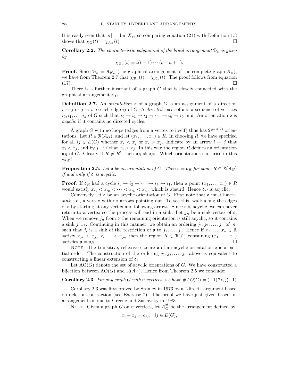It is easily seen that  $|\sigma| = \dim X_{\sigma}$ , so comparing equation (21) with Definition 1.3 shows that  $\chi_{\sigma}(t) = \chi_{4,\sigma}(t)$ shows that  $\chi_G(t) = \chi_{A_G}(t)$ .

**Corollary 2.2.** The characteristic polynomial of the braid arrangement  $B_n$  is given by

$$
\chi_{\mathcal{B}_n}(t) = t(t-1)\cdots(t-n+1).
$$

**Proof.** Since  $\mathcal{B}_n = \mathcal{A}_{K_n}$  (the graphical arrangement of the complete graph  $K_n$ ), we have from Theorem 2.7 that  $\chi_{\mathcal{B}_n}(t) = \chi_{K_n}(t)$ . The proof follows from equation (17).

There is a further invariant of a graph  $G$  that is closely connected with the graphical arrangement  $A_G$ .

**Definition 2.7.** An *orientation*  $\mathfrak o$  of a graph G is an assignment of a direction  $i \rightarrow j$  or  $j \rightarrow i$  to each edge ij of G. A directed cycle of  $\mathfrak o$  is a sequence of vertices  $i_0, i_1, \ldots, i_k$  of G such that  $i_0 \to i_1 \to i_2 \to \cdots \to i_k \to i_0$  in  $\mathfrak{o}$ . An orientation  $\mathfrak{o}$  is acyclic if it contains no directed cycles.

A graph G with no loops (edges from a vertex to itself) thus has  $2^{\#E(G)}$  orientations. Let  $R \in \mathcal{R}(\mathcal{A}_G)$ , and let  $(x_1, \ldots, x_n) \in R$ . In choosing R, we have specified for all  $ij \in E(G)$  whether  $x_i < x_j$  or  $x_i > x_j$ . Indicate by an arrow  $i \to j$  that  $x_i < x_j$ , and by  $j \to i$  that  $x_i > x_j$ . In this way the region R defines an orientation  $\mathfrak{o}_R$  of G. Clearly if  $R \neq R'$ , then  $\mathfrak{o}_R \neq \mathfrak{o}_{R'}$ . Which orientations can arise in this way?

**Proposition 2.5.** Let  $\mathfrak{o}$  be an orientation of G. Then  $\mathfrak{o} = \mathfrak{o}_R$  for some  $R \in \mathcal{R}(\mathcal{A}_G)$ if and only if o is acyclic.

**Proof.** If  $\mathfrak{o}_R$  had a cycle  $i_1 \to i_2 \to \cdots \to i_k \to i_1$ , then a point  $(x_1, \ldots, x_n) \in R$ would satisfy  $x_{i_1} < x_{i_2} < \cdots < x_{i_k} < x_{i_1}$ , which is absurd. Hence  $\mathfrak{o}_R$  is acyclic.

Conversely, let  $\mathfrak o$  be an acyclic orientation of G. First note that  $\mathfrak o$  must have a sink, i.e., a vertex with no arrows pointing out. To see this, walk along the edges of o by starting at any vertex and following arrows. Since o is acyclic, we can never return to a vertex so the process will end in a sink. Let  $j_n$  be a sink vertex of  $\mathfrak{o}$ . When we remove  $j_n$  from  $\rho$  the remaining orientation is still acyclic, so it contains a sink  $j_{n-1}$ . Continuing in this manner, we obtain an ordering  $j_1, j_2, \ldots, j_n$  of  $[n]$ such that  $j_i$  is a sink of the restriction of  $\mathfrak o$  to  $j_1, \ldots, j_i$ . Hence if  $x_1, \ldots, x_n \in \mathbb R$ satisfy  $x_{j_1} < x_{j_2} < \cdots < x_{j_n}$  then the region  $R \in \mathcal{R}(\mathcal{A})$  containing  $(x_1, \ldots, x_n)$ satisfies  $\mathfrak{o} = \mathfrak{o}_R$ .

NOTE. The transitive, reflexive closure  $\bar{\mathfrak{o}}$  of an acyclic orientation  $\mathfrak{o}$  is a partial order. The construction of the ordering  $j_1, j_2, \ldots, j_n$  above is equivalent to constructing a linear extension of o.

Let  $AO(G)$  denote the set of acyclic orientations of G. We have constructed a bijection between  $AO(G)$  and  $\mathcal{R}(\mathcal{A}_G)$ . Hence from Theorem 2.5 we conclude:

**Corollary 2.3.** For any graph G with n vertices, we have  $\#AO(G) = (-1)^n \chi_G(-1)$ .

Corollary 2.3 was first proved by Stanley in 1973 by a "direct" argument based on deletion-contraction (see Exercise 7). The proof we have just given based on arrangements is due to Greene and Zaslavsky in 1983.

NOTE. Given a graph G on n vertices, let  $\mathcal{A}_{G}^{\#}$  be the arrangement defined by

$$
x_i - x_j = a_{ij}, \ \ ij \in E(G),
$$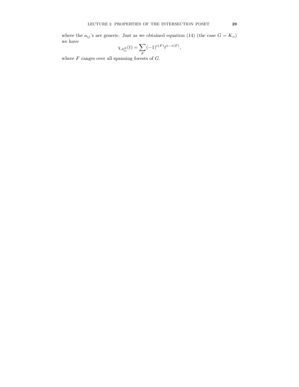where the  $a_{ij}$ 's are generic. Just as we obtained equation (14) (the case  $G = K_n$ ) we have

$$
\chi_{\mathcal{A}_G^\#}(t)=\sum_F (-1)^{e(F)} t^{n-e(F)},
$$

where  $F$  ranges over all spanning forests of  $G$ .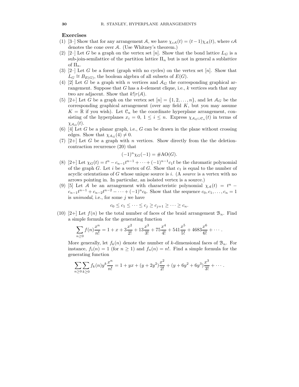#### Exercises

- (1) [3–] Show that for any arrangement A, we have  $\chi_{cA}(t) = (t-1)\chi_{A}(t)$ , where  $cA$ denotes the cone over A. (Use Whitney's theorem.)
- (2) [2–] Let G be a graph on the vertex set [n]. Show that the bond lattice  $L_G$  is a sub-join-semilattice of the partition lattice  $\Pi_n$  but is not in general a sublattice of  $\Pi_n$ .
- (3) [2–] Let G be a forest (graph with no cycles) on the vertex set [n]. Show that  $L_G \cong B_{E(G)}$ , the boolean algebra of all subsets of  $E(G)$ .
- (4) [2] Let G be a graph with n vertices and  $A_G$  the corresponding graphical arrangement. Suppose that  $G$  has a  $k$ -element clique, i.e.,  $k$  vertices such that any two are adjacent. Show that  $k!|r(\mathcal{A})$ .
- (5) [2+] Let G be a graph on the vertex set  $[n] = \{1, 2, \ldots, n\}$ , and let  $\mathcal{A}_G$  be the corresponding graphical arrangement (over any field  $K$ , but you may assume  $K = \mathbb{R}$  if you wish). Let  $\mathcal{C}_n$  be the coordinate hyperplane arrangement, consisting of the hyperplanes  $x_i = 0, 1 \leq i \leq n$ . Express  $\chi_{A_G \cup \mathcal{C}_n}(t)$  in terms of  $\chi_{A_G}(t)$ .
- (6) [4] Let G be a planar graph, i.e., G can be drawn in the plane without crossing edges. Show that  $\chi_{A_G}(4) \neq 0$ .
- (7) [2+] Let G be a graph with n vertices. Show directly from the the deletioncontraction recurrence (20) that

$$
(-1)^n \chi_G(-1) = \#AO(G).
$$

- (8) [2+] Let  $\chi_G(t) = t^n c_{n-1}t^{n-1} + \cdots + (-1)^{n-1}c_1t$  be the chromatic polynomial of the graph G. Let i be a vertex of G. Show that  $c_1$  is equal to the number of acyclic orientations of  $G$  whose unique source is i. (A source is a vertex with no arrows pointing in. In particular, an isolated vertex is a source.)
- (9) [5] Let A be an arrangement with characteristic polynomial  $\chi_{\mathcal{A}}(t) = t^n$   $c_{n-1}t^{n-1} + c_{n-2}t^{n-2} - \cdots + (-1)^n c_0$ . Show that the sequence  $c_0, c_1, \ldots, c_n = 1$ is *unimodal*, i.e., for some  $i$  we have

$$
c_0 \leq c_1 \leq \cdots \leq c_j \geq c_{j+1} \geq \cdots \geq c_n.
$$

(10) [2+] Let  $f(n)$  be the total number of faces of the braid arrangement  $\mathcal{B}_n$ . Find a simple formula for the generating function

$$
\sum_{n\geq 0} f(n) \frac{x^n}{n!} = 1 + x + 3\frac{x^2}{2!} + 13\frac{x^3}{3!} + 75\frac{x^4}{4!} + 541\frac{x^5}{5!} + 4683\frac{x^6}{6!} + \cdots
$$

More generally, let  $f_k(n)$  denote the number of k-dimensional faces of  $\mathcal{B}_n$ . For instance,  $f_1(n) = 1$  (for  $n \ge 1$ ) and  $f_n(n) = n!$ . Find a simple formula for the generating function

$$
\sum_{n\geq 0}\sum_{k\geq 0}f_k(n)y^k\frac{x^n}{n!}=1+yx+(y+2y^2)\frac{x^2}{2!}+(y+6y^2+6y^3)\frac{x^3}{3!}+\cdots.
$$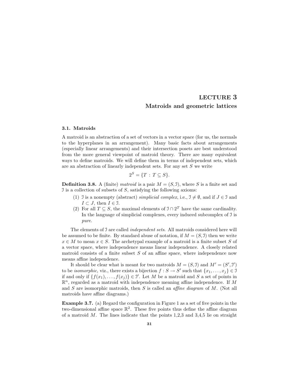### LECTURE 3 Matroids and geometric lattices

#### 3.1. Matroids

A matroid is an abstraction of a set of vectors in a vector space (for us, the normals to the hyperplanes in an arrangement). Many basic facts about arrangements (especially linear arrangements) and their intersection posets are best understood from the more general viewpoint of matroid theory. There are many equivalent ways to define matroids. We will define them in terms of independent sets, which are an abstraction of linearly independent sets. For any set S we write

$$
2^S = \{T : T \subseteq S\}.
$$

**Definition 3.8.** A (finite) matroid is a pair  $M = (S, \mathcal{I})$ , where S is a finite set and I is a collection of subsets of  $S$ , satisfying the following axioms:

- (1) I is a nonempty (abstract) simplicial complex, i.e.,  $\mathfrak{I} \neq \emptyset$ , and if  $J \in \mathfrak{I}$  and  $I \subset J$ , then  $I \in \mathcal{I}$ .
- (2) For all  $T \subseteq S$ , the maximal elements of  $\mathcal{I} \cap 2^T$  have the same cardinality. In the language of simplicial complexes, every induced subcomplex of I is pure.

The elements of J are called *independent sets*. All matroids considered here will be assumed to be finite. By standard abuse of notation, if  $M = (S, \mathcal{I})$  then we write  $x \in M$  to mean  $x \in S$ . The archetypal example of a matroid is a finite subset S of a vector space, where independence means linear independence. A closely related matroid consists of a finite subset  $S$  of an affine space, where independence now means affine independence.

It should be clear what is meant for two matroids  $M = (S, 1)$  and  $M' = (S', 1')$ to be *isomorphic*, viz., there exists a bijection  $f : S \to S'$  such that  $\{x_1, \ldots, x_j\} \in \mathcal{I}$ if and only if  $\{f(x_1), \ldots, f(x_j)\} \in \mathcal{I}'$ . Let M be a matroid and S a set of points in  $\mathbb{R}^n$ , regarded as a matroid with independence meaning affine independence. If M and  $S$  are isomorphic matroids, then  $S$  is called an *affine diagram* of  $M$ . (Not all matroids have affine diagrams.)

Example 3.7. (a) Regard the configuration in Figure 1 as a set of five points in the two-dimensional affine space  $\mathbb{R}^2$ . These five points thus define the affine diagram of a matroid  $M$ . The lines indicate that the points 1,2,3 and 3,4,5 lie on straight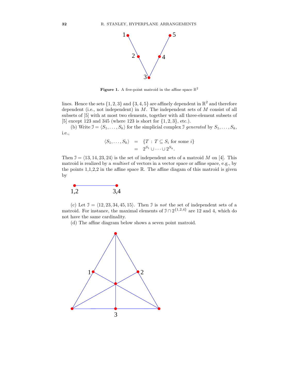

Figure 1. A five-point matroid in the affine space  $\mathbb{R}^2$ 

lines. Hence the sets  $\{1, 2, 3\}$  and  $\{3, 4, 5\}$  are affinely dependent in  $\mathbb{R}^2$  and therefore dependent (i.e., not independent) in  $M$ . The independent sets of  $M$  consist of all subsets of [5] with at most two elements, together with all three-element subsets of [5] except 123 and 345 (where 123 is short for  $\{1, 2, 3\}$ , etc.).

(b) Write  $\mathcal{I} = \langle S_1, \ldots, S_k \rangle$  for the simplicial complex I generated by  $S_1, \ldots, S_k$ , i.e.,

$$
\langle S_1, \dots, S_k \rangle = \{ T : T \subseteq S_i \text{ for some } i \}
$$

$$
= 2^{S_1} \cup \dots \cup 2^{S_k}.
$$

Then  $\mathcal{I} = \langle 13, 14, 23, 24 \rangle$  is the set of independent sets of a matroid M on [4]. This matroid is realized by a multiset of vectors in a vector space or affine space, e.g., by the points  $1,1,2,2$  in the affine space  $\mathbb R$ . The affine diagam of this matroid is given by



(c) Let  $\mathcal{I} = \langle 12, 23, 34, 45, 15 \rangle$ . Then  $\mathcal{I}$  is not the set of independent sets of a matroid. For instance, the maximal elements of  $\mathcal{I} \cap 2^{\{1,2,4\}}$  are 12 and 4, which do not have the same cardinality.

(d) The affine diagram below shows a seven point matroid.

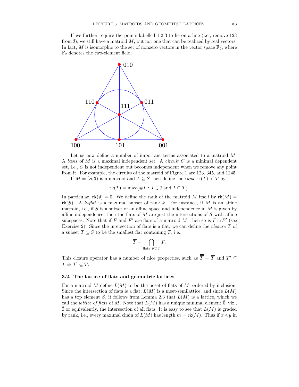If we further require the points labelled 1,2,3 to lie on a line (i.e., remove 123 from J), we still have a matroid  $M$ , but not one that can be realized by real vectors. In fact, M is isomorphic to the set of nonzero vectors in the vector space  $\mathbb{F}_2^3$ , where  $\mathbb{F}_2$  denotes the two-element field.



Let us now define a number of important terms associated to a matroid M. A basis of  $M$  is a maximal independent set. A *circuit*  $C$  is a minimal dependent set, i.e., C is not independent but becomes independent when we remove any point from it. For example, the circuits of the matroid of Figure 1 are 123, 345, and 1245. If  $M = (S, 1)$  is a matroid and  $T \subseteq S$  then define the *rank* rk(T) of T by

$$
rk(T) = \max\{\#I : I \in \mathcal{I} \text{ and } I \subseteq T\}.
$$

In particular,  $rk(\emptyset) = 0$ . We define the rank of the matroid M itself by  $rk(M) =$  $rk(S)$ . A k-flat is a maximal subset of rank k. For instance, if M is an affine matroid, i.e., if S is a subset of an affine space and independence in  $M$  is given by affine independence, then the flats of  $M$  are just the intersections of  $S$  with affine subspaces. Note that if F and F' are flats of a matroid M, then so is  $F \cap F'$  (see Exercise 2). Since the intersection of flats is a flat, we can define the *closure*  $\overline{T}$  of a subset  $T \subseteq S$  to be the smallest flat containing T, i.e.,

$$
\overline{T} = \bigcap_{\text{flats } F \supseteq T} F.
$$

This closure operator has a number of nice properties, such as  $\overline{T} = \overline{T}$  and  $T' \subseteq$  $T \Rightarrow \overline{T}' \subseteq \overline{T}.$ 

## 3.2. The lattice of flats and geometric lattices

For a matroid M define  $L(M)$  to be the poset of flats of M, ordered by inclusion. Since the intersection of flats is a flat,  $L(M)$  is a meet-semilattice; and since  $L(M)$ has a top element S, it follows from Lemma 2.3 that  $L(M)$  is a lattice, which we call the *lattice of flats* of M. Note that  $L(M)$  has a unique minimal element  $\hat{0}$ , viz.,  $\overline{\emptyset}$  or equivalently, the intersection of all flats. It is easy to see that  $L(M)$  is graded by rank, i.e., every maximal chain of  $L(M)$  has length  $m = \text{rk}(M)$ . Thus if  $x \leq y$  in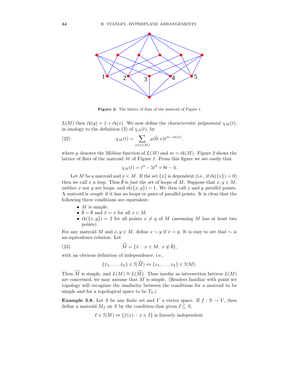

Figure 2. The lattice of flats of the matroid of Figure 1

 $L(M)$  then  $rk(y) = 1 + rk(x)$ . We now define the *characteristic polynomial*  $\chi_M(t)$ , in analogy to the definition (3) of  $\chi_{\mathcal{A}}(t)$ , by

(22) 
$$
\chi_M(t) = \sum_{x \in L(M)} \mu(\hat{0}, x) t^{m - \text{rk}(x)},
$$

where  $\mu$  denotes the Möbius function of  $L(M)$  and  $m = \text{rk}(M)$ . Figure 2 shows the lattice of flats of the matroid M of Figure 1. From this figure we see easily that

$$
\chi_M(t) = t^3 - 5t^2 + 8t - 4.
$$

Let M be a matroid and  $x \in M$ . If the set  $\{x\}$  is dependent (i.e., if  $rk(\{x\}) = 0$ ) then we call x a loop. Thus  $\emptyset$  is just the set of loops of M. Suppose that  $x, y \in M$ , neither x nor y are loops, and  $rk({x, y}) = 1$ . We then call x and y parallel points. A matroid is simple if it has no loops or pairs of parallel points. It is clear that the following three conditions are equivalent:

- $M$  is simple.
- $\overline{\emptyset} = \emptyset$  and  $\overline{x} = x$  for all  $x \in M$ .
- $rk({x, y}) = 2$  for all points  $x \neq y$  of M (assuming M has at least two points).

For any matroid M and  $x, y \in M$ , define  $x \sim y$  if  $\bar{x} = \bar{y}$ . It is easy to see that  $\sim$  is an equivalence relation. Let

(23) 
$$
\widehat{M} = \{ \bar{x} : x \in M, x \notin \bar{\emptyset} \},
$$

with an obvious definition of independence, i.e.,

$$
\{\bar{x}_1,\ldots,\bar{x}_k\}\in \mathfrak{I}(\widehat{M})\Leftrightarrow \{x_1,\ldots,x_k\}\in \mathfrak{I}(M).
$$

Then  $\widehat{M}$  is simple, and  $L(M) \cong L(\widehat{M})$ . Thus insofar as intersection lattices  $L(M)$ are concerned, we may assume that  $M$  is simple. (Readers familiar with point set topology will recognize the similarity between the conditions for a matroid to be simple and for a topological space to be  $T_0$ .)

**Example 3.8.** Let S be any finite set and V a vector space. If  $f : S \to V$ , then define a matroid  $M_f$  on S by the condition that given  $I \subseteq S$ ,

$$
I \in \mathcal{I}(M) \Leftrightarrow \{f(x) : x \in I\}
$$
 is linearly independent.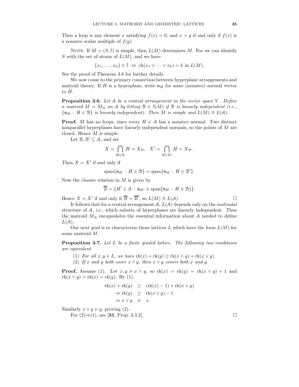Then a loop is any element x satisfying  $f(x) = 0$ , and  $x \sim y$  if and only if  $f(x)$  is a nonzero scalar multiple of  $f(y)$ .

NOTE. If  $M = (S, 1)$  is simple, then  $L(M)$  determines M. For we can identify S with the set of atoms of  $L(M)$ , and we have

$$
\{x_1, \ldots, x_k\} \in \mathfrak{I} \iff \text{rk}(x_1 \vee \cdots \vee x_k) = k \text{ in } L(M).
$$

See the proof of Theorem 3.8 for further details.

We now come to the primary connection between hyperplane arrangements and matroid theory. If H is a hyperplane, write  $\mathfrak{n}_H$  for some (nonzero) normal vector to H.

**Proposition 3.6.** Let  $A$  be a central arrangement in the vector space V. Define a matroid  $M = M_A$  on A by letting  $B \in J(M)$  if B is linearly independent (i.e.,  ${\mathfrak{n}}_H : H \in \mathcal{B}$  is linearly independent). Then M is simple and  $L(M) \cong L(\mathcal{A})$ .

**Proof.** M has no loops, since every  $H \in \mathcal{A}$  has a nonzero normal. Two distinct nonparallel hyperplanes have linearly independent normals, so the points of M are closed. Hence M is simple.

Let  $\mathcal{B}, \mathcal{B}' \subseteq \mathcal{A}$ , and set

$$
X = \bigcap_{H \in \mathcal{B}} H = X_{\mathcal{B}}, \quad X' = \bigcap_{H \in \mathcal{B}'} H = X_{\mathcal{B}}.
$$

Then  $X = X'$  if and only if

$$
\mathrm{span}\{\mathfrak{n}_H\,:\,H\in\mathfrak{B}\}=\mathrm{span}\{\mathfrak{n}_H\,:\,H\in\mathfrak{B}'\}.
$$

Now the closure relation in  $M$  is given by

$$
\overline{\mathcal{B}} = \{ H' \in \mathcal{A} : \mathfrak{n}_{H'} \in \text{span}\{\mathfrak{n}_H : H \in \mathcal{B}\} \}.
$$

Hence  $X = X'$  if and only if  $\overline{B} = \overline{B}'$ , so  $L(M) \cong L(A)$ .

It follows that for a central arrangement  $A, L(A)$  depends only on the *matroidal* structure of A, i.e., which subsets of hyperplanes are linearly independent. Thus the matroid  $M_A$  encapsulates the essential information about A needed to define  $L(A)$ .

Our next goal is to characterize those lattices  $L$  which have the form  $L(M)$  for some matroid M.

Proposition 3.7. Let L be a finite graded lattice. The following two conditions are equivalent.

- (1) For all  $x, y \in L$ , we have  $\mathrm{rk}(x) + \mathrm{rk}(y) \geq \mathrm{rk}(x \wedge y) + \mathrm{rk}(x \vee y)$ .
- (2) If x and y both cover  $x \wedge y$ , then  $x \vee y$  covers both x and y.

**Proof.** Assume (1). Let  $x, y > x \wedge y$ , so  $rk(x) = rk(y) = rk(x \wedge y) + 1$  and  $rk(x \vee y) > rk(x) = rk(y)$ . By (1),

$$
\begin{aligned} \n\text{rk}(x) + \text{rk}(y) &\geq \quad (\text{rk}(x) - 1) + \text{rk}(x \vee y) \\ \n&\Rightarrow \text{rk}(y) &\geq \quad \text{rk}(x \vee y) - 1 \\ \n&\Rightarrow x \vee y &\geq x. \n\end{aligned}
$$

Similarly  $x \lor y \gt y$ , proving (2).

For  $(2) \Rightarrow (1)$ , see [31, Prop. 3.3.2]. □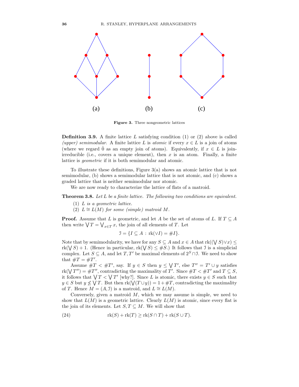

Figure 3. Three nongeometric lattices

**Definition 3.9.** A finite lattice L satisfying condition  $(1)$  or  $(2)$  above is called (upper) semimodular. A finite lattice L is atomic if every  $x \in L$  is a join of atoms (where we regard  $\hat{0}$  as an empty join of atoms). Equivalently, if  $x \in L$  is joinirreducible (i.e., covers a unique element), then  $x$  is an atom. Finally, a finite lattice is geometric if it is both semimodular and atomic.

To illustrate these definitions, Figure 3(a) shows an atomic lattice that is not semimodular, (b) shows a semimodular lattice that is not atomic, and (c) shows a graded lattice that is neither semimodular nor atomic.

We are now ready to characterize the lattice of flats of a matroid.

Theorem 3.8. Let L be a finite lattice. The following two conditions are equivalent.

- (1) L is a geometric lattice.
- (2)  $L \cong L(M)$  for some (simple) matroid M.

**Proof.** Assume that L is geometric, and let A be the set of atoms of L. If  $T \subseteq A$ then write  $\bigvee T = \bigvee_{x \in T} x$ , the join of all elements of T. Let

$$
\mathcal{I} = \{I \subseteq A : \text{rk}(\vee I) = \#I\}.
$$

Note that by semimodularity, we have for any  $S \subseteq A$  and  $x \in A$  that  $\text{rk}((\bigvee S)\vee x) \leq$  $rk(\bigvee S) + 1.$  (Hence in particular,  $rk(\bigvee S) \leq \#S.$ ) It follows that J is a simplicial complex. Let  $S \subseteq A$ , and let  $T, T'$  be maximal elements of  $2^S \cap \mathcal{I}$ . We need to show that  $\#T = \#T'$ .

Assume  $\#T \leq \#T'$ , say. If  $y \in S$  then  $y \leq \sqrt{T'}$ , else  $T'' = T' \cup y$  satisfies  $\text{rk}(\bigvee T'') = \#T''$ , contradicting the maximality of T'. Since  $\#T < \#T'$  and  $T \subseteq S$ , it follows that  $\bigvee T < \bigvee T'$  [why?]. Since L is atomic, there exists  $y \in S$  such that  $y \in S$  but  $y \not\leq \bigvee T$ . But then  $rk(\bigvee(T \cup y)) = 1 + \#T$ , contradicting the maximality of T. Hence  $M = (A, \mathcal{I})$  is a matroid, and  $L \cong L(M)$ .

Conversely, given a matroid  $M$ , which we may assume is simple, we need to show that  $L(M)$  is a geometric lattice. Clearly  $L(M)$  is atomic, since every flat is the join of its elements. Let  $S, T \subseteq M$ . We will show that

(24) 
$$
rk(S) + rk(T) \geq rk(S \cap T) + rk(S \cup T).
$$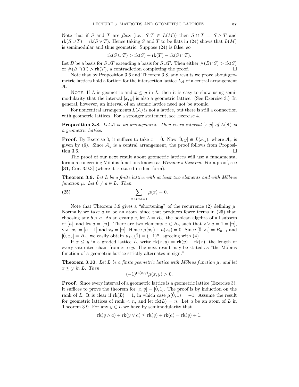Note that if S and T are flats (i.e.,  $S, T \in L(M)$ ) then  $S \cap T = S \wedge T$  and  $rk(S\cup T)=rk(S\vee T)$ . Hence taking S and T to be flats in (24) shows that  $L(M)$ is semimodular and thus geometric. Suppose (24) is false, so

$$
rk(S \cup T) > rk(S) + rk(T) - rk(S \cap T).
$$

Let B be a basis for  $S \cup T$  extending a basis for  $S \cup T$ . Then either  $\#(B \cap S) > \text{rk}(S)$ <br>or  $\#(B \cap T) > \text{rk}(T)$  a contradiction completing the proof or  $\#(B \cap T) > \text{rk}(T)$ , a contradiction completing the proof.

Note that by Proposition 3.6 and Theorem 3.8, any results we prove about geometric lattices hold a fortiori for the intersection lattice  $L_A$  of a central arrangement A.

NOTE. If L is geometric and  $x \leq y$  in L, then it is easy to show using semimodularity that the interval  $[x, y]$  is also a geometric lattice. (See Exercise 3.) In general, however, an interval of an atomic lattice need not be atomic.

For noncentral arrangements  $L(\mathcal{A})$  is not a lattice, but there is still a connection with geometric lattices. For a stronger statement, see Exercise 4.

**Proposition 3.8.** Let A be an arrangement. Then every interval  $[x, y]$  of  $L(A)$  is a geometric lattice.

**Proof.** By Exercise 3, it suffices to take  $x = \hat{0}$ . Now  $[\hat{0}, y] \cong L(\mathcal{A}_y)$ , where  $\mathcal{A}_y$  is given by  $(6)$ . Since  $\mathcal{A}_y$  is a central arrangement, the proof follows from Proposition 3.6.  $\Box$ 

The proof of our next result about geometric lattices will use a fundamental formula concerning Möbius functions known as *Weisner's theorem*. For a proof, see [31, Cor. 3.9.3] (where it is stated in dual form).

**Theorem 3.9.** Let  $L$  be a finite lattice with at least two elements and with Möbius function  $\mu$ . Let  $\hat{0} \neq a \in L$ . Then

(25) 
$$
\sum_{x \, : \, x \vee a = \hat{1}} \mu(x) = 0.
$$

Note that Theorem 3.9 gives a "shortening" of the recurrence (2) defining  $\mu$ . Normally we take  $a$  to be an atom, since that produces fewer terms in  $(25)$  than choosing any  $b > a$ . As an example, let  $L = B_n$ , the boolean algebra of all subsets of [n], and let  $a = \{n\}$ . There are two elements  $x \in B_n$  such that  $x \vee a = 1 = [n]$ , viz.,  $x_1 = [n-1]$  and  $x_2 = [n]$ . Hence  $\mu(x_1) + \mu(x_2) = 0$ . Since  $[\hat{0}, x_1] = B_{n-1}$  and  $[\hat{0}, x_2] = B_n$ , we easily obtain  $\mu_{B_n}(\hat{1}) = (-1)^n$ , agreeing with (4).

If  $x \leq y$  in a graded lattice L, write  $rk(x, y) = rk(y) - rk(x)$ , the length of every saturated chain from x to y. The next result may be stated as "the Möbius" function of a geometric lattice strictly alternates in sign."

**Theorem 3.10.** Let L be a finite geometric lattice with Möbius function  $\mu$ , and let  $x \leq y$  in L. Then

$$
(-1)^{\operatorname{rk}(x,y)}\mu(x,y) > 0.
$$

**Proof.** Since every interval of a geometric lattice is a geometric lattice (Exercise 3), it suffices to prove the theorem for  $[x, y] = [\hat{0}, \hat{1}]$ . The proof is by induction on the rank of L. It is clear if  $rk(L) = 1$ , in which case  $\mu(\hat{0}, \hat{1}) = -1$ . Assume the result for geometric lattices of rank  $\langle n, \text{ and let } r k(L) = n$ . Let a be an atom of L in Theorem 3.9. For any  $y \in L$  we have by semimodularity that

$$
rk(y \wedge a) + rk(y \vee a) \leq rk(y) + rk(a) = rk(y) + 1.
$$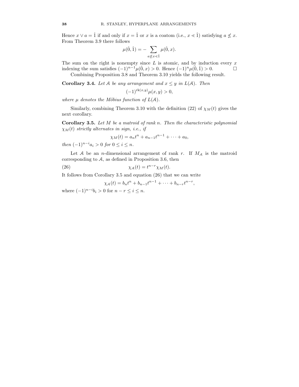Hence  $x \vee a = \hat{1}$  if and only if  $x = \hat{1}$  or x is a coatom (i.e.,  $x \leq \hat{1}$ ) satisfying  $a \not\leq x$ . From Theorem 3.9 there follows

$$
\mu(\hat{0}, \hat{1}) = -\sum_{a \not\leq x < \hat{1}} \mu(\hat{0}, x).
$$

The sum on the right is nonempty since  $L$  is atomic, and by induction every  $x$ indexing the sum satisfies  $(-1)^{n-1}\mu(0, x) > 0$ . Hence  $(-1)^n\mu(0, 1) > 0$ . □ Combining Proposition 3.8 and Theorem 3.10 yields the following result.

**Corollary 3.4.** Let A be any arrangement and  $x \leq y$  in  $L(A)$ . Then

$$
(-1)^{\operatorname{rk}(x,y)}\mu(x,y) > 0,
$$

where  $\mu$  denotes the Möbius function of  $L(\mathcal{A})$ .

Similarly, combining Theorem 3.10 with the definition (22) of  $\chi_M(t)$  gives the next corollary.

**Corollary 3.5.** Let  $M$  be a matroid of rank n. Then the characteristic polynomial  $\chi_M(t)$  strictly alternates in sign, i.e., if

$$
\chi_M(t) = a_n t^n + a_{n-1} t^{n-1} + \dots + a_0,
$$

then  $(-1)^{n-i}a_i > 0$  for  $0 \leq i \leq n$ .

Let  $A$  be an *n*-dimensional arrangement of rank r. If  $M_A$  is the matroid corresponding to  $A$ , as defined in Proposition 3.6, then

(26) 
$$
\chi_A(t) = t^{n-r} \chi_M(t).
$$

It follows from Corollary 3.5 and equation (26) that we can write

$$
\chi_{\mathcal{A}}(t) = b_n t^n + b_{n-1} t^{n-1} + \dots + b_{n-r} t^{n-r},
$$

where  $(-1)^{n-i}b_i > 0$  for  $n - r \leq i \leq n$ .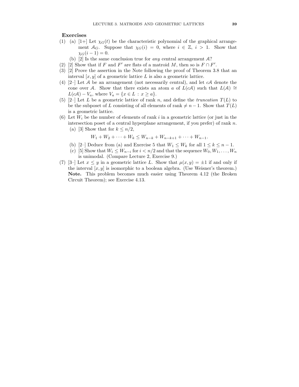## Exercises

- (1) (a) [1+] Let  $\chi_G(t)$  be the characteristic polynomial of the graphical arrangement  $A_G$ . Suppose that  $\chi_G(i) = 0$ , where  $i \in \mathbb{Z}$ ,  $i > 1$ . Show that  $\chi_G(i-1) = 0.$ 
	- (b) [2] Is the same conclusion true for *any* central arrangement  $A$ ?
- (2) [2] Show that if F and F' are flats of a matroid M, then so is  $F \cap F'$ .
- (3) [2] Prove the assertion in the Note following the proof of Theorem 3.8 that an interval  $[x, y]$  of a geometric lattice L is also a geometric lattice.
- (4)  $[2-]$  Let A be an arrangement (not necessarily central), and let cA denote the cone over A. Show that there exists an atom a of  $L(cA)$  such that  $L(A) \cong$  $L(cA) - V_a$ , where  $V_a = \{x \in L : x \ge a\}.$
- (5)  $[2-]$  Let L be a geometric lattice of rank n, and define the truncation  $T(L)$  to be the subposet of L consisting of all elements of rank  $\neq n - 1$ . Show that  $T(L)$ is a geometric lattice.
- (6) Let  $W_i$  be the number of elements of rank i in a geometric lattice (or just in the intersection poset of a central hyperplane arrangement, if you prefer) of rank  $n$ . (a) [3] Show that for  $k \leq n/2$ ,

$$
W_1 + W_2 + \dots + W_k \le W_{n-k} + W_{n-k+1} + \dots + W_{n-1}.
$$

- (b) [2–] Deduce from (a) and Exercise 5 that  $W_1 \leq W_k$  for all  $1 \leq k \leq n-1$ .
- (c) [5] Show that  $W_i \leq W_{n-i}$  for  $i < n/2$  and that the sequence  $W_0, W_1, \ldots, W_n$ is unimodal. (Compare Lecture 2, Exercise 9.)
- (7) [3–] Let  $x \leq y$  in a geometric lattice L. Show that  $\mu(x, y) = \pm 1$  if and only if the interval  $[x, y]$  is isomorphic to a boolean algebra. (Use Weisner's theorem.) Note. This problem becomes much easier using Theorem 4.12 (the Broken Circuit Theorem); see Exercise 4.13.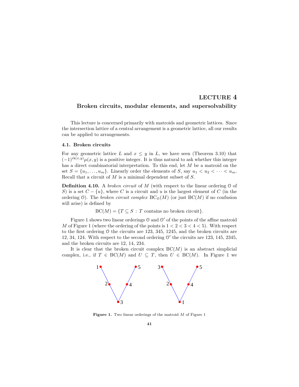# LECTURE 4 Broken circuits, modular elements, and supersolvability

This lecture is concerned primarily with matroids and geometric lattices. Since the intersection lattice of a central arrangement is a geometric lattice, all our results can be applied to arrangements.

### 4.1. Broken circuits

For any geometric lattice L and  $x \leq y$  in L, we have seen (Theorem 3.10) that  $(-1)^{\text{rk}(x,y)}\mu(x,y)$  is a positive integer. It is thus natural to ask whether this integer has a direct combinatorial interpretation. To this end, let M be a matroid on the set  $S = \{u_1, \ldots, u_m\}$ . Linearly order the elements of S, say  $u_1 < u_2 < \cdots < u_m$ . Recall that a circuit of  $M$  is a minimal dependent subset of  $S$ .

**Definition 4.10.** A broken circuit of M (with respect to the linear ordering  $\theta$  of S) is a set  $C - \{u\}$ , where C is a circuit and u is the largest element of C (in the ordering 0). The broken circuit complex  $BC_{\mathcal{O}}(M)$  (or just  $BC(M)$  if no confusion will arise) is defined by

 $BC(M) = \{T \subseteq S : T \text{ contains no broken circuit}\}.$ 

Figure 1 shows two linear orderings  $\mathcal O$  and  $\mathcal O'$  of the points of the affine matroid M of Figure 1 (where the ordering of the points is  $1 < 2 < 3 < 4 < 5$ ). With respect to the first ordering O the circuits are 123, 345, 1245, and the broken circuits are 12, 34, 124. With respect to the second ordering  $0'$  the circuits are 123, 145, 2345, and the broken circuits are 12, 14, 234.

It is clear that the broken circuit complex  $BC(M)$  is an abstract simplicial complex, i.e., if  $T \in BC(M)$  and  $U \subseteq T$ , then  $U \in BC(M)$ . In Figure 1 we



Figure 1. Two linear orderings of the matroid  $M$  of Figure 1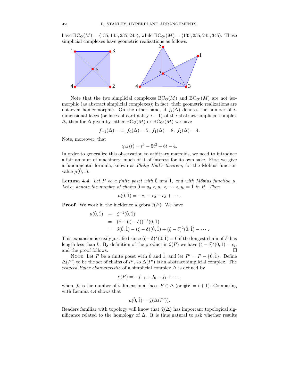have  $BC_0(M) = \langle 135, 145, 235, 245 \rangle$ , while  $BC_{0'}(M) = \langle 135, 235, 245, 345 \rangle$ . These simplicial complexes have geometric realizations as follows:



Note that the two simplicial complexes  $BC_0(M)$  and  $BC_{0'}(M)$  are not isomorphic (as abstract simplicial complexes); in fact, their geometric realizations are not even homeomorphic. On the other hand, if  $f_i(\Delta)$  denotes the number of *i*dimensional faces (or faces of cardinality  $i - 1$ ) of the abstract simplicial complex  $\Delta$ , then for  $\Delta$  given by either BC<sub>O</sub>(M) or BC<sub>O</sub>(M) we have

$$
f_{-1}(\Delta) = 1
$$
,  $f_0(\Delta) = 5$ ,  $f_1(\Delta) = 8$ ,  $f_2(\Delta) = 4$ .

Note, moreover, that

 $\chi_M(t) = t^3 - 5t^2 + 8t - 4.$ 

In order to generalize this observation to arbitrary matroids, we need to introduce a fair amount of machinery, much of it of interest for its own sake. First we give a fundamental formula, known as *Philip Hall's theorem*, for the Möbius function value  $\mu(0,1)$ .

**Lemma 4.4.** Let P be a finite poset with  $\hat{0}$  and  $\hat{1}$ , and with Möbius function  $\mu$ . Let  $c_i$  denote the number of chains  $\hat{0} = y_0 < y_1 < \cdots < y_i = \hat{1}$  in P. Then

$$
\mu(\hat{0}, \hat{1}) = -c_1 + c_2 - c_3 + \cdots.
$$

**Proof.** We work in the incidence algebra  $\mathcal{I}(P)$ . We have

$$
\mu(\hat{0}, \hat{1}) = \zeta^{-1}(\hat{0}, \hat{1}) \n= (\delta + (\zeta - \delta))^{-1}(\hat{0}, \hat{1}) \n= \delta(\hat{0}, \hat{1}) - (\zeta - \delta)(\hat{0}, \hat{1}) + (\zeta - \delta)^2(\hat{0}, \hat{1}) - \cdots.
$$

This expansion is easily justified since  $(\zeta - \delta)^k(\hat{0}, \hat{1}) = 0$  if the longest chain of P has length less than k. By definition of the product in  $\mathcal{I}(P)$  we have  $(\zeta - \delta)^i(\hat{0}, \hat{1}) = c_i$ , and the proof follows.  $\Box$ 

NOTE. Let P be a finite poset with  $\hat{0}$  and  $\hat{1}$ , and let  $P' = P - \{\hat{0}, \hat{1}\}$ . Define  $\Delta(P')$  to be the set of chains of P', so  $\Delta(P')$  is an abstract simplicial complex. The reduced Euler characteristic of a simplicial complex  $\Delta$  is defined by

$$
\tilde{\chi}(P) = -f_{-1} + f_0 - f_1 + \cdots,
$$

where  $f_i$  is the number of *i*-dimensional faces  $F \in \Delta$  (or  $\#F = i + 1$ ). Comparing with Lemma 4.4 shows that

$$
\mu(\hat{0}, \hat{1}) = \tilde{\chi}(\Delta(P')).
$$

Readers familiar with topology will know that  $\tilde{\chi}(\Delta)$  has important topological significance related to the homology of  $\Delta$ . It is thus natural to ask whether results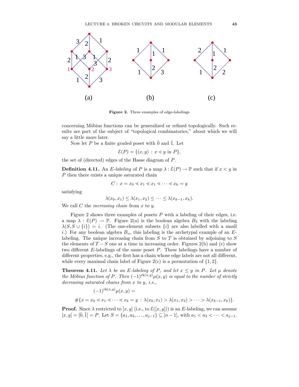

Figure 2. Three examples of edge-labelings

concerning Möbius functions can be generalized or refined topologically. Such results are part of the subject of "topological combinatorics," about which we will say a little more later.

Now let P be a finite graded poset with  $\hat{0}$  and  $\hat{1}$ . Let

 $\mathcal{E}(P) = \{(x, y) : x \leq y \text{ in } P\},\$ 

the set of (directed) edges of the Hasse diagram of P.

**Definition 4.11.** An E-labeling of P is a map  $\lambda : \mathcal{E}(P) \to \mathbb{P}$  such that if  $x < y$  in P then there exists a unique saturated chain

$$
C: x = x_0 \le x_1 \le x_1 \le \dots \le x_k = y
$$

satisfying

$$
\lambda(x_0,x_1) \leq \lambda(x_1,x_2) \leq \cdots \leq \lambda(x_{k-1},x_k).
$$

We call  $C$  the *increasing chain* from  $x$  to  $y$ .

Figure 2 shows three examples of posets  $P$  with a labeling of their edges, i.e. a map  $\lambda : \mathcal{E}(P) \to \mathbb{P}$ . Figure 2(a) is the boolean algebra  $B_3$  with the labeling  $\lambda(S, S \cup \{i\}) = i$ . (The one-element subsets  $\{i\}$  are also labelled with a small i.) For any boolean algebra  $B_n$ , this labeling is the archetypal example of an  $E$ labeling. The unique increasing chain from  $S$  to  $T$  is obtained by adjoining to  $S$ the elements of  $T-S$  one at a time in increasing order. Figures 2(b) and (c) show two different  $E$ -labelings of the same poset  $P$ . These labelings have a number of different properties, e.g., the first has a chain whose edge labels are not all different, while every maximal chain label of Figure  $2(c)$  is a permutation of  $\{1, 2\}$ .

**Theorem 4.11.** Let  $\lambda$  be an E-labeling of P, and let  $x \leq y$  in P. Let  $\mu$  denote the Möbius function of P. Then  $(-1)^{\text{rk}(x,y)}\mu(x,y)$  is equal to the number of strictly decreasing saturated chains from x to y, i.e.,

$$
(-1)^{\text{rk}(x,y)}\mu(x,y) =
$$
  
#{x = x<sub>0</sub> < x<sub>1</sub> < ... < x<sub>k</sub> = y :  $\lambda(x_0, x_1) > \lambda(x_1, x_2) > ... > \lambda(x_{k-1}, x_k)$ }

**Proof.** Since  $\lambda$  restricted to  $[x, y]$  (i.e., to  $\mathcal{E}([x, y])$ ) is an E-labeling, we can assume  $[x, y] = [\hat{0}, \hat{1}] = P$ . Let  $S = \{a_1, a_2, \ldots, a_{j-1}\} \subseteq [n-1]$ , with  $a_1 < a_2 < \cdots < a_{j-1}$ .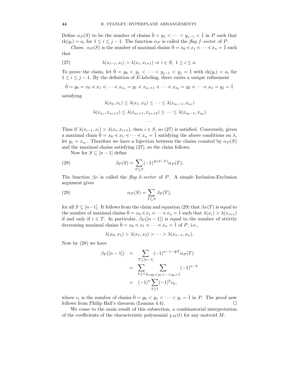Define  $\alpha_P(S)$  to be the number of chains  $\hat{0} \lt y_1 \lt \cdots \lt y_{i-1} \lt \hat{1}$  in P such that  $rk(y_i) = a_i$  for  $1 \leq i \leq j-1$ . The function  $\alpha_P$  is called the flag f-vector of P.

*Claim.*  $\alpha_P(S)$  is the number of maximal chains  $0 = x_0 \le x_1 \le \cdots \le x_n = 1$  such that

(27) 
$$
\lambda(x_{i-1}, x_i) > \lambda(x_i, x_{i+1}) \Rightarrow i \in S, 1 \le i \le n.
$$

To prove the claim, let  $\hat{0} = y_0 < y_1 < \cdots < y_{j-1} < y_j = \hat{1}$  with  $rk(y_i) = a_i$  for  $1 \leq i \leq j-1$ . By the definition of E-labeling, there exists a unique refinement

$$
\hat{0} = y_0 = x_0 \le x_1 \le \dots \le x_{a_1} = y_1 \le x_{a_1+1} \le \dots \le x_{a_2} = y_2 \le \dots \le x_n = y_j = \hat{1}
$$

satisfying

$$
\lambda(x_0, x_1) \le \lambda(x_1, x_2) \le \dots \le \lambda(x_{a_1 - 1}, x_{a_1})
$$
  

$$
\lambda(x_{a_1}, x_{a_1 + 1}) \le \lambda(x_{a_1 + 1}, x_{a_1 + 2}) \le \dots \le \lambda(x_{a_2 - 1}, x_{a_2})
$$

Thus if  $\lambda(x_{i-1}, x_i) > \lambda(x_i, x_{i+1})$ , then  $i \in S$ , so (27) is satisfied. Conversely, given a maximal chain  $0 = x_0 \lt x_1 \lt \cdots \lt x_n = 1$  satisfying the above conditions on  $\lambda$ , let  $y_i = x_{a_i}$ . Therefore we have a bijection between the chains counted by  $\alpha_P(S)$ and the maximal chains satisfying (27), so the claim follows.

· · ·

Now for  $S \subseteq [n-1]$  define

(28) 
$$
\beta_P(S) = \sum_{T \subseteq S} (-1)^{\#(S-T)} \alpha_P(T).
$$

The function  $\beta_P$  is called the flag h-vector of P. A simple Inclusion-Exclusion argument gives

(29) 
$$
\alpha_P(S) = \sum_{T \subseteq S} \beta_P(T),
$$

for all  $S \subseteq [n-1]$ . It follows from the claim and equation (29) that  $\beta_P(T)$  is equal to the number of maximal chains  $\hat{0} = x_0 \le x_1 \le \cdots \le x_n = \hat{1}$  such that  $\lambda(x_i) > \lambda(x_{i+1})$ if and only if  $i \in T$ . In particular,  $\beta_P([n-1])$  is equal to the number of strictly decreasing maximal chains  $\hat{0} = x_0 \le x_1 \le \cdots \le x_n = \hat{1}$  of P, i.e.,

$$
\lambda(x_0,x_1) > \lambda(x_1,x_2) > \cdots > \lambda(x_{n-1},x_n).
$$

Now by (28) we have

$$
\beta_P([n-1]) = \sum_{T \subseteq [n-1]} (-1)^{n-1} \#T_{\alpha_P(T)}
$$
  
= 
$$
\sum_{k \ge 1} \sum_{\hat{0} = y_0 < y_1 < \dots < y_k = \hat{1}}
$$
  
= 
$$
(-1)^n \sum_{k \ge 1} (-1)^k c_k,
$$

where  $c_i$  is the number of chains  $\hat{0} = y_0 < y_1 < \cdots < y_i = \hat{1}$  in P. The proof now follows from Philip Hall's theorem (Lemma 4.4).  $\Box$ 

We come to the main result of this subsection, a combinatorial interpretation of the coefficients of the characteristic polynomial  $\chi_M(t)$  for any matroid M.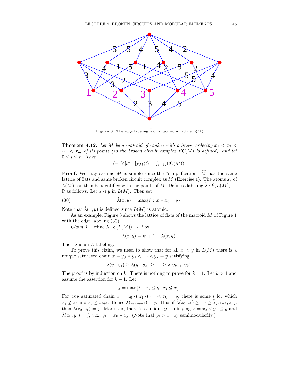

**Figure 3.** The edge labeling  $\tilde{\lambda}$  of a geometric lattice  $L(M)$ 

**Theorem 4.12.** Let M be a matroid of rank n with a linear ordering  $x_1 < x_2$  $\cdots < x_m$  of its points (so the broken circuit complex  $BC(M)$  is defined), and let  $0 \leq i \leq n$ . Then

$$
(-1)^{i}[t^{n-i}]\chi_M(t) = f_{i-1}(\text{BC}(M)).
$$

**Proof.** We may assume M is simple since the "simplification"  $\widehat{M}$  has the same lattice of flats and same broken circuit complex as  $M$  (Exercise 1). The atoms  $x_i$  of  $L(M)$  can then be identified with the points of M. Define a labeling  $\tilde{\lambda} : \mathcal{E}(L(M)) \rightarrow$  $\mathbb P$  as follows. Let  $x \leq y$  in  $L(M)$ . Then set

(30) 
$$
\tilde{\lambda}(x, y) = \max\{i : x \vee x_i = y\}.
$$

Note that  $\tilde{\lambda}(x, y)$  is defined since  $L(M)$  is atomic.

As an example, Figure 3 shows the lattice of flats of the matroid M of Figure 1 with the edge labeling (30).

*Claim 1.* Define  $\lambda : \mathcal{E}(L(M)) \to \mathbb{P}$  by

$$
\lambda(x, y) = m + 1 - \tilde{\lambda}(x, y).
$$

Then  $\lambda$  is an E-labeling.

To prove this claim, we need to show that for all  $x < y$  in  $L(M)$  there is a unique saturated chain  $x = y_0 \le y_1 \le \cdots \le y_k = y$  satisfying

$$
\tilde{\lambda}(y_0, y_1) \geq \tilde{\lambda}(y_1, y_2) \geq \cdots \geq \tilde{\lambda}(y_{k-1}, y_k).
$$

The proof is by induction on k. There is nothing to prove for  $k = 1$ . Let  $k > 1$  and assume the assertion for  $k - 1$ . Let

$$
j = \max\{i : x_i \le y, \ x_i \not\le x\}.
$$

For any saturated chain  $x = z_0 \le z_1 \le \cdots \le z_k = y$ , there is some i for which  $x_j \nleq z_i$  and  $x_j \leq z_{i+1}$ . Hence  $\tilde{\lambda}(z_i, z_{i+1}) = j$ . Thus if  $\tilde{\lambda}(z_0, z_1) \geq \cdots \geq \tilde{\lambda}(z_{k-1}, z_k)$ , then  $\tilde{\lambda}(z_0, z_1) = j$ . Moreover, there is a unique  $y_1$  satisfying  $x = x_0 \le y_1 \le y$  and  $\tilde{\lambda}(x_0, y_1) = j$ , viz.,  $y_1 = x_0 \vee x_j$ . (Note that  $y_1 > x_0$  by semimodularity.)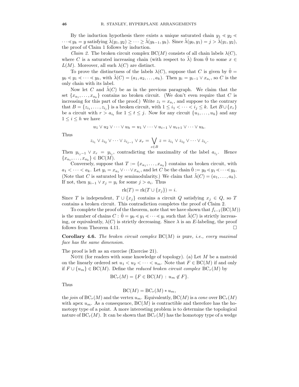By the induction hypothesis there exists a unique saturated chain  $y_1 \le y_2 \le$  $\cdots \leq y_k = y$  satisfying  $\lambda(y_1, y_2) \geq \cdots \geq \lambda(y_{k-1}, y_k)$ . Since  $\lambda(y_0, y_1) = j > \lambda(y_1, y_2)$ , the proof of Claim 1 follows by induction.

*Claim 2.* The broken circuit complex  $BC(M)$  consists of all chain labels  $\lambda(C)$ , where C is a saturated increasing chain (with respect to  $\lambda$ ) from  $\overline{0}$  to some  $x \in$  $L(M)$ . Moreover, all such  $\lambda(C)$  are distinct.

To prove the distinctness of the labels  $\lambda(C)$ , suppose that C is given by  $\hat{0} =$  $y_0 \lessdot y_1 \lessdot \cdots \lessdot y_k$ , with  $\tilde{\lambda}(C) = (a_1, a_2, \ldots, a_k)$ . Then  $y_i = y_{i-1} \vee x_{a_i}$ , so C is the only chain with its label.

Now let C and  $\lambda(C)$  be as in the previous paragraph. We claim that the set  $\{x_{a_1}, \ldots, x_{a_k}\}\)$  contains no broken circuit. (We don't even require that C is increasing for this part of the proof.) Write  $z_i = x_{a_i}$ , and suppose to the contrary that  $B = \{z_{i_1}, \ldots, z_{i_j}\}$  is a broken circuit, with  $1 \leq i_1 < \cdots < i_j \leq k$ . Let  $B \cup \{x_r\}$ be a circuit with  $r > a_{i_t}$  for  $1 \le t \le j$ . Now for any circuit  $\{u_1, \ldots, u_h\}$  and any  $1 \leq i \leq h$  we have

$$
u_1 \vee u_2 \vee \cdots \vee u_h = u_1 \vee \cdots \vee u_{i-1} \vee u_{i+1} \vee \cdots \vee u_h.
$$

Thus

$$
z_{i_1} \vee z_{i_2} \vee \cdots \vee z_{i_{j-1}} \vee x_r = \bigvee_{z \in B} z = z_{i_1} \vee z_{i_2} \vee \cdots \vee z_{i_j}.
$$

Then  $y_{i_j-1} \vee x_r = y_{i_j}$ , contradicting the maximality of the label  $a_{i_j}$ . Hence  ${x_{a_1}, \ldots, x_{a_k}} \in BC(M).$ 

Conversely, suppose that  $T := \{x_{a_1}, \ldots, x_{a_k}\}$  contains no broken circuit, with  $a_1 < \cdots < a_k$ . Let  $y_i = x_{a_1} \vee \cdots \vee x_{a_i}$ , and let C be the chain  $\hat{0} := y_0 \lessdot y_1 \lessdot \cdots \lessdot y_k$ . (Note that C is saturated by semimodularity.) We claim that  $\lambda(C) = (a_1, \ldots, a_k)$ . If not, then  $y_{i-1} \vee x_j = y_i$  for some  $j > a_i$ . Thus

$$
rk(T) = rk(T \cup \{x_j\}) = i.
$$

Since T is independent,  $T \cup \{x_i\}$  contains a circuit Q satisfying  $x_i \in Q$ , so T contains a broken circuit. This contradiction completes the proof of Claim 2.

To complete the proof of the theorem, note that we have shown that  $f_{i-1}(\mathrm{BC}(M))$ is the number of chains  $C : 0 = y_0 \le y_1 \le \cdots \le y_i$  such that  $\lambda(C)$  is strictly increasing, or equivalently,  $\lambda(C)$  is strictly decreasing. Since  $\lambda$  is an E-labeling, the proof follows from Theorem 4.11.

**Corollary 4.6.** The broken circuit complex  $BC(M)$  is pure, i.e., every maximal face has the same dimension.

The proof is left as an exercise (Exercise 21).

NOTE (for readers with some knowledge of topology). (a) Let  $M$  be a matroid on the linearly ordered set  $u_1 < u_2 < \cdots < u_m$ . Note that  $F \in BC(M)$  if and only if  $F \cup \{u_m\} \in BC(M)$ . Define the *reduced broken circuit complex*  $BC_r(M)$  by

$$
BC_r(M) = \{ F \in BC(M) : u_m \notin F \}.
$$

Thus

$$
BC(M) = BC_r(M) * u_m,
$$

the join of  $\mathrm{BC}_r(M)$  and the vertex  $u_m$ . Equivalently,  $\mathrm{BC}(M)$  is a cone over  $\mathrm{BC}_r(M)$ with apex  $u_m$ . As a consequence,  $BC(M)$  is contractible and therefore has the homotopy type of a point. A more interesting problem is to determine the topological nature of  $BC_r(M)$ . It can be shown that  $BC_r(M)$  has the homotopy type of a wedge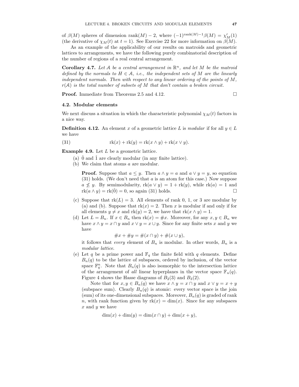of  $\beta(M)$  spheres of dimension rank $(M) - 2$ , where  $(-1)^{\text{rank}(M) - 1} \beta(M) = \chi'_M(1)$ (the derivative of  $\chi_M(t)$  at  $t = 1$ ). See Exercise 22 for more information on  $\beta(M)$ .

As an example of the applicability of our results on matroids and geometric lattices to arrangements, we have the following purely combinatorial description of the number of regions of a real central arrangement.

**Corollary 4.7.** Let A be a central arrangement in  $\mathbb{R}^n$ , and let M be the matroid defined by the normals to  $H \in \mathcal{A}$ , i.e., the independent sets of M are the linearly independent normals. Then with respect to any linear ordering of the points of  $M$ .  $r(\mathcal{A})$  is the total number of subsets of M that don't contain a broken circuit.

**Proof.** Immediate from Theorems 2.5 and 4.12.

## 4.2. Modular elements

We next discuss a situation in which the characteristic polynomial  $\chi_M(t)$  factors in a nice way.

**Definition 4.12.** An element x of a geometric lattice L is modular if for all  $y \in L$ we have

(31) 
$$
rk(x) + rk(y) = rk(x \wedge y) + rk(x \vee y).
$$

**Example 4.9.** Let  $L$  be a geometric lattice.

- (a)  $\hat{0}$  and  $\hat{1}$  are clearly modular (in any finite lattice).
- (b) We claim that atoms a are modular.

**Proof.** Suppose that  $a \leq y$ . Then  $a \wedge y = a$  and  $a \vee y = y$ , so equation  $(31)$  holds. (We don't need that a is an atom for this case.) Now suppose  $a \nleq y$ . By semimodularity,  $\text{rk}(a \vee y) = 1 + \text{rk}(y)$ , while  $\text{rk}(a) = 1$  and  $\text{rk}(a \wedge y) = \text{rk}(\hat{0}) = 0$  so again (31) holds  $rk(a \wedge y) = rk(\hat{0}) = 0$ , so again (31) holds.

- (c) Suppose that  $rk(L) = 3$ . All elements of rank 0, 1, or 3 are modular by (a) and (b). Suppose that  $rk(x) = 2$ . Then x is modular if and only if for all elements  $y \neq x$  and  $rk(y) = 2$ , we have that  $rk(x \wedge y) = 1$ .
- (d) Let  $L = B_n$ . If  $x \in B_n$  then  $rk(x) = \#x$ . Moreover, for any  $x, y \in B_n$  we have  $x \wedge y = x \cap y$  and  $x \vee y = x \cup y$ . Since for any finite sets x and y we have

$$
\#x + \#y = \#(x \cap y) + \#(x \cup y),
$$

it follows that *every* element of  $B_n$  is modular. In other words,  $B_n$  is a modular lattice.

(e) Let q be a prime power and  $\mathbb{F}_q$  the finite field with q elements. Define  $B_n(q)$  to be the lattice of subspaces, ordered by inclusion, of the vector space  $\mathbb{F}_q^n$ . Note that  $B_n(q)$  is also isomorphic to the intersection lattice of the arrangement of all linear hyperplanes in the vector space  $\mathbb{F}_n(q)$ . Figure 4 shows the Hasse diagrams of  $B_2(3)$  and  $B_3(2)$ .

Note that for  $x, y \in B_n(q)$  we have  $x \wedge y = x \cap y$  and  $x \vee y = x + y$ (subspace sum). Clearly  $B_n(q)$  is atomic: every vector space is the join (sum) of its one-dimensional subspaces. Moreover,  $B_n(q)$  is graded of rank n, with rank function given by  $rk(x) = dim(x)$ . Since for any subspaces  $x$  and  $y$  we have

$$
\dim(x) + \dim(y) = \dim(x \cap y) + \dim(x + y),
$$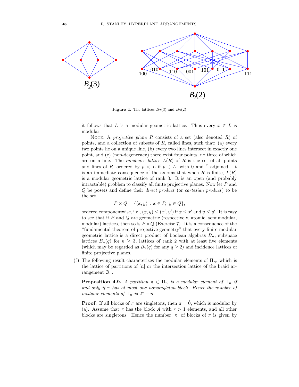

**Figure 4.** The lattices  $B_2(3)$  and  $B_3(2)$ 

it follows that L is a modular geometric lattice. Thus every  $x \in L$  is modular.

NOTE. A projective plane R consists of a set (also denoted  $R$ ) of points, and a collection of subsets of  $R$ , called lines, such that: (a) every two points lie on a unique line, (b) every two lines intersect in exactly one point, and (c) (non-degeneracy) there exist four points, no three of which are on a line. The *incidence lattice*  $L(R)$  of R is the set of all points and lines of R, ordered by  $p \lt L$  if  $p \in L$ , with  $\hat{0}$  and  $\hat{1}$  adjoined. It is an immediate consequence of the axioms that when R is finite,  $L(R)$ is a modular geometric lattice of rank 3. It is an open (and probably intractable) problem to classify all finite projective planes. Now let  $P$  and Q be posets and define their direct product (or cartesian product) to be the set

$$
P \times Q = \{(x, y) : x \in P, y \in Q\},\
$$

ordered componentwise, i.e.,  $(x, y) \leq (x', y')$  if  $x \leq x'$  and  $y \leq y'$ . It is easy to see that if P and Q are geometric (respectively, atomic, semimodular, modular) lattices, then so is  $P \times Q$  (Exercise 7). It is a consequence of the "fundamental theorem of projective geometry" that every finite modular geometric lattice is a direct product of boolean algebras  $B_n$ , subspace lattices  $B_n(q)$  for  $n \geq 3$ , lattices of rank 2 with at least five elements (which may be regarded as  $B_2(q)$  for any  $q \ge 2$ ) and incidence lattices of finite projective planes.

(f) The following result characterizes the modular elements of  $\Pi_n$ , which is the lattice of partitions of  $[n]$  or the intersection lattice of the braid arrangement  $\mathcal{B}_n$ .

**Proposition 4.9.** A partition  $\pi \in \Pi_n$  is a modular element of  $\Pi_n$  if and only if  $\pi$  has at most one nonsingleton block. Hence the number of modular elements of  $\Pi_n$  is  $2^n - n$ .

**Proof.** If all blocks of  $\pi$  are singletons, then  $\pi = 0$ , which is modular by (a). Assume that  $\pi$  has the block A with  $r > 1$  elements, and all other blocks are singletons. Hence the number  $|\pi|$  of blocks of  $\pi$  is given by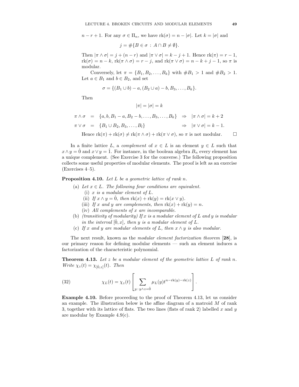$n - r + 1$ . For any  $\sigma \in \Pi_n$ , we have  $rk(\sigma) = n - |\sigma|$ . Let  $k = |\sigma|$  and

$$
j = #\{B \in \sigma : A \cap B \neq \emptyset\}.
$$

Then  $|\pi \wedge \sigma| = j + (n - r)$  and  $|\pi \vee \sigma| = k - j + 1$ . Hence  $rk(\pi) = r - 1$ ,  $rk(\sigma) = n - k$ ,  $rk(\pi \wedge \sigma) = r - j$ , and  $rk(\pi \vee \sigma) = n - k + j - 1$ , so  $\pi$  is modular.

Conversely, let  $\pi = \{B_1, B_2, ..., B_k\}$  with  $#B_1 > 1$  and  $#B_2 > 1$ . Let  $a \in B_1$  and  $b \in B_2$ , and set

$$
\sigma = \{(B_1 \cup b) - a, (B_2 \cup a) - b, B_3, \ldots, B_k\}.
$$

Then

$$
|\pi| = |\sigma| = k
$$
  
\n
$$
\pi \wedge \sigma = \{a, b, B_1 - a, B_2 - b, \dots, B_3, \dots, B_k\} \Rightarrow |\pi \wedge \sigma| = k + 2
$$
  
\n
$$
\pi \vee \sigma = \{B_1 \cup B_2, B_3, \dots, B_l\} \Rightarrow |\pi \vee \sigma| = k - 1.
$$

Hence  $rk(\pi) + rk(\sigma) \neq rk(\pi \wedge \sigma) + rk(\pi \vee \sigma)$ , so  $\pi$  is not modular.  $\square$ 

In a finite lattice L, a *complement* of  $x \in L$  is an element  $y \in L$  such that  $x \wedge y = 0$  and  $x \vee y = 1$ . For instance, in the boolean algebra  $B_n$  every element has a unique complement. (See Exercise 3 for the converse.) The following proposition collects some useful properties of modular elements. The proof is left as an exercise (Exercises 4–5).

### **Proposition 4.10.** Let  $L$  be a geometric lattice of rank n.

- (a) Let  $x \in L$ . The following four conditions are equivalent. (i) x is a modular element of  $L$ .
	-
	- (ii) If  $x \wedge y = 0$ , then  $\text{rk}(x) + \text{rk}(y) = \text{rk}(x \vee y)$ .
	- (iii) If x and y are complements, then  $rk(x) + rk(y) = n$ .
	- (iv) All complements of x are incomparable.
- (b) (transitivity of modularity) If x is a modular element of L and y is modular in the interval  $[0, x]$ , then y is a modular element of L.
- (c) If x and y are modular elements of L, then  $x \wedge y$  is also modular.

The next result, known as the *modular element factorization theorem* [28], is our primary reason for defining modular elements — such an element induces a factorization of the characteristic polynomial.

**Theorem 4.13.** Let z be a modular element of the geometric lattice  $L$  of rank n. Write  $\chi_z(t) = \chi_{[\hat{0},z]}(t)$ . Then

(32) 
$$
\chi_L(t) = \chi_z(t) \left[ \sum_{y:y \wedge z = \hat{0}} \mu_L(y) t^{n-\text{rk}(y)-\text{rk}(z)} \right].
$$

Example 4.10. Before proceeding to the proof of Theorem 4.13, let us consider an example. The illustration below is the affine diagram of a matroid  $M$  of rank 3, together with its lattice of flats. The two lines (flats of rank 2) labelled x and y are modular by Example 4.9(c).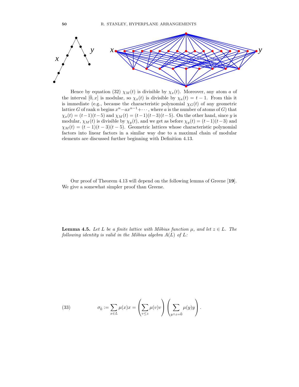

Hence by equation (32)  $\chi_M(t)$  is divisible by  $\chi_x(t)$ . Moreover, any atom a of the interval  $[\hat{0}, x]$  is modular, so  $\chi_x(t)$  is divisible by  $\chi_a(t) = t - 1$ . From this it is immediate (e.g., because the characteristic polynomial  $\chi_G(t)$  of any geometric lattice G of rank n begins  $x^n - ax^{n-1} + \cdots$ , where a is the number of atoms of G) that  $\chi_x(t) = (t-1)(t-5)$  and  $\chi_M(t) = (t-1)(t-3)(t-5)$ . On the other hand, since y is modular,  $\chi_M(t)$  is divisible by  $\chi_y(t)$ , and we get as before  $\chi_y(t) = (t-1)(t-3)$  and  $\chi_M(t) = (t-1)(t-3)(t-5)$ . Geometric lattices whose characteristic polynomial factors into linear factors in a similar way due to a maximal chain of modular elements are discussed further beginning with Definition 4.13.

Our proof of Theorem 4.13 will depend on the following lemma of Greene [19]. We give a somewhat simpler proof than Greene.

**Lemma 4.5.** Let L be a finite lattice with Möbius function  $\mu$ , and let  $z \in L$ . The following identity is valid in the Möbius algebra  $A(L)$  of  $L$ :

(33) 
$$
\sigma_{\hat{0}} := \sum_{x \in L} \mu(x)x = \left(\sum_{v \leq z} \mu(v)v\right)\left(\sum_{y \wedge z = \hat{0}} \mu(y)y\right).
$$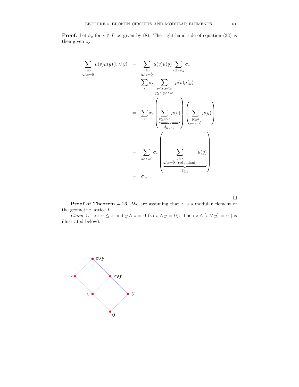**Proof.** Let  $\sigma_s$  for  $s \in L$  be given by (8). The right-hand side of equation (33) is then given by

$$
\sum_{\substack{v \le z \\ y \land z = \hat{0}}} \mu(v)\mu(y)(v \lor y) = \sum_{\substack{v \le z \\ y \land z = \hat{0}}} \mu(v)\mu(y) \sum_{s \ge v \lor y} \sigma_s
$$
\n
$$
= \sum_{s} \sigma_s \sum_{\substack{v \le s, v \le z \\ y \le s, y \land z = \hat{0}}} \mu(v)\mu(y)
$$
\n
$$
= \sum_{s} \sigma_s \left( \sum_{\substack{v \le s \land z \\ \delta_{\hat{0}, s \land z}}} \mu(v) \right) \left( \sum_{\substack{y \le s \\ y \land z = \hat{0}}} \mu(y) \right)
$$
\n
$$
= \sum_{s \land z = \hat{0}} \sigma_s \sum_{\substack{y \le s \\ \psi(z = \hat{0} \text{ (redundant)}}} \mu(y)
$$
\n
$$
= \sigma_{\hat{0}}.
$$

 $\hfill \square$ 

**Proof of Theorem 4.13.** We are assuming that  $z$  is a modular element of the geometric lattice L.

*Claim 1.* Let  $v \le z$  and  $y \wedge z = \hat{0}$  (so  $v \wedge y = \hat{0}$ ). Then  $z \wedge (v \vee y) = v$  (as illustrated below).

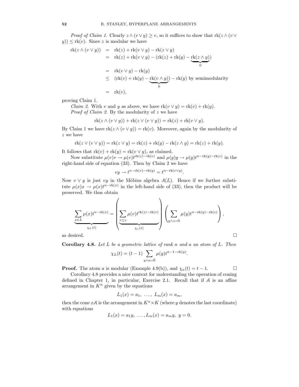*Proof of Claim 1.* Clearly  $z \wedge (v \vee y) \geq v$ , so it suffices to show that  $rk(z \wedge (v \vee y))$  $(y)$ )  $\leq$  rk $(v)$ . Since z is modular we have

$$
rk(z \wedge (v \vee y)) = rk(z) + rk(v \vee y) - rk(z \vee y)
$$
  
=  $rk(z) + rk(v \vee y) - (rk(z) + rk(y) - rk(z \wedge y))$   
=  $rk(v \vee y) - rk(y)$   
 $\leq (rk(v) + rk(y) - rk(v \wedge y)) - rk(y)$  by semimodularity  
=  $rk(v)$ ,

proving Claim 1.

*Claim 2.* With v and y as above, we have  $rk(v \vee y) = rk(v) + rk(y)$ . *Proof of Claim 2.* By the modularity of  $z$  we have

$$
rk(z \wedge (v \vee y)) + rk(z \vee (v \vee y)) = rk(z) + rk(v \vee y).
$$

By Claim 1 we have  $rk(z \wedge (v \vee y)) = rk(v)$ . Moreover, again by the modularity of z we have

$$
rk(z \vee (v \vee y)) = rk(z \vee y) = rk(z) + rk(y) - rk(z \wedge y) = rk(z) + rk(y).
$$

It follows that  $rk(v) + rk(y) = rk(v \vee y)$ , as claimed.

Now substitute  $\mu(v)v \to \mu(v)t^{\text{rk}(z)-\text{rk}(v)}$  and  $\mu(y)y \to \mu(y)t^{n-\text{rk}(y)-\text{rk}(z)}$  in the right-hand side of equation (33). Then by Claim 2 we have

$$
vy \to t^{n-\text{rk}(v)-\text{rk}(y)} = t^{n-\text{rk}(v \vee y)}.
$$

Now  $v \vee y$  is just vy in the Möbius algebra  $A(L)$ . Hence if we further substitute  $\mu(x)x \to \mu(x)t^{n-\text{rk}(x)}$  in the left-hand side of (33), then the product will be preserved. We thus obtain

$$
\underbrace{\sum_{x \in L} \mu(x)t^{n-\text{rk}(x)}}_{\chi_L(t)} = \left(\underbrace{\sum_{v \leq z} \mu(v)t^{\text{rk}(z)-\text{rk}(v)}}_{\chi_z(t)}\right) \left(\sum_{y \land z = \hat{0}} \mu(y)t^{n-\text{rk}(y)-\text{rk}(z)}\right),
$$
 as desired.

**Corollary 4.8.** Let  $L$  be a geometric lattice of rank n and a an atom of  $L$ . Then

$$
\chi_L(t) = (t - 1) \sum_{y \wedge a = \hat{0}} \mu(y) t^{n - 1 - \text{rk}(y)}.
$$

**Proof.** The atom a is modular (Example 4.9(b)), and  $\chi_a(t) = t - 1$ .

Corollary 4.8 provides a nice context for understanding the operation of coning defined in Chapter 1, in particular, Exercise 2.1. Recall that if A is an affine arrangement in  $K<sup>n</sup>$  given by the equations

$$
L_1(x) = a_1, \ldots, \ L_m(x) = a_m,
$$

then the cone xA is the arrangement in  $K<sup>n</sup> \times K$  (where y denotes the last coordinate) with equations

$$
L_1(x) = a_1y, \ldots, L_m(x) = a_my, \ y = 0.
$$

$$
\Box
$$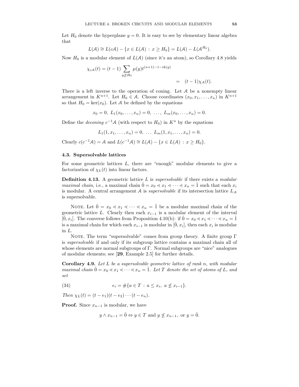Let  $H_0$  denote the hyperplane  $y = 0$ . It is easy to see by elementary linear algebra that

$$
L(\mathcal{A}) \cong L(c\mathcal{A}) - \{x \in L(\mathcal{A}) : x \geq H_0\} = L(\mathcal{A}) - L(\mathcal{A}^{H_0}).
$$

Now  $H_0$  is a modular element of  $L(\mathcal{A})$  (since it's an atom), so Corollary 4.8 yields

$$
\chi_{c\mathcal{A}}(t) = (t-1) \sum_{y \geq H_0} \mu(y) t^{(n+1)-1-\text{rk}(y)} = (t-1)\chi_{\mathcal{A}}(t).
$$

There is a left inverse to the operation of coning. Let A be a nonempty linear arrangement in  $K^{n+1}$ . Let  $H_0 \in \mathcal{A}$ . Choose coordinates  $(x_0, x_1, \ldots, x_n)$  in  $K^{n+1}$ so that  $H_0 = \text{ker}(x_0)$ . Let A be defined by the equations

$$
x_0 = 0, L_1(x_0, \ldots, x_n) = 0, \ldots, L_m(x_0, \ldots, x_n) = 0.
$$

Define the *deconing*  $c^{-1}A$  (with respect to  $H_0$ ) in  $K^n$  by the equations

$$
L_1(1, x_1, \ldots, x_n) = 0, \ \ldots \ L_m(1, x_1, \ldots, x_n) = 0.
$$

Clearly  $c(c^{-1}A) = A$  and  $L(c^{-1}A) \cong L(A) - \{x \in L(A) : x \geq H_0\}.$ 

## 4.3. Supersolvable lattices

For some geometric lattices  $L$ , there are "enough" modular elements to give a factorization of  $\chi_L(t)$  into linear factors.

**Definition 4.13.** A geometric lattice  $L$  is *supersolvable* if there exists a *modular maximal chain*, i.e., a maximal chain  $\hat{0} = x_0 \le x_1 \le \cdots \le x_n = 1$  such that each  $x_i$ is modular. A central arrangement  $A$  is *supersolvable* if its intersection lattice  $L_A$ is supersolvable.

NOTE. Let  $\hat{0} = x_0 \le x_1 \le \cdots \le x_n = \hat{1}$  be a modular maximal chain of the geometric lattice L. Clearly then each  $x_{i-1}$  is a modular element of the interval [ $\hat{0}, x_i$ ]. The converse follows from Proposition 4.10(b): if  $\hat{0} = x_0 \lt x_1 \lt \cdots \lt x_n = \hat{1}$ is a maximal chain for which each  $x_{i-1}$  is modular in  $[\hat{0}, x_i]$ , then each  $x_i$  is modular in L.

NOTE. The term "supersolvable" comes from group theory. A finite group  $\Gamma$ is supersolvable if and only if its subgroup lattice contains a maximal chain all of whose elements are normal subgroups of Γ. Normal subgroups are "nice" analogues of modular elements; see [29, Example 2.5] for further details.

**Corollary 4.9.** Let  $L$  be a supersolvable geometric lattice of rank n, with modular maximal chain  $\hat{0} = x_0 \le x_1 \le \cdots \le x_n = \hat{1}$ . Let T denote the set of atoms of L, and set

(34) 
$$
e_i = \#\{a \in T : a \le x_i, a \not\le x_{i-1}\}.
$$

Then  $\chi_L(t) = (t - e_1)(t - e_2) \cdots (t - e_n).$ 

**Proof.** Since  $x_{n-1}$  is modular, we have

$$
y \wedge x_{n-1} = \hat{0} \Leftrightarrow y \in T
$$
 and  $y \nleq x_{n-1}$ , or  $y = \hat{0}$ .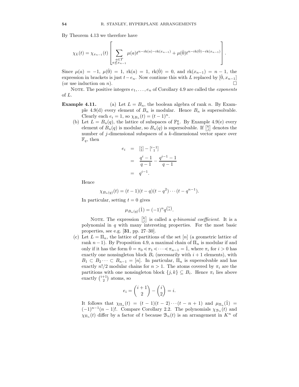By Theorem 4.13 we therefore have

$$
\chi_L(t) = \chi_{x_{n-1}}(t) \left[ \sum_{\substack{a \in T \\ a \not\le x_{n-1}}} \mu(a) t^{n-\text{rk}(a) - \text{rk}(x_{n-1})} + \mu(\hat{0}) t^{n-\text{rk}(\hat{0}) - \text{rk}(x_{n-1})} \right].
$$

Since  $\mu(a) = -1$ ,  $\mu(\hat{0}) = 1$ ,  $\text{rk}(a) = 1$ ,  $\text{rk}(\hat{0}) = 0$ , and  $\text{rk}(x_{n-1}) = n-1$ , the expression in brackets is just  $t-e_n$ . Now continue this with L replaced by  $[0, x_{n-1}]$  (or use induction on n). (or use induction on  $n$ ).

NOTE. The positive integers  $e_1, \ldots, e_n$  of Corollary 4.9 are called the *exponents* of L.

- **Example 4.11.** (a) Let  $L = B_n$ , the boolean algebra of rank n. By Example 4.9(d) every element of  $B_n$  is modular. Hence  $B_n$  is supersolvable. Clearly each  $e_i = 1$ , so  $\chi_{B_n}(t) = (t-1)^n$ .
	- (b) Let  $L = B_n(q)$ , the lattice of subspaces of  $\mathbb{F}_n^q$ . By Example 4.9(e) every element of  $B_n(q)$  is modular, so  $B_n(q)$  is supersolvable. If  $\begin{bmatrix} k \\ j \end{bmatrix}$  denotes the number of j-dimensional subspaces of a k-dimensional vector space over  $\mathbb{F}_q$ , then

$$
e_i = [i] - [i-1]
$$
  
= 
$$
\frac{q^{i} - 1}{q - 1} - \frac{q^{i-1} - 1}{q - 1}
$$
  
= 
$$
q^{i-1}.
$$

Hence

$$
\chi_{B_n(q)}(t) = (t-1)(t-q)(t-q^2)\cdots(t-q^{n-1}).
$$

In particular, setting  $t = 0$  gives

$$
\mu_{B_n(q)}(\hat{1}) = (-1)^n q^{\binom{n}{2}}.
$$

NOTE. The expression  $\begin{bmatrix} k \\ j \end{bmatrix}$  is called a *q-binomial coefficient*. It is a polynomial in  $q$  with many interesting properties. For the most basic properties, see e.g. [31, pp. 27–30].

(c) Let  $L = \Pi_n$ , the lattice of partitions of the set  $[n]$  (a geometric lattice of rank  $n-1$ ). By Proposition 4.9, a maximal chain of  $\Pi_n$  is modular if and only if it has the form  $0 = \pi_0 < \pi_1 < \cdots < \pi_{n-1} = 1$ , where  $\pi_i$  for  $i > 0$  has exactly one nonsingleton block  $B_i$  (necessarily with  $i + 1$  elements), with  $B_1 \subset B_2 \cdots \subset B_{n-1} = [n]$ . In particular,  $\Pi_n$  is supersolvable and has exactly  $n!/2$  modular chains for  $n > 1$ . The atoms covered by  $\pi_i$  are the partitions with one nonsingleton block  $\{j,k\} \subseteq B_i$ . Hence  $\pi_i$  lies above exactly  $\binom{i+1}{2}$  atoms, so

$$
e_i = \binom{i+1}{2} - \binom{i}{2} = i.
$$

It follows that  $\chi_{\Pi_n}(t) = (t-1)(t-2)\cdots(t-n+1)$  and  $\mu_{\Pi_n}(1) =$  $(-1)^{n-1}(n-1)!$ . Compare Corollary 2.2. The polynomials  $\chi_{\mathcal{B}_n}(t)$  and  $\chi_{\Pi_n}(t)$  differ by a factor of t because  $\mathcal{B}_n(t)$  is an arrangement in  $K^n$  of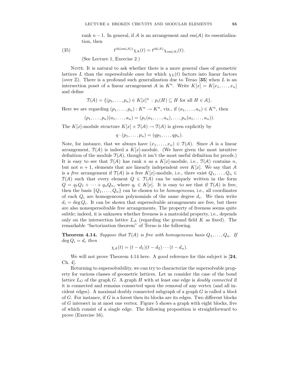rank  $n-1$ . In general, if A is an arrangement and ess(A) its essentialization, then

(35) 
$$
t^{\text{rk}(\text{ess}(\mathcal{A}))}\chi_{\mathcal{A}}(t) = t^{\text{rk}(\mathcal{A})}\chi_{\text{ess}(\mathcal{A})}(t).
$$

(See Lecture 1, Exercise 2.)

NOTE. It is natural to ask whether there is a more general class of geometric lattices L than the supersolvable ones for which  $\chi_L(t)$  factors into linear factors (over  $\mathbb{Z}$ ). There is a profound such generalization due to Terao [35] when L is an intersection poset of a linear arrangement A in  $K^n$ . Write  $K[x] = K[x_1, \ldots, x_n]$ and define

$$
\mathfrak{T}(\mathcal{A}) = \{ (p_1, \ldots, p_n) \in K[x]^n : p_i(H) \subseteq H \text{ for all } H \in \mathcal{A} \}.
$$

Here we are regarding  $(p_1, \ldots, p_n) : K^n \to K^n$ , viz., if  $(a_1, \ldots, a_n) \in K^n$ , then

$$
(p_1, \ldots, p_n)(a_1, \ldots, a_n) = (p_1(a_1, \ldots, a_n), \ldots, p_n(a_1, \ldots, a_n)).
$$

The K[x]-module structure  $K[x] \times \mathcal{T}(\mathcal{A}) \to \mathcal{T}(\mathcal{A})$  is given explicitly by

$$
q\cdot (p_1,\ldots,p_n)=(qp_1,\ldots,qp_n).
$$

Note, for instance, that we always have  $(x_1, \ldots, x_n) \in \mathcal{T}(A)$ . Since A is a linear arrangement,  $\mathcal{T}(\mathcal{A})$  is indeed a  $K[x]$ -module. (We have given the most intuitive definition of the module  $\mathcal{T}(\mathcal{A})$ , though it isn't the most useful definition for proofs.) It is easy to see that  $\mathcal{T}(\mathcal{A})$  has rank n as a  $K[x]$ -module, i.e.,  $\mathcal{T}(\mathcal{A})$  contains n, but not  $n + 1$ , elements that are linearly independent over  $K[x]$ . We say that A is a free arrangement if  $\mathcal{T}(\mathcal{A})$  is a free K[x]-module, i.e., there exist  $Q_1, \ldots, Q_n \in$  $\mathcal{T}(\mathcal{A})$  such that every element  $Q \in \mathcal{T}(\mathcal{A})$  can be uniquely written in the form  $Q = q_1Q_1 + \cdots + q_nQ_n$ , where  $q_i \in K[x]$ . It is easy to see that if  $\mathcal{T}(A)$  is free, then the basis  $\{Q_1, \ldots, Q_n\}$  can be chosen to be *homogeneous*, i.e., all coordinates of each  $Q_i$  are homogeneous polynomials of the same degree  $d_i$ . We then write  $d_i = \deg Q_i$ . It can be shown that supersolvable arrangements are free, but there are also nonsupersolvable free arrangements. The property of freeness seems quite subtle; indeed, it is unknown whether freeness is a matroidal property, i.e., depends only on the intersection lattice  $L_A$  (regarding the ground field K as fixed). The remarkable "factorization theorem" of Terao is the following.

**Theorem 4.14.** Suppose that  $\mathcal{T}(A)$  is free with homogeneous basis  $Q_1, \ldots, Q_n$ . If  $\deg Q_i = d_i$  then

$$
\chi_{\mathcal{A}}(t)=(t-d_1)(t-d_2)\cdots (t-d_n).
$$

We will not prove Theorem 4.14 here. A good reference for this subject is [24, Ch. 4].

Returning to supersolvability, we can try to characterize the supersolvable property for various classes of geometric lattices. Let us consider the case of the bond lattice  $L_G$  of the graph G. A graph H with at least one edge is *doubly connected* if it is connected and remains connected upon the removal of any vertex (and all incident edges). A maximal doubly connected subgraph of a graph  $G$  is called a *block* of  $G$ . For instance, if  $G$  is a forest then its blocks are its edges. Two different blocks of G intersect in at most one vertex. Figure 5 shows a graph with eight blocks, five of which consist of a single edge. The following proposition is straightforward to prove (Exercise 16).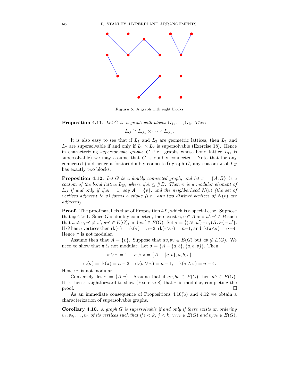

Figure 5. A graph with eight blocks

**Proposition 4.11.** Let G be a graph with blocks  $G_1, \ldots, G_k$ . Then

 $L_G \cong L_{G_1} \times \cdots \times L_{G_k}.$ 

It is also easy to see that if  $L_1$  and  $L_2$  are geometric lattices, then  $L_1$  and  $L_2$  are supersolvable if and only if  $L_1 \times L_2$  is supersolvable (Exercise 18). Hence in characterizing supersolvable graphs  $G$  (i.e., graphs whose bond lattice  $L_G$  is supersolvable) we may assume that  $G$  is doubly connected. Note that for any connected (and hence a fortiori doubly connected) graph G, any coatom  $\pi$  of  $L_G$ has exactly two blocks.

**Proposition 4.12.** Let G be a doubly connected graph, and let  $\pi = \{A, B\}$  be a coatom of the bond lattice  $L_G$ , where  $\#A \leq \#B$ . Then  $\pi$  is a modular element of  $L_G$  if and only if  $#A = 1$ , say  $A = \{v\}$ , and the neighborhood  $N(v)$  (the set of vertices adjacent to v) forms a clique (i.e., any two distinct vertices of  $N(v)$  are adjacent).

Proof. The proof parallels that of Proposition 4.9, which is a special case. Suppose that  $#A > 1$ . Since G is doubly connected, there exist  $u, v \in A$  and  $u', v' \in B$  such that  $u \neq v, u' \neq v'$ ,  $uu' \in E(G)$ , and  $vv' \in E(G)$ . Set  $\sigma = \{(A \cup u') - v, (B \cup v) - u'\}.$ If G has n vertices then  $rk(\pi) = rk(\sigma) = n-2$ ,  $rk(\pi \vee \sigma) = n-1$ , and  $rk(\pi \wedge \sigma) = n-4$ . Hence  $\pi$  is not modular.

Assume then that  $A = \{v\}$ . Suppose that  $av, bv \in E(G)$  but  $ab \notin E(G)$ . We need to show that  $\pi$  is not modular. Let  $\sigma = \{A - \{a, b\}, \{a, b, v\}\}\.$  Then

$$
\sigma \vee \pi = \hat{1}, \quad \sigma \wedge \pi = \{A - \{a, b\}, a, b, v\}
$$

$$
rk(\sigma) = rk(\pi) = n - 2, \quad rk(\sigma \vee \pi) = n - 1, \quad rk(\sigma \wedge \pi) = n - 4.
$$

Hence  $\pi$  is not modular.

Conversely, let  $\pi = \{A, v\}$ . Assume that if  $av, bv \in E(G)$  then  $ab \in E(G)$ . It is then straightforward to show (Exercise 8) that  $\pi$  is modular, completing the proof.  $\Box$ 

As an immediate consequence of Propositions 4.10(b) and 4.12 we obtain a characterization of supersolvable graphs.

Corollary 4.10. A graph G is supersolvable if and only if there exists an ordering  $v_1, v_2, \ldots, v_n$  of its vertices such that if  $i < k$ ,  $j < k$ ,  $v_i v_k \in E(G)$  and  $v_j v_k \in E(G)$ ,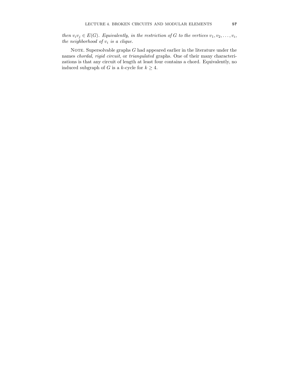then  $v_i v_j \in E(G)$ . Equivalently, in the restriction of G to the vertices  $v_1, v_2, \ldots, v_i$ , the neighborhood of  $v_i$  is a clique.

NOTE. Supersolvable graphs  $G$  had appeared earlier in the literature under the names chordal, rigid circuit, or triangulated graphs. One of their many characterizations is that any circuit of length at least four contains a chord. Equivalently, no induced subgraph of G is a k-cycle for  $k \geq 4$ .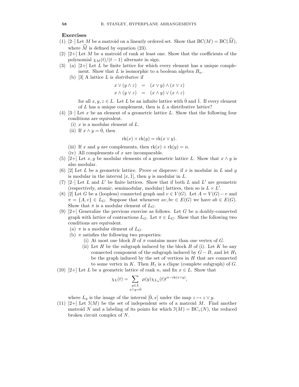#### Exercises

- (1) [2–] Let M be a matroid on a linearly ordered set. Show that  $BC(M) = BC(\widehat{M})$ , where  $\widehat{M}$  is defined by equation (23).
- $(2)$  [2+] Let M be a matroid of rank at least one. Show that the coefficients of the polynomial  $\chi_M(t)/(t-1)$  alternate in sign.
- (3) (a)  $[2+]$  Let L be finite lattice for which every element has a unique complement. Show that L is isomorphic to a boolean algebra  $B_n$ .
	- (b)  $[3]$  A lattice L is *distributive* if

$$
x \lor (y \land z) = (x \lor y) \land (x \lor z)
$$
  

$$
x \land (y \lor z) = (x \land y) \lor (x \land z)
$$

for all  $x, y, z \in L$ . Let L be an infinite lattice with  $\hat{0}$  and  $\hat{1}$ . If every element of  $L$  has a unique complement, then is  $L$  a distributive lattice?

- $(4)$  [3–] Let x be an element of a geometric lattice L. Show that the following four conditions are equivalent.
	- (i)  $x$  is a modular element of  $L$ .
	- (ii) If  $x \wedge y = 0$ , then

$$
\mathrm{rk}(x) + \mathrm{rk}(y) = \mathrm{rk}(x \vee y).
$$

- (iii) If x and y are complements, then  $rk(x) + rk(y) = n$ .
- (iv) All complements of  $x$  are incomparable.
- (5) [2+] Let x, y be modular elements of a geometric lattice L. Show that  $x \wedge y$  is also modular.
- (6) [2] Let L be a geometric lattice. Prove or disprove: if x is modular in L and y is modular in the interval  $[x, 1]$ , then y is modular in L.
- (7)  $[2-]$  Let L and L' be finite lattices. Show that if both L and L' are geometric (respectively, atomic, semimodular, modular) lattices, then so is  $L \times L'$ .
- (8) [2] Let G be a (loopless) connected graph and  $v \in V(G)$ . Let  $A = V(G) v$  and  $\pi = \{A, v\} \in L_G$ . Suppose that whenever  $av, bv \in E(G)$  we have  $ab \in E(G)$ . Show that  $\pi$  is a modular element of  $L_G$ .
- (9)  $[2+]$  Generalize the previous exercise as follows. Let G be a doubly-connected graph with lattice of contractions  $L_G$ . Let  $\pi \in L_G$ . Show that the following two conditions are equivalent.
	- (a)  $\pi$  is a modular element of  $L_G$ .
	- (b)  $\pi$  satisfies the following two properties:
		- (i) At most one block B of  $\pi$  contains more than one vertex of G.
		- (ii) Let  $H$  be the subgraph induced by the block  $B$  of (i). Let  $K$  be any connected component of the subgraph induced by  $G - B$ , and let  $H_1$ be the graph induced by the set of vertices in  $H$  that are connected to some vertex in K. Then  $H_1$  is a clique (complete subgraph) of G.
- (10) [2+] Let L be a geometric lattice of rank n, and fix  $x \in L$ . Show that

$$
\chi_L(t) = \sum_{\substack{y \in L \\ x \wedge y = \hat{0}}} \mu(y) \chi_{L_y}(t) t^{n - \text{rk}(x \vee y)},
$$

where  $L_y$  is the image of the interval  $[0, x]$  under the map  $z \mapsto z \vee y$ .

(11) [2+] Let  $\mathfrak{I}(M)$  be the set of independent sets of a matroid M. Find another matroid N and a labeling of its points for which  $\mathfrak{I}(M) = BC_r(N)$ , the reduced broken circuit complex of N.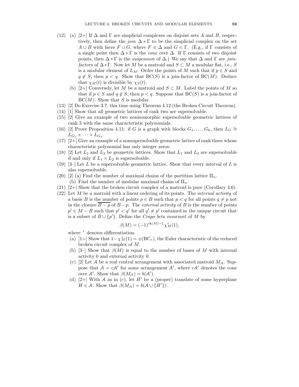- (12) (a) [2+] If  $\Delta$  and  $\Gamma$  are simplicial complexes on disjoint sets A and B, respectively, then define the *join*  $\Delta \times \Gamma$  to be the simplicial complex on the set  $A \cup B$  with faces  $F \cup G$ , where  $F \in \Delta$  and  $G \in \Gamma$ . (E.g., if  $\Gamma$  consists of a single point then  $\Delta \ast \Gamma$  is the *cone* over  $\Delta$ . If  $\Gamma$  consists of two disjoint points, then  $\Delta \ast \Gamma$  is the *suspension* of  $\Delta$ .) We say that  $\Delta$  and  $\Gamma$  are *join*factors of  $\Delta \ast \Gamma$ . Now let M be a matroid and  $S \subset M$  a modular flat, i.e., S is a modular element of  $L_M$ . Order the points of M such that if  $p \in S$  and  $q \notin S$ , then  $p < q$ . Show that  $BC(S)$  is a join-factor of  $BC(M)$ . Deduce that  $\chi_M(t)$  is divisible by  $\chi_S(t)$ .
	- (b) [2+] Conversely, let M be a matroid and  $S \subset M$ . Label the points of M so that if  $p \in S$  and  $q \notin S$ , then  $p < q$ . Suppose that  $BC(S)$  is a join-factor of  $BC(M)$ . Show that S is modular.
- (13) [2] Do Exercise 3.7, this time using Theorem 4.12 (the Broken Circuit Theorem).
- (14) [1] Show that all geometric lattices of rank two are supersolvable.
- (15) [2] Give an example of two nonisomorphic supersolvable geometric lattices of rank 3 with the same characteristic polynomials.
- (16) [2] Prove Proposition 4.11: if G is a graph with blocks  $G_1, \ldots, G_k$ , then  $L_G \cong$  $L_{G_1} \times \cdots \times L_{G_k}.$
- (17) [2+] Give an example of a nonsupersolvable geometric lattice of rank three whose characteristic polynomial has only integer zeros.
- (18) [2] Let  $L_1$  and  $L_2$  be geometric lattices. Show that  $L_1$  and  $L_2$  are supersolvable if and only if  $L_1 \times L_2$  is supersolvable.
- (19) [3–] Let L be a supersolvable geometric lattice. Show that every interval of L is also supersolvable.
- (20) [2] (a) Find the number of maximal chains of the partition lattice  $\Pi_n$ . (b) Find the number of modular maximal chains of  $\Pi_n$ .
- (21) [2+] Show that the broken circuit complex of a matroid is pure (Corollary 4.6).
- $(22)$  Let M be a matroid with a linear ordering of its points. The *internal activity* of a basis B is the number of points  $p \in B$  such that  $p < q$  for all points  $q \neq p$  not in the closure  $\overline{B-p}$  of  $B-p$ . The *external activity* of B is the number of points  $p' \in M - B$  such that  $p' < q'$  for all  $q' \neq p'$  contained in the unique circuit that is a subset of  $B \cup \{p'\}$ . Define the *Crapo beta invariant* of M by

$$
\beta(M) = (-1)^{\text{rk}(M) - 1} \chi'_M(1),
$$

where  $'$  denotes differentiation.

- (a) [1+] Show that  $1-\chi'_{M}(1) = \psi(BC_r)$ , the Euler characteristic of the reduced broken circuit complex of M.
- (b) [3–] Show that  $\beta(M)$  is equal to the number of bases of M with internal activity 0 and external activity 0.
- (c) [2] Let A be a real central arrangement with associated matroid  $M_A$ . Suppose that  $A = cA'$  for some arrangement A', where  $cA'$  denotes the cone over  $\mathcal{A}'$ . Show that  $\beta(M_{\mathcal{A}}) = b(\mathcal{A}')$ .
- (d) [2+] With A as in (c), let H' be a (proper) translate of some hyperplane  $H \in \mathcal{A}$ . Show that  $\beta(M_{\mathcal{A}}) = b(\mathcal{A} \cup \{H'\})$ .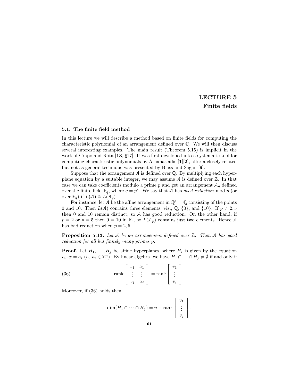# LECTURE 5 Finite fields

#### 5.1. The finite field method

In this lecture we will describe a method based on finite fields for computing the characteristic polynomial of an arrangement defined over Q. We will then discuss several interesting examples. The main result (Theorem 5.15) is implicit in the work of Crapo and Rota [13, §17]. It was first developed into a systematic tool for computing characteristic polynomials by Athanasiadis [1][2], after a closely related but not as general technique was presented by Blass and Sagan [9].

Suppose that the arrangement  $A$  is defined over  $\mathbb Q$ . By multiplying each hyperplane equation by a suitable integer, we may assume  $A$  is defined over  $\mathbb{Z}$ . In that case we can take coefficients modulo a prime p and get an arrangement  $A_q$  defined over the finite field  $\mathbb{F}_q$ , where  $q = p^r$ . We say that A has good reduction mod p (or over  $\mathbb{F}_q$ ) if  $L(\mathcal{A}) \cong L(\mathcal{A}_q)$ .

For instance, let A be the affine arrangement in  $\mathbb{Q}^1 = \mathbb{Q}$  consisting of the points 0 and 10. Then  $L(\mathcal{A})$  contains three elements, viz.,  $\mathbb{Q}$ ,  $\{0\}$ , and  $\{10\}$ . If  $p \neq 2, 5$ then 0 and 10 remain distinct, so A has good reduction. On the other hand, if  $p = 2$  or  $p = 5$  then  $0 = 10$  in  $\mathbb{F}_p$ , so  $L(\mathcal{A}_p)$  contains just two elements. Hence A has bad reduction when  $p = 2, 5$ .

**Proposition 5.13.** Let A be an arrangement defined over  $\mathbb{Z}$ . Then A has good reduction for all but finitely many primes p.

**Proof.** Let  $H_1, \ldots, H_j$  be affine hyperplanes, where  $H_i$  is given by the equation  $v_i \cdot x = a_i \ (v_i, a_i \in \mathbb{Z}^n)$ . By linear algebra, we have  $H_1 \cap \cdots \cap H_j \neq \emptyset$  if and only if

(36) 
$$
\operatorname{rank}\begin{bmatrix} v_1 & a_1 \\ \vdots & \vdots \\ v_j & a_j \end{bmatrix} = \operatorname{rank}\begin{bmatrix} v_1 \\ \vdots \\ v_j \end{bmatrix}.
$$

Moreover, if (36) holds then

$$
\dim(H_1 \cap \cdots \cap H_j) = n - \operatorname{rank}\left[\begin{array}{c}v_1\\ \vdots\\ v_j\end{array}\right].
$$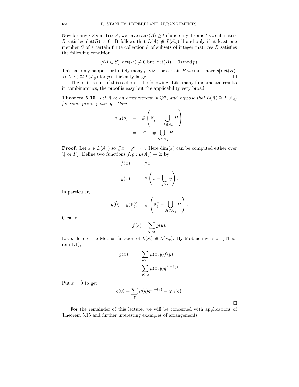Now for any  $r \times s$  matrix A, we have rank $(A) \ge t$  if and only if some  $t \times t$  submatrix B satisfies  $\det(B) \neq 0$ . It follows that  $L(\mathcal{A}) \not\cong L(\mathcal{A}_p)$  if and only if at least one member  $S$  of a certain finite collection  $S$  of subsets of integer matrices  $B$  satisfies the following condition:

$$
(\forall B \in S) \ \det(B) \neq 0 \ \text{but} \ \det(B) \equiv 0 \, (\text{mod } p).
$$

This can only happen for finitely many p, viz., for certain B we must have  $p|\det(B)$ , so  $L(A) \cong L(A_n)$  for p sufficiently large. so  $L(\mathcal{A}) \cong L(\mathcal{A}_p)$  for p sufficiently large.

The main result of this section is the following. Like many fundamental results in combinatorics, the proof is easy but the applicability very broad.

**Theorem 5.15.** Let A be an arrangement in  $\mathbb{Q}^n$ , and suppose that  $L(\mathcal{A}) \cong L(\mathcal{A}_q)$ for some prime power q. Then

$$
\chi_{\mathcal{A}}(q) = \# \left( \mathbb{F}_q^n - \bigcup_{H \in \mathcal{A}_q} H \right)
$$
  
=  $q^n - \# \bigcup_{H \in \mathcal{A}_q} H.$ 

**Proof.** Let  $x \in L(\mathcal{A}_q)$  so  $\#x = q^{\dim(x)}$ . Here  $\dim(x)$  can be computed either over  $\mathbb{Q}$  or  $F_q$ . Define two functions  $f, g: L(\mathcal{A}_q) \to \mathbb{Z}$  by

$$
f(x) = \#x
$$
  

$$
g(x) = \# \left(x - \bigcup_{y>x} y\right).
$$

In particular,

$$
g(\hat{0}) = g(\mathbb{F}_q^n) = \# \left( \mathbb{F}_q^n - \bigcup_{H \in \mathcal{A}_q} H \right).
$$

Clearly

$$
f(x) = \sum_{y \ge x} g(y).
$$

Let  $\mu$  denote the Möbius function of  $L(\mathcal{A}) \cong L(\mathcal{A}_q)$ . By Möbius inversion (Theorem 1.1),

$$
g(x) = \sum_{y \ge x} \mu(x, y) f(y)
$$

$$
= \sum_{y \ge x} \mu(x, y) q^{\dim(y)}
$$

.

Put  $x = \hat{0}$  to get

 $g(\hat{0}) = \sum$  $\overline{y}$  $\mu(y)q^{\dim(y)} = \chi_{\mathcal{A}}(q).$ 

 $\Box$ 

For the remainder of this lecture, we will be concerned with applications of Theorem 5.15 and further interesting examples of arrangements.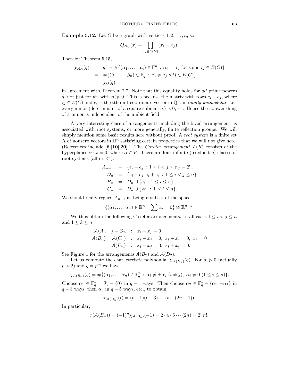**Example 5.12.** Let G be a graph with vertices  $1, 2, \ldots, n$ , so

$$
Q_{\mathcal{A}_G}(x) = \prod_{ij \in E(G)} (x_i - x_j).
$$

Then by Theorem 5.15,

$$
\chi_{\mathcal{A}_G}(q) = q^n - #\{(\alpha_1, \dots, \alpha_n) \in \mathbb{F}_1^n : \alpha_i = \alpha_j \text{ for some } ij \in E(G)\}
$$
  
= 
$$
\# \{(\beta_1, \dots, \beta_n) \in \mathbb{F}_q^n : \beta_i \neq \beta_j \ \forall \, ij \in E(G)\}
$$
  
= 
$$
\chi_G(q),
$$

in agreement with Theorem 2.7. Note that this equality holds for all prime powers q, not just for  $p^m$  with  $p \gg 0$ . This is because the matrix with rows  $e_i - e_j$ , where  $ij \in E(G)$  and  $e_i$  is the *i*th unit coordinate vector in  $\mathbb{Q}^n$ , is *totally unimodular*, i.e., every minor (determinant of a square submatrix) is  $0, \pm 1$ . Hence the nonvanishing of a minor is independent of the ambient field.

A very interesting class of arrangements, including the braid arrangement, is associated with root systems, or more generally, finite reflection groups. We will simply mention some basic results here without proof. A root system is a finite set R of nonzero vectors in  $\mathbb{R}^n$  satisfying certain properties that we will not give here. (References include  $[6][10][20]$ .) The *Coxeter arrangement*  $A(R)$  consists of the hyperplanes  $\alpha \cdot x = 0$ , where  $\alpha \in R$ . There are four infinite (irreducible) classes of root systems (all in  $\mathbb{R}^n$ ):

$$
A_{n-1} = \{e_i - e_j : 1 \le i < j \le n\} = \mathcal{B}_n
$$
  
\n
$$
D_n = \{e_i - e_j, e_i + e_j : 1 \le i < j \le n\}
$$
  
\n
$$
B_n = D_n \cup \{e_i : 1 \le i \le n\}
$$
  
\n
$$
C_n = D_n \cup \{2e_i : 1 \le i \le n\}.
$$

We should really regard  $A_{n-1}$  as being a subset of the space

$$
\{(\alpha_1,\ldots,\alpha_n)\in\mathbb{R}^n\,:\,\sum\alpha_i=0\}\cong\mathbb{R}^{n-1}.
$$

We thus obtain the following Coxeter arrangements. In all cases  $1 \leq i < j \leq n$ and  $1 \leq k \leq n$ .

$$
\mathcal{A}(A_{n-1}) = \mathcal{B}_n : x_i - x_j = 0
$$
  
\n
$$
\mathcal{A}(B_n) = \mathcal{A}(C_n) : x_i - x_j = 0, x_i + x_j = 0, x_k = 0
$$
  
\n
$$
\mathcal{A}(D_n) : x_i - x_j = 0, x_i + x_j = 0.
$$

See Figure 1 for the arrangements  $A(B_2)$  and  $A(D_2)$ .

Let us compute the characteristic polynomial  $\chi_{\mathcal{A}(B_n)}(q)$ . For  $p \gg 0$  (actually  $p > 2$ ) and  $q = p^m$  we have

$$
\chi_{\mathcal{A}(B_n)}(q) = \#\{(\alpha_1,\ldots,\alpha_n) \in \mathbb{F}_q^n : \alpha_i \neq \pm \alpha_j \ (i \neq j), \ \alpha_i \neq 0 \ (1 \leq i \leq n)\}.
$$

Choose  $\alpha_1 \in \mathbb{F}_q^* = \mathbb{F}_q - \{0\}$  in  $q-1$  ways. Then choose  $\alpha_2 \in \mathbb{F}_q^* - \{\alpha_1, -\alpha_1\}$  in  $q-3$  ways, then  $\alpha_3$  in  $q-5$  ways, etc., to obtain:

$$
\chi_{\mathcal{A}(B_n)}(t) = (t-1)(t-3)\cdots(t-(2n-1)).
$$

In particular,

$$
r(A(B_n)) = (-1)^n \chi_{A(B_n)}(-1) = 2 \cdot 4 \cdot 6 \cdots (2n) = 2^n n!.
$$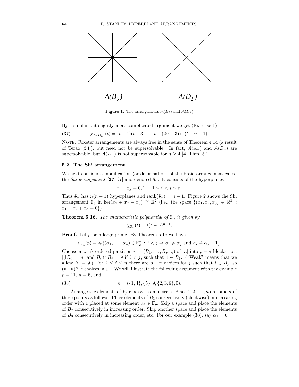

**Figure 1.** The arrangements  $A(B_2)$  and  $A(D_2)$ 

By a similar but slightly more complicated argument we get (Exercise 1)

(37) 
$$
\chi_{\mathcal{A}(D_n)}(t) = (t-1)(t-3)\cdots(t-(2n-3))\cdot(t-n+1).
$$

NOTE. Coxeter arrangements are always free in the sense of Theorem 4.14 (a result of Terao [34]), but need not be supersolvable. In fact,  $\mathcal{A}(A_n)$  and  $\mathcal{A}(B_n)$  are supersolvable, but  $A(D_n)$  is not supersolvable for  $n \geq 4$  [4, Thm. 5.1].

#### 5.2. The Shi arrangement

We next consider a modification (or deformation) of the braid arrangement called the *Shi arrangement* [27,  $\S7$ ] and denoted  $S_n$ . It consists of the hyperplanes

$$
x_i - x_j = 0, 1, \quad 1 \le i < j \le n.
$$

Thus  $S_n$  has  $n(n-1)$  hyperplanes and rank $(S_n) = n-1$ . Figure 2 shows the Shi arrangement  $S_3$  in ker $(x_1 + x_2 + x_3) \cong \mathbb{R}^2$  (i.e., the space  $\{(x_1, x_2, x_3) \in \mathbb{R}^3$ :  $x_1 + x_2 + x_3 = 0$ .

**Theorem 5.16.** The characteristic polynomial of  $S_n$  is given by

$$
\chi_{\mathcal{S}_n}(t) = t(t - n)^{n-1}.
$$

**Proof.** Let  $p$  be a large prime. By Theorem 5.15 we have

$$
\chi_{\mathcal{S}_n}(p) = \#\{(\alpha_1, \ldots, \alpha_n) \in \mathbb{F}_p^n : i < j \Rightarrow \alpha_i \neq \alpha_j \text{ and } \alpha_i \neq \alpha_j + 1\}.
$$

Choose a weak ordered partition  $\pi = (B_1, \ldots, B_{p-n})$  of  $[n]$  into  $p-n$  blocks, i.e.,  $\bigcup B_i = [n]$  and  $B_i \cap B_j = \emptyset$  if  $i \neq j$ , such that  $1 \in B_1$ . ("Weak" means that we allow  $B_i = \emptyset$ .) For  $2 \leq i \leq n$  there are  $p - n$  choices for j such that  $i \in B_j$ , so  $(p-n)^{n-1}$  choices in all. We will illustrate the following argument with the example  $p = 11$ ,  $n = 6$ , and

(38) 
$$
\pi = (\{1,4\},\{5\},\emptyset,\{2,3,6\},\emptyset).
$$

Arrange the elements of  $\mathbb{F}_p$  clockwise on a circle. Place  $1, 2, \ldots, n$  on some n of these points as follows. Place elements of  $B_1$  consecutively (clockwise) in increasing order with 1 placed at some element  $\alpha_1 \in \mathbb{F}_p$ . Skip a space and place the elements of  $B_2$  consecutively in increasing order. Skip another space and place the elements of  $B_3$  consecutively in increasing order, etc. For our example (38), say  $\alpha_1 = 6$ .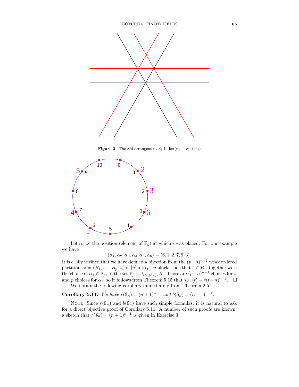

**Figure 2.** The Shi arrangement  $S_3$  in ker $(x_1 + x_2 + x_3)$ 



Let  $\alpha_i$  be the position (element of  $\mathbb{F}_p$ ) at which i was placed. For our example we have

 $(\alpha_1, \alpha_2, \alpha_3, \alpha_4, \alpha_5, \alpha_6) = (6, 1, 2, 7, 9, 3).$ 

It is easily verified that we have defined a bijection from the  $(p-n)^{n-1}$  weak ordered partitions  $\pi = (B_1, \ldots, B_{p-n})$  of [n] into  $p-n$  blocks such that  $1 \in B_1$ , together with the choice of  $\alpha_1 \in \mathbb{F}_p$ , to the set  $\mathbb{F}_p^n - \bigcup_{H \in (\mathcal{S}_n)_p} H$ . There are  $(p-n)^{n-1}$  choices for  $\pi$ and p choices for  $\alpha_1$ , so it follows from Theorem 5.15 that  $\chi_{s_n}(t) = t(t-n)^{n-1}$ .  $\Box$ 

We obtain the following corollary immediately from Theorem 2.5.

Corollary 5.11. We have  $r(\mathcal{S}_n) = (n+1)^{n-1}$  and  $b(\mathcal{S}_n) = (n-1)^{n-1}$ .

NOTE. Since  $r(\mathcal{S}_n)$  and  $b(\mathcal{S}_n)$  have such simple formulas, it is natural to ask for a direct bijective proof of Corollary 5.11. A number of such proofs are known; a sketch that  $r(\mathcal{S}_n) = (n+1)^{n-1}$  is given in Exercise 3.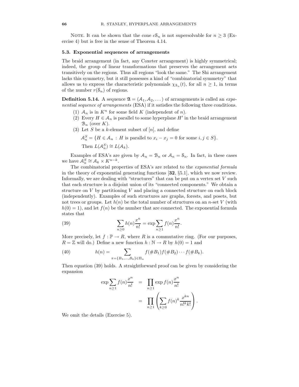NOTE. It can be shown that the cone  $cS_n$  is not supersolvable for  $n \geq 3$  (Exercise 4) but is free in the sense of Theorem 4.14.

#### 5.3. Exponential sequences of arrangements

The braid arrangement (in fact, any Coxeter arrangement) is highly symmetrical; indeed, the group of linear transformations that preserves the arrangement acts transitively on the regions. Thus all regions "look the same." The Shi arrangement lacks this symmetry, but it still possesses a kind of "combinatorial symmetry" that allows us to express the characteristic polynomials  $\chi_{s_n}(t)$ , for all  $n \geq 1$ , in terms of the number  $r(\mathcal{S}_n)$  of regions.

**Definition 5.14.** A sequence  $\mathfrak{A} = (A_1, A_2, \dots)$  of arrangements is called an *expo*nential sequence of arrangements (ESA) if it satisfies the following three conditions.

- (1)  $A_n$  is in  $K^n$  for some field K (independent of n).
- (2) Every  $H \in \mathcal{A}_n$  is parallel to some hyperplane  $H'$  in the braid arrangement  $\mathcal{B}_n$  (over K).
- (3) Let S be a k-element subset of  $[n]$ , and define

$$
\mathcal{A}_n^S = \{ H \in \mathcal{A}_n : H \text{ is parallel to } x_i - x_j = 0 \text{ for some } i, j \in S \}.
$$

Then  $L(\mathcal{A}_n^S) \cong L(\mathcal{A}_k)$ .

Examples of ESA's are given by  $A_n = B_n$  or  $A_n = S_n$ . In fact, in these cases we have  $A_n^S \cong A_k \times K^{n-k}$ .

The combinatorial properties of ESA's are related to the exponential formula in the theory of exponential generating functions [32, §5.1], which we now review. Informally, we are dealing with "structures" that can be put on a vertex set  $V$  such that each structure is a disjoint union of its "connected components." We obtain a structure on  $V$  by partitioning  $V$  and placing a connected structure on each block (independently). Examples of such structures are graphs, forests, and posets, but not trees or groups. Let  $h(n)$  be the total number of structures on an n-set V (with  $h(0) = 1$ , and let  $f(n)$  be the number that are connected. The exponential formula states that

(39) 
$$
\sum_{n\geq 0} h(n) \frac{x^n}{n!} = \exp \sum_{n\geq 1} f(n) \frac{x^n}{n!}.
$$

More precisely, let  $f : \mathbb{P} \to R$ , where R is a commutative ring. (For our purposes,  $R = \mathbb{Z}$  will do.) Define a new function  $h : \mathbb{N} \to R$  by  $h(0) = 1$  and

(40) 
$$
h(n) = \sum_{\pi = \{B_1, ..., B_k\} \in \Pi_n} f(\#B_1) f(\#B_2) \cdots f(\#B_k).
$$

Then equation (39) holds. A straightforward proof can be given by considering the expansion

$$
\exp \sum_{n\geq 1} f(n) \frac{x^n}{n!} = \prod_{n\geq 1} \exp f(n) \frac{x^n}{n!}
$$

$$
= \prod_{n\geq 1} \left( \sum_{k\geq 0} f(n)^k \frac{x^{kn}}{n!^k k!} \right).
$$

We omit the details (Exercise 5).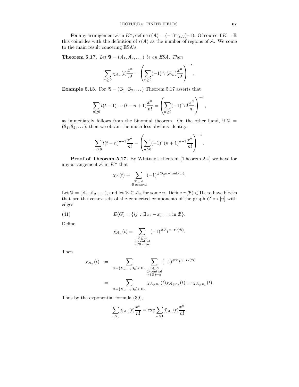For any arrangement A in  $K^n$ , define  $r(A) = (-1)^n \chi_A(-1)$ . Of course if  $K = \mathbb{R}$ this coincides with the definition of  $r(\mathcal{A})$  as the number of regions of  $\mathcal{A}$ . We come to the main result concering ESA's.

**Theorem 5.17.** Let  $\mathfrak{A} = (A_1, A_2, \dots)$  be an ESA. Then

$$
\sum_{n\geq 0} \chi_{\mathcal{A}_n}(t) \frac{x^n}{n!} = \left(\sum_{n\geq 0} (-1)^n r(\mathcal{A}_n) \frac{x^n}{n!}\right)^{-t}.
$$

**Example 5.13.** For  $\mathfrak{A} = (\mathcal{B}_1, \mathcal{B}_2, \dots)$  Theorem 5.17 asserts that

$$
\sum_{n\geq 0} t(t-1)\cdots(t-n+1)\frac{x^n}{n!} = \left(\sum_{n\geq 0} (-1)^n n! \frac{x^n}{n!}\right)^{-t},
$$

as immediately follows from the binomial theorem. On the other hand, if  $\mathfrak{A} =$  $(8_1, 8_2, \dots)$ , then we obtain the much less obvious identity

$$
\sum_{n\geq 0} t(t-n)^{n-1} \frac{x^n}{n!} = \left(\sum_{n\geq 0} (-1)^n (n+1)^{n-1} \frac{x^n}{n!}\right)^{-t}.
$$

Proof of Theorem 5.17. By Whitney's theorem (Theorem 2.4) we have for any arrangement  $A$  in  $K<sup>n</sup>$  that

$$
\chi_{\mathcal{A}}(t) = \sum_{\substack{\mathcal{B} \subseteq \mathcal{A} \\ \mathcal{B} \text{ central}}} (-1)^{\# \mathcal{B}} t^{n - \text{rank}(\mathcal{B})}.
$$

Let  $\mathfrak{A} = (A_1, A_2, \dots)$ , and let  $\mathfrak{B} \subseteq A_n$  for some n. Define  $\pi(\mathfrak{B}) \in \Pi_n$  to have blocks that are the vertex sets of the connected components of the graph  $G$  on  $[n]$  with edges

(41) 
$$
E(G) = \{ ij : \exists x_i - x_j = c \text{ in } B \}.
$$

Define

$$
\tilde{\chi}_{\mathcal{A}_n}(t) = \sum_{\substack{\mathcal{B} \subseteq \mathcal{A} \\ \mathcal{B} \text{ central} \\ \pi(\mathcal{B}) = [n]}} (-1)^{\#\mathcal{B}} t^{n-\text{rk}(\mathcal{B})}.
$$

Then

$$
\chi_{\mathcal{A}_n}(t) = \sum_{\substack{\pi = \{B_1, \dots, B_k\} \in \Pi_n \\ \mathcal{B} \subset \mathcal{A} \\ \pi(\mathcal{B}) = \pi}} \sum_{\substack{\mathcal{B} \subseteq \mathcal{A} \\ \mathcal{B} \text{ central} \\ \pi(\mathcal{B}) = \pi}} (-1)^{\# \mathcal{B}} t^{n - \text{rk}(\mathcal{B})}
$$
\n
$$
= \sum_{\substack{\pi = \{B_1, \dots, B_k\} \in \Pi_n}} \tilde{\chi}_{\mathcal{A}_{\# B_1}}(t) \tilde{\chi}_{\mathcal{A}_{\# B_2}}(t) \cdots \tilde{\chi}_{\mathcal{A}_{\# B_k}}(t).
$$

Thus by the exponential formula (39),

$$
\sum_{n\geq 0} \chi_{\mathcal{A}_n}(t) \frac{x^n}{n!} = \exp \sum_{n\geq 1} \tilde{\chi}_{\mathcal{A}_n}(t) \frac{x^n}{n!}.
$$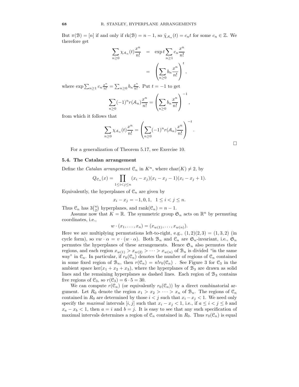But  $\pi(\mathcal{B}) = [n]$  if and only if  $rk(\mathcal{B}) = n - 1$ , so  $\tilde{\chi}_{\mathcal{A}_n}(t) = c_n t$  for some  $c_n \in \mathbb{Z}$ . We therefore get

$$
\sum_{n\geq 0} \chi_{A_n}(t) \frac{x^n}{n!} = \exp t \sum_{n\geq 1} c_n \frac{x^n}{n!}
$$

$$
= \left(\sum_{n\geq 0} b_n \frac{x^n}{n!}\right)^t,
$$

where  $\exp \sum_{n\geq 1} c_n \frac{x^n}{n!} = \sum_{n\geq 0} b_n \frac{x^n}{n!}$  $\frac{x^{\alpha}}{n!}$ . Put  $t = -1$  to get

$$
\sum_{n\geq 0} (-1)^n r(A_n) \frac{x^n}{n!} = \left(\sum_{n\geq 0} b_n \frac{x^n}{n!}\right)^{-1}
$$

,

from which it follows that

$$
\sum_{n\geq 0} \chi_{\mathcal{A}_n}(t) \frac{x^n}{n!} = \left(\sum_{n\geq 0} (-1)^n r(\mathcal{A}_n) \frac{x^n}{n!}\right)^{-t}.
$$

For a generalization of Theorem 5.17, see Exercise 10.

#### 5.4. The Catalan arrangement

Define the *Catalan arrangement*  $\mathfrak{C}_n$  in  $K^n$ , where  $char(K) \neq 2$ , by

$$
Q_{\mathcal{C}_n}(x) = \prod_{1 \le i < j \le n} (x_i - x_j)(x_i - x_j - 1)(x_i - x_j + 1).
$$

Equivalently, the hyperplanes of  $\mathcal{C}_n$  are given by

$$
x_i - x_j = -1, 0, 1, \quad 1 \le i < j \le n.
$$

Thus  $\mathcal{C}_n$  has  $3\binom{n}{2}$  hyperplanes, and rank $(\mathcal{C}_n) = n - 1$ .

Assume now that  $K = \mathbb{R}$ . The symmetric group  $\mathfrak{S}_n$  acts on  $\mathbb{R}^n$  by permuting coordinates, i.e.,

$$
w \cdot (x_1, \ldots, x_n) = (x_{w(1)}, \ldots, x_{w(n)}).
$$

Here we are multiplying permutations left-to-right, e.g.,  $(1, 2)(2, 3) = (1, 3, 2)$  (in cycle form), so  $vw \cdot \alpha = v \cdot (w \cdot \alpha)$ . Both  $\mathcal{B}_n$  and  $\mathcal{C}_n$  are  $\mathfrak{S}_n$ -invariant, i.e.,  $\mathfrak{S}_n$ permutes the hyperplanes of these arrangements. Hence  $\mathfrak{S}_n$  also permutes their regions, and each region  $x_{w(1)} > x_{w(2)} > \cdots > x_{w(n)}$  of  $\mathcal{B}_n$  is divided "in the same way" in  $\mathcal{C}_n$ . In particular, if  $r_0(\mathcal{C}_n)$  denotes the number of regions of  $\mathcal{C}_n$  contained in some fixed region of  $\mathcal{B}_n$ , then  $r(\mathcal{C}_n) = n!r_0(\mathcal{C}_n)$ . See Figure 3 for  $\mathcal{C}_3$  in the ambient space ker( $x_1 + x_2 + x_3$ ), where the hyperplanes of  $\mathcal{B}_3$  are drawn as solid lines and the remaining hyperplanes as dashed lines. Each region of  $B_3$  contains five regions of  $\mathcal{C}_3$ , so  $r(\mathcal{C}_3) = 6 \cdot 5 = 30$ .

We can compute  $r(\mathcal{C}_n)$  (or equivalently  $r_0(\mathcal{C}_n)$ ) by a direct combinatorial argument. Let  $R_0$  denote the region  $x_1 > x_2 > \cdots > x_n$  of  $\mathcal{B}_n$ . The regions of  $\mathcal{C}_n$ contained in  $R_0$  are determined by those  $i < j$  such that  $x_i - x_j < 1$ . We need only specify the maximal intervals  $[i, j]$  such that  $x_i - x_j < 1$ , i.e., if  $a \leq i < j \leq b$  and  $x_a - x_b < 1$ , then  $a = i$  and  $b = j$ . It is easy to see that any such specification of maximal intervals determines a region of  $\mathcal{C}_n$  contained in  $R_0$ . Thus  $r_0(\mathcal{C}_n)$  is equal

 $\Box$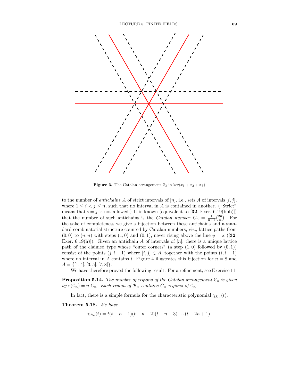

**Figure 3.** The Catalan arrangement  $C_3$  in ker $(x_1 + x_2 + x_3)$ 

to the number of *antichains* A of strict intervals of  $[n]$ , i.e., sets A of intervals  $[i, j]$ , where  $1 \leq i \leq j \leq n$ , such that no interval in A is contained in another. ("Strict") means that  $i = j$  is not allowed.) It is known (equivalent to [32, Exer. 6.19(bbb)]) that the number of such antichains is the *Catalan number*  $C_n = \frac{1}{n+1} {2n \choose n}$ . For the sake of completeness we give a bijection between these antichains and a standard combinatorial structure counted by Catalan numbers, viz., lattice paths from  $(0,0)$  to  $(n,n)$  with steps  $(1,0)$  and  $(0,1)$ , never rising above the line  $y = x$  ([32, Exer. 6.19(h)]). Given an antichain A of intervals of  $[n]$ , there is a unique lattice path of the claimed type whose "outer corners" (a step  $(1,0)$  followed by  $(0,1)$ ) consist of the points  $(j, i - 1)$  where  $[i, j] \in A$ , together with the points  $(i, i - 1)$ where no interval in A contains i. Figure 4 illustrates this bijection for  $n = 8$  and  $A = \{[1, 4], [3, 5], [7, 8]\}.$ 

We have therefore proved the following result. For a refinement, see Exercise 11.

**Proposition 5.14.** The number of regions of the Catalan arrangement  $\mathcal{C}_n$  is given by  $r(\mathcal{C}_n) = n!C_n$ . Each region of  $\mathcal{B}_n$  contains  $C_n$  regions of  $\mathcal{C}_n$ .

In fact, there is a simple formula for the characteristic polynomial  $\chi_{\mathcal{C}_n}(t)$ .

Theorem 5.18. We have

$$
\chi_{\mathfrak{C}_n}(t) = t(t - n - 1)(t - n - 2)(t - n - 3) \cdots (t - 2n + 1).
$$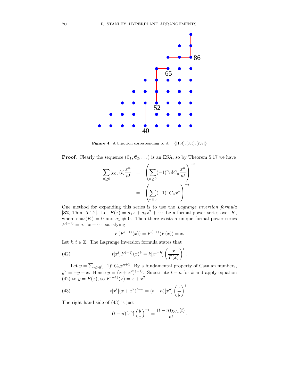

**Figure 4.** A bijection corresponding to  $A = \{[1, 4], [3, 5], [7, 8]\}$ 

**Proof.** Clearly the sequence  $(\mathcal{C}_1, \mathcal{C}_2, \dots)$  is an ESA, so by Theorem 5.17 we have

$$
\sum_{n\geq 0} \chi_{\mathcal{C}_n}(t) \frac{x^n}{n!} = \left( \sum_{n\geq 0} (-1)^n n! C_n \frac{x^n}{n!} \right)^{-t}
$$

$$
= \left( \sum_{n\geq 0} (-1)^n C_n x^n \right)^{-t}.
$$

One method for expanding this series is to use the Lagrange inversion formula [32, Thm. 5.4.2]. Let  $F(x) = a_1x + a_2x^2 + \cdots$  be a formal power series over K, where  $char(K) = 0$  and  $a_1 \neq 0$ . Then there exists a unique formal power series  $F^{\langle -1 \rangle} = a_1^{-1}x + \cdots$  satisfying

$$
F(F^{\langle -1 \rangle}(x)) = F^{\langle -1 \rangle}(F(x)) = x.
$$

Let  $k, t \in \mathbb{Z}$ . The Lagrange inversion formula states that

(42) 
$$
t[x^t]F^{\langle -1 \rangle}(x)^k = k[x^{t-k}]\left(\frac{x}{F(x)}\right)^t.
$$

Let  $y = \sum_{n\geq 0} (-1)^n C_n x^{n+1}$ . By a fundamental property of Catalan numbers,  $y^2 = -y + x$ . Hence  $y = (x + x^2)^{(-1)}$ . Substitute  $t - n$  for k and apply equation (42) to  $y = F(x)$ , so  $F^{-1}(x) = x + x^2$ :

(43) 
$$
t[x^{t}](x+x^{2})^{t-n} = (t-n)[x^{n}]\left(\frac{x}{y}\right)^{t}.
$$

The right-hand side of (43) is just

$$
(t-n)[x^n] \left(\frac{y}{x}\right)^{-t} = \frac{(t-n)\chi_{\mathcal{C}_n}(t)}{n!}.
$$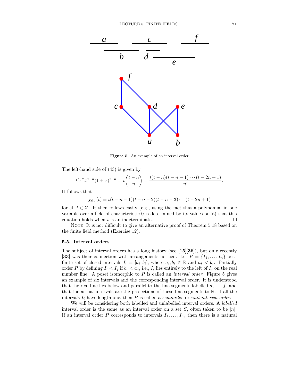

Figure 5. An example of an interval order

The left-hand side of (43) is given by

$$
t[x^t]x^{t-n}(1+x)^{t-n} = t\binom{t-n}{n} = \frac{t(t-n)(t-n-1)\cdots(t-2n+1)}{n!}.
$$

It follows that

 $\chi_{\mathfrak{C}_n}(t) = t(t - n - 1)(t - n - 2)(t - n - 3) \cdots (t - 2n + 1)$ 

for all  $t \in \mathbb{Z}$ . It then follows easily (e.g., using the fact that a polynomial in one variable over a field of characteristic 0 is determined by its values on  $\mathbb{Z}$ ) that this equation holds when t is an indeterminate.  $\Box$ 

NOTE. It is not difficult to give an alternative proof of Theorem 5.18 based on the finite field method (Exercise 12).

## 5.5. Interval orders

The subject of interval orders has a long history (see  $[15][36]$ ), but only recently [33] was their connection with arrangements noticed. Let  $P = \{I_1, \ldots, I_n\}$  be a finite set of closed intervals  $I_i = [a_i, b_i]$ , where  $a_i, b_i \in \mathbb{R}$  and  $a_i < b_i$ . Partially order P by defining  $I_i < I_j$  if  $b_i < a_j$ , i.e.,  $I_i$  lies entirely to the left of  $I_j$  on the real number line. A poset isomorphic to  $P$  is called an *interval order*. Figure 5 gives an example of six intervals and the corresponding interval order. It is understood that the real line lies below and parallel to the line segments labelled  $a, \ldots, f$ , and that the actual intervals are the projections of these line segments to R. If all the intervals  $I_i$  have length one, then  $P$  is called a *semiorder* or unit interval order.

We will be considering both labelled and unlabelled interval orders. A labelled interval order is the same as an interval order on a set  $S$ , often taken to be [n]. If an interval order P corresponds to intervals  $I_1, \ldots, I_n$ , then there is a natural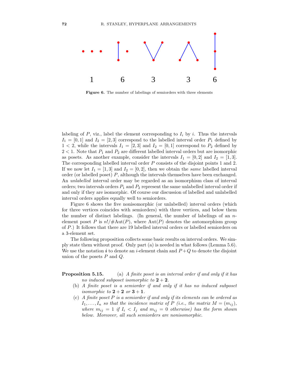

Figure 6. The number of labelings of semiorders with three elements

labeling of  $P$ , viz., label the element corresponding to  $I_i$  by i. Thus the intervals  $I_1 = [0, 1]$  and  $I_2 = [2, 3]$  correspond to the labelled interval order  $P_1$  defined by  $1 < 2$ , while the intervals  $I_1 = [2, 3]$  and  $I_2 = [0, 1]$  correspond to  $P_2$  defined by  $2 < 1$ . Note that  $P_1$  and  $P_2$  are different labelled interval orders but are isomorphic as posets. As another example, consider the intervals  $I_1 = [0, 2]$  and  $I_2 = [1, 3]$ . The corresponding labelled interval order P consists of the disjoint points 1 and 2. If we now let  $I_1 = [1, 3]$  and  $I_2 = [0, 2]$ , then we obtain the same labelled interval order (or labelled poset) P, although the intervals themselves have been exchanged. An unlabelled interval order may be regarded as an isomorphism class of interval orders; two intervals orders  $P_1$  and  $P_2$  represent the same unlabelled interval order if and only if they are isomorphic. Of course our discussion of labelled and unlabelled interval orders applies equally well to semiorders.

Figure 6 shows the five nonisomorphic (or unlabelled) interval orders (which for three vertices coincides with semiorders) with three vertices, and below them the number of distinct labelings. (In general, the number of labelings of an nelement poset P is  $n!/\#\mathrm{Aut}(P)$ , where  $\mathrm{Aut}(P)$  denotes the automorphism group of P.) It follows that there are 19 labelled interval orders or labelled semiorders on a 3-element set.

The following proposition collects some basic results on interval orders. We simply state them without proof. Only part (a) is needed in what follows (Lemma 5.6). We use the notation i to denote an i-element chain and  $P+Q$  to denote the disjoint union of the posets  $P$  and  $Q$ .

**Proposition 5.15.** (a) A finite poset is an interval order if and only if it has no induced subposet isomorphic to  $2 + 2$ .

- (b) A finite poset is a semiorder if and only if it has no induced subposet isomorphic to  $2+2$  or  $3+1$ .
- (c) A finite poset P is a semiorder if and only if its elements can be ordered as  $I_1, \ldots, I_n$  so that the incidence matrix of P (i.e., the matrix  $M = (m_{ij}),$ where  $m_{ij} = 1$  if  $I_i < I_j$  and  $m_{ij} = 0$  otherwise) has the form shown below. Moreover, all such semiorders are nonisomorphic.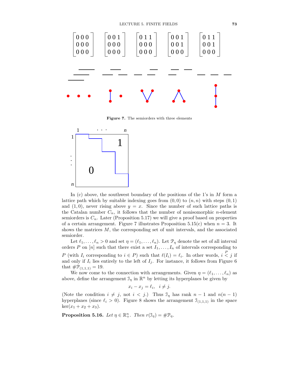

Figure 7. The semiorders with three elements



In (c) above, the southwest boundary of the positions of the 1's in  $M$  form a lattice path which by suitable indexing goes from  $(0, 0)$  to  $(n, n)$  with steps  $(0, 1)$ and  $(1, 0)$ , never rising above  $y = x$ . Since the number of such lattice paths is the Catalan number  $C_n$ , it follows that the number of nonisomorphic *n*-element semiorders is  $C_n$ . Later (Proposition 5.17) we will give a proof based on properties of a certain arrangement. Figure 7 illustrates Proposition 5.15(c) when  $n = 3$ . It shows the matrices  $M$ , the corresponding set of unit intervals, and the associated semiorder.

Let  $\ell_1, \ldots, \ell_n > 0$  and set  $\eta = (\ell_1, \ldots, \ell_n)$ . Let  $\mathcal{P}_{\eta}$  denote the set of all interval orders P on [n] such that there exist a set  $I_1, \ldots, I_n$  of intervals corresponding to P (with  $I_i$  corresponding to  $i \in P$ ) such that  $\ell(I_i) = \ell_i$ . In other words,  $i < j$  if and only if  $I_i$  lies entirely to the left of  $I_j$ . For instance, it follows from Figure 6 that  $\#\mathcal{P}_{(1,1,1)} = 19$ .

We now come to the connection with arrangements. Given  $\eta = (\ell_1, \ldots, \ell_n)$  as above, define the arrangement  $\mathcal{I}_{\eta}$  in  $\mathbb{R}^{n}$  by letting its hyperplanes be given by

$$
x_i - x_j = \ell_i, \quad i \neq j.
$$

(Note the condition  $i \neq j$ , not  $i < j$ .) Thus  $\mathcal{I}_\eta$  has rank  $n-1$  and  $n(n-1)$ hyperplanes (since  $\ell_i > 0$ ). Figure 8 shows the arrangement  $\mathcal{I}_{(1,1,1)}$  in the space  $\ker(x_1 + x_2 + x_3).$ 

**Proposition 5.16.** Let  $\eta \in \mathbb{R}^n_+$ . Then  $r(\mathfrak{I}_{\eta}) = \#\mathfrak{P}_{\eta}$ .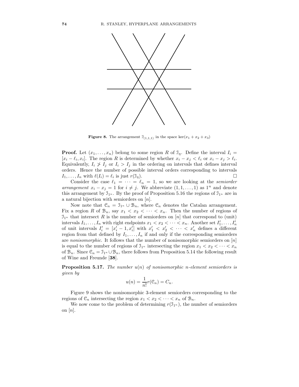

**Figure 8.** The arrangement  $\mathcal{I}_{(1,1,1)}$  in the space ker $(x_1 + x_2 + x_3)$ 

**Proof.** Let  $(x_1, \ldots, x_n)$  belong to some region R of  $\mathcal{I}_\eta$ . Define the interval  $I_i =$  $[x_i - \ell_i, x_i]$ . The region R is determined by whether  $x_i - x_j < \ell_i$  or  $x_i - x_j > \ell_i$ . Equivalently,  $I_i \nless I_j$  or  $I_i > I_j$  in the ordering on intervals that defines interval orders. Hence the number of possible interval orders corresponding to intervals  $I_1, \ldots, I_n$  with  $\ell(I_i) = \ell_i$  is just  $r(\mathfrak{I}_\eta)$ .

Consider the case  $\ell_1 = \cdots = \ell_n = 1$ , so we are looking at the *semiorder* arrangement  $x_i - x_j = 1$  for  $i \neq j$ . We abbreviate  $(1, 1, \ldots, 1)$  as  $1^n$  and denote this arrangement by  $\mathfrak{I}_{1^n}$ . By the proof of Proposition 5.16 the regions of  $\mathfrak{I}_{1^n}$  are in a natural bijection with semiorders on [n].

Now note that  $\mathcal{C}_n = \mathcal{I}_{1^n} \cup \mathcal{B}_n$ , where  $\mathcal{C}_n$  denotes the Catalan arrangement. Fix a region R of  $\mathcal{B}_n$ , say  $x_1 < x_2 < \cdots < x_n$ . Then the number of regions of  $\mathfrak{I}_{1^n}$  that intersect R is the number of semiorders on [n] that correspond to (unit) intervals  $I_1, \ldots, I_n$  with right endpoints  $x_1 < x_2 < \cdots < x_n$ . Another set  $I'_1, \ldots, I'_n$ of unit intervals  $I'_i = [x'_i - 1, x'_i]$  with  $x'_1 < x'_2 < \cdots < x'_n$  defines a different region from that defined by  $I_1, \ldots, I_n$  if and only if the corresponding semiorders are nonisomorphic. It follows that the number of nonisomorphic semiorders on  $[n]$ is equal to the number of regions of  $\mathcal{I}_{1^n}$  intersecting the region  $x_1 < x_2 < \cdots < x_n$ of  $\mathcal{B}_n$ . Since  $\mathcal{C}_n = \mathcal{I}_{1^n} \cup \mathcal{B}_n$ , there follows from Proposition 5.14 the following result of Wine and Freunde [38].

**Proposition 5.17.** The number  $u(n)$  of nonisomorphic n-element semiorders is given by

$$
u(n) = \frac{1}{n!}r(\mathfrak{C}_n) = C_n.
$$

Figure 9 shows the nonisomorphic 3-element semiorders corresponding to the regions of  $\mathcal{C}_n$  intersecting the region  $x_1 < x_2 < \cdots < x_n$  of  $\mathcal{B}_n$ .

We now come to the problem of determining  $r(\mathfrak{I}_{1^n})$ , the number of semiorders on  $|n|$ .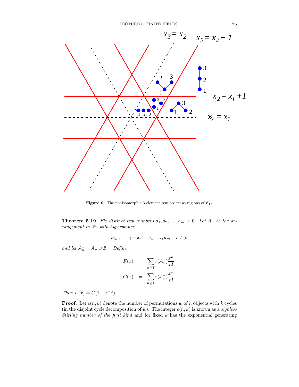

**Figure 9.** The nonisomorphic 3-element semiorders as regions of  $C_{1^n}$ 

**Theorem 5.19.** Fix distinct real numbers  $a_1, a_2, \ldots, a_m > 0$ . Let  $A_n$  be the arrangement in  $\mathbb{R}^n$  with hyperplanes

$$
A_n: \quad x_i - x_j = a_1, \dots, a_m, \quad i \neq j,
$$

and let  $\mathcal{A}_n^* = \mathcal{A}_n \cup \mathcal{B}_n$ . Define

$$
F(x) = \sum_{n\geq 1} r(A_n) \frac{x^n}{n!}
$$

$$
G(x) = \sum_{n\geq 1} r(A_n^*) \frac{x^n}{n!}.
$$

Then  $F(x) = G(1 - e^{-x}).$ 

**Proof.** Let  $c(n, k)$  denote the number of permutations w of n objects with k cycles (in the disjoint cycle decomposition of w). The integer  $c(n, k)$  is known as a *signless* Stirling number of the first kind and for fixed  $k$  has the exponential generating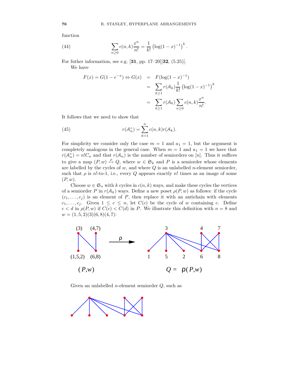function

(44) 
$$
\sum_{n\geq 0} c(n,k)\frac{x^n}{n!} = \frac{1}{k!} \left(\log(1-x)^{-1}\right)^k.
$$

For futher information, see e.g. [31, pp. 17–20][32, (5.25)]. We have

$$
F(x) = G(1 - e^{-x}) \Leftrightarrow G(x) = F(\log(1 - x)^{-1})
$$
  
= 
$$
\sum_{k \ge 1} r(A_k) \frac{1}{k!} (\log(1 - x)^{-1})^k
$$
  
= 
$$
\sum_{k \ge 1} r(A_k) \sum_{n \ge 0} c(n, k) \frac{x^n}{n!}.
$$

It follows that we need to show that

(45) 
$$
r(\mathcal{A}_n^*) = \sum_{k=1}^n c(n,k)r(\mathcal{A}_k).
$$

For simplicity we consider only the case  $m = 1$  and  $a_1 = 1$ , but the argument is completely analogous in the general case. When  $m = 1$  and  $a_1 = 1$  we have that  $r(\mathcal{A}_n^*) = n!C_n$  and that  $r(\mathcal{A}_n)$  is the number of semiorders on [n]. Thus it suffices to give a map  $(P, w) \stackrel{\rho}{\mapsto} Q$ , where  $w \in \mathfrak{S}_k$  and P is a semiorder whose elements are labelled by the cycles of  $w$ , and where  $Q$  is an unlabelled *n*-element semiorder, such that  $\rho$  is n!-to-1, i.e., every Q appears exactly n! times as an image of some  $(P, w)$ .

Choose  $w \in \mathfrak{S}_n$  with k cycles in  $c(n, k)$  ways, and make these cycles the vertices of a semiorder P in  $r(\mathcal{A}_k)$  ways. Define a new poset  $\rho(P, w)$  as follows: if the cycle  $(c_1, \ldots, c_i)$  is an element of P, then replace it with an antichain with elements  $c_1, \ldots, c_j$ . Given  $1 \leq c \leq n$ , let  $C(c)$  be the cycle of w containing c. Define  $c < d$  in  $\rho(P, w)$  if  $C(c) < C(d)$  in P. We illustrate this definition with  $n = 8$  and  $w = (1, 5, 2)(3)(6, 8)(4, 7)$ :



Given an unlabelled *n*-element semiorder  $Q$ , such as

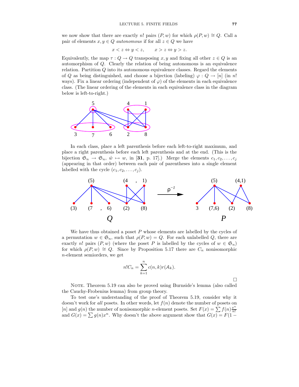we now show that there are exactly n! pairs  $(P, w)$  for which  $\rho(P, w) \cong Q$ . Call a pair of elements  $x, y \in Q$  autonomous if for all  $z \in Q$  we have

$$
x < z \Leftrightarrow y < z, \qquad x > z \Leftrightarrow y > z.
$$

Equivalently, the map  $\tau: Q \to Q$  transposing x, y and fixing all other  $z \in Q$  is an automorphism of Q. Clearly the relation of being autonomous is an equivalence relation. Partition  $Q$  into its autonomous equivalence classes. Regard the elements of Q as being distinguished, and choose a bijection (labeling)  $\varphi: Q \to [n]$  (in n!) ways). Fix a linear ordering (independent of  $\varphi$ ) of the elements in each equivalence class. (The linear ordering of the elements in each equivalence class in the diagram below is left-to-right.)



In each class, place a left parenthesis before each left-to-right maximum, and place a right parenthesis before each left parenthesis and at the end. (This is the bijection  $\mathfrak{S}_n \to \mathfrak{S}_n$ ,  $\hat{w} \mapsto w$ , in [31, p. 17].) Merge the elements  $c_1, c_2, \ldots, c_j$ (appearing in that order) between each pair of parentheses into a single element labelled with the cycle  $(c_1, c_2, \ldots, c_i)$ .



We have thus obtained a poset  $P$  whose elements are labelled by the cycles of a permutation  $w \in \mathfrak{S}_n$ , such that  $\rho(P, w) = Q$ . For each unlabelled Q, there are exactly n! pairs  $(P, w)$  (where the poset P is labelled by the cycles of  $w \in \mathfrak{S}_n$ ) for which  $\rho(P, w) \cong Q$ . Since by Proposition 5.17 there are  $C_n$  nonisomorphic n-element semiorders, we get

$$
n!C_n = \sum_{k=1}^n c(n,k)r(A_k).
$$

 $\Box$ 

NOTE. Theorem 5.19 can also be proved using Burnside's lemma (also called the Cauchy-Frobenius lemma) from group theory.

To test one's understanding of the proof of Theorem 5.19, consider why it doesn't work for *all* posets. In other words, let  $f(n)$  denote the number of posets on [n] and  $g(n)$  the number of nonisomorphic n-element posets. Set  $F(x) = \sum f(n) \frac{x^n}{n!}$  $n!$ and  $G(x) = \sum g(n)x^n$ . Why doesn't the above argument show that  $G(x) = F(1 -$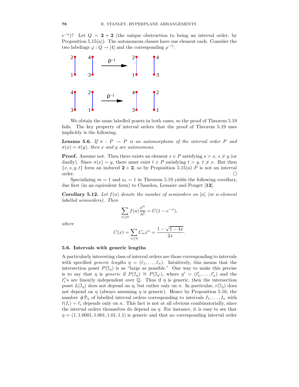$(e^{-x})$ ? Let  $Q = 2 + 2$  (the unique obstruction to being an interval order, by Proposition 5.15(a)). The autonomous classes have one element each. Consider the two labelings  $\varphi: Q \to [4]$  and the corresponding  $\rho^{-1}$ :



We obtain the same labelled posets in both cases, so the proof of Theorem 5.19 fails. The key property of interval orders that the proof of Theorem 5.19 uses implicitly is the following.

**Lemma 5.6.** If  $\sigma$  :  $P \rightarrow P$  is an automorphism of the interval order P and  $\sigma(x) = \sigma(y)$ , then x and y are autonomous.

**Proof.** Assume not. Then there exists an element  $s \in P$  satisfying  $s > x$ ,  $s \not> y$  (or dually). Since  $\sigma(x) = y$ , there must exist  $t \in P$  satisfying  $t > y$ ,  $t \neq x$ . But then  ${x, s, y, t}$  form an induced  $2 + 2$ , so by Proposition 5.15(a) P is not an interval order. order.

Specializing  $m = 1$  and  $a_1 = 1$  in Theorem 5.19 yields the following corollary, due first (in an equivalent form) to Chandon, Lemaire and Pouget [12].

**Corollary 5.12.** Let  $f(n)$  denote the number of semiorders on [n] (or n-element labelled semiorders). Then

$$
\sum_{n\geq 0} f(n) \frac{x^n}{n!} = C(1 - e^{-x}),
$$

where

$$
C(x) = \sum_{n\geq 0} C_n x^n = \frac{1 - \sqrt{1 - 4x}}{2x}.
$$

## 5.6. Intervals with generic lengths

A particularly interesting class of interval orders are those corresponding to intervals with specified *generic lengths*  $\eta = (\ell_1, \ldots, \ell_n)$ . Intuitively, this means that the intersection poset  $P(\mathcal{I}_\eta)$  is as "large as possible." One way to make this precise is to say that  $\eta$  is generic if  $P(\mathcal{I}_{\eta}) \cong P(\mathcal{I}_{\eta'})$ , where  $\eta' = (\ell'_1, \ldots, \ell'_n)$  and the  $\ell_i$ 's are linearly independent over Q. Thus if  $\eta$  is generic, then the intersection poset  $L(\mathcal{I}_n)$  does not depend on  $\eta$ , but rather only on n. In particular,  $r(\mathcal{I}_n)$  does not depend on  $\eta$  (always assuming  $\eta$  is generic). Hence by Proposition 5.16, the number  $\#\mathcal{P}_\eta$  of labelled interval orders corresponding to intervals  $I_1, \ldots, I_n$  with  $\ell(I_i) = \ell_i$  depends only on n. This fact is not at all obvious combinatorially, since the interval orders themselves do depend on  $\eta$ . For instance, it is easy to see that  $\eta = (1, 1.0001, 1.001, 1.01, 1.1)$  is generic and that no corresponding interval order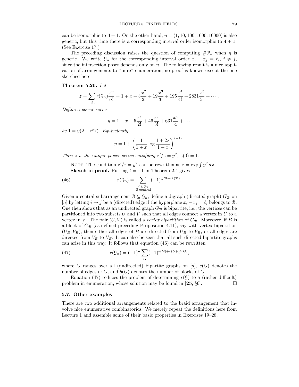can be isomorphic to  $4 + 1$ . On the other hand,  $\eta = (1, 10, 100, 1000, 10000)$  is also generic, but this time there is a corresponding interval order isomorphic to  $4 + 1$ . (See Exercise 17.)

The preceding discussion raises the question of computing  $\#\mathcal{P}_n$  when  $\eta$  is generic. We write  $\mathcal{G}_n$  for the corresponding interval order  $x_i - x_j = \ell_i, i \neq j$ , since the intersection poset depends only on  $n$ . The following result is a nice application of arrangements to "pure" enumeration; no proof is known except the one sketched here.

## Theorem 5.20. Let

$$
z = \sum_{n\geq 0} r(\mathfrak{S}_n) \frac{x^n}{n!} = 1 + x + 3\frac{x^2}{2!} + 19\frac{x^3}{3!} + 195\frac{x^4}{4!} + 2831\frac{x^5}{5!} + \cdots
$$

Define a power series

$$
y = 1 + x + 5\frac{x^2}{2!} + 46\frac{x^3}{3!} + 631\frac{x^4}{4} + \dots
$$

by  $1 = y(2 - e^{xy})$ . Equivalently,

$$
y = 1 + \left(\frac{1}{1+x} \log \frac{1+2x}{1+x}\right)^{\langle -1 \rangle}.
$$

Then z is the unique power series satisfying  $z'/z = y^2$ ,  $z(0) = 1$ .

NOTE. The condition  $z'/z = y^2$  can be rewritten as  $z = \exp \int y^2 dx$ . Sketch of proof. Putting  $t = -1$  in Theorem 2.4 gives

(46) 
$$
r(\mathcal{G}_n) = \sum_{\substack{\mathcal{B} \subseteq \mathcal{G}_n \\ \mathcal{B} \text{ central}}} (-1)^{\#\mathcal{B}-\text{rk}(\mathcal{B})}.
$$

Given a central subarrangement  $\mathcal{B} \subseteq \mathcal{G}_n$ , define a digraph (directed graph)  $G_{\mathcal{B}}$  on [n] by letting  $i \to j$  be a (directed) edge if the hyperplane  $x_i - x_j = \ell_i$  belongs to B. One then shows that as an undirected graph  $G_B$  is bipartite, i.e., the vertices can be partitioned into two subsets  $U$  and  $V$  such that all edges connect a vertex in  $U$  to a vertex in V. The pair  $(U, V)$  is called a *vertex bipartition* of  $G_{\mathcal{B}}$ . Moreover, if B is a block of  $G_{\mathcal{B}}$  (as defined preceding Proposition 4.11), say with vertex bipartition  $(U_B, V_B)$ , then either all edges of B are directed from  $U_B$  to  $V_B$ , or all edges are directed from  $V_B$  to  $U_B$ . It can also be seen that all such directed bipartite graphs can arise in this way. It follows that equation (46) can be rewritten

(47) 
$$
r(\mathcal{G}_n) = (-1)^n \sum_G (-1)^{e(G) + c(G)} 2^{b(G)},
$$

where G ranges over all (undirected) bipartite graphs on  $[n], e(G)$  denotes the number of edges of  $G$ , and  $b(G)$  denotes the number of blocks of  $G$ .

Equation (47) reduces the problem of determining  $r(\mathcal{G})$  to a (rather difficult) problem in enumeration, whose solution may be found in [25,  $\S6$ ].

#### 5.7. Other examples

There are two additional arrangements related to the braid arrangement that involve nice enumerative combinatorics. We merely repeat the definitions here from Lecture 1 and assemble some of their basic properties in Exercises 19–28.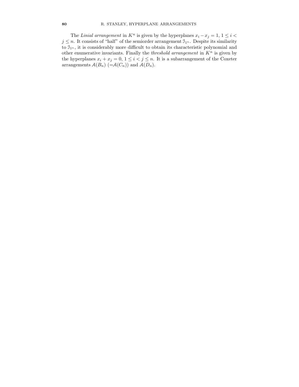The Linial arrangement in  $K^n$  is given by the hyperplanes  $x_i - x_j = 1, 1 \leq i <$  $j \leq n$ . It consists of "half" of the semiorder arrangement  $\mathfrak{I}_{1^n}$ . Despite its similarity to  $\mathfrak{I}_{1^n}$ , it is considerably more difficult to obtain its characteristic polynomial and other enumerative invariants. Finally the *threshold arrangement* in  $K<sup>n</sup>$  is given by the hyperplanes  $x_i + x_j = 0, 1 \leq i < j \leq n$ . It is a subarrangement of the Coxeter arrangements  $\mathcal{A}(B_n)$  (= $\mathcal{A}(C_n)$ ) and  $\mathcal{A}(D_n)$ .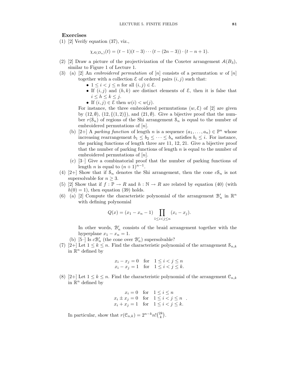# Exercises

(1) [2] Verify equation (37), viz.,

$$
\chi_{\mathcal{A}(D_n)}(t) = (t-1)(t-3)\cdots(t-(2n-3))\cdot(t-n+1).
$$

- (2) [2] Draw a picture of the projectivization of the Coxeter arrangement  $\mathcal{A}(B_3)$ , similar to Figure 1 of Lecture 1.
- (3) (a) [2] An embroidered permutation of [n] consists of a permutation w of [n] together with a collection  $\mathcal E$  of ordered pairs  $(i, j)$  such that:
	- $1 \leq i < j \leq n$  for all  $(i, j) \in \mathcal{E}$ .
	- If  $(i, j)$  and  $(h, k)$  are distinct elements of  $\mathcal{E}$ , then it is false that  $i \leq h \leq k \leq j.$
	- If  $(i, j) \in \mathcal{E}$  then  $w(i) < w(j)$ .

For instance, the three embroidered permutations  $(w, \mathcal{E})$  of [2] are given by  $(12, \emptyset)$ ,  $(12, \{(1, 2)\})$ , and  $(21, \emptyset)$ . Give a bijective proof that the number  $r(\mathcal{S}_n)$  of regions of the Shi arrangement  $\mathcal{S}_n$  is equal to the number of embroidered permutations of [n].

- (b) [2+] A parking function of length n is a sequence  $(a_1, \ldots, a_n) \in \mathbb{P}^n$  whose increasing rearrangement  $b_1 \leq b_2 \leq \cdots \leq b_n$  satisfies  $b_i \leq i$ . For instance, the parking functions of length three are 11, 12, 21. Give a bijective proof that the number of parking functions of length  $n$  is equal to the number of embroidered permutations of [n].
- (c) [3–] Give a combinatorial proof that the number of parking functions of length *n* is equal to  $(n + 1)^{n-1}$ .
- (4) [2+] Show that if  $S_n$  denotes the Shi arrangement, then the cone  $cS_n$  is not supersolvable for  $n \geq 3$ .
- (5) [2] Show that if  $f : \mathbb{P} \to R$  and  $h : \mathbb{N} \to R$  are related by equation (40) (with  $h(0) = 1$ , then equation (39) holds.
- (6) (a) [2] Compute the characteristic polynomial of the arrangement  $\mathcal{B}'_n$  in  $\mathbb{R}^n$ with defining polynomial

$$
Q(x) = (x_1 - x_n - 1) \prod_{1 \le i < j \le n} (x_i - x_j).
$$

In other words,  $\mathcal{B}'_n$  consists of the braid arrangement together with the hyperplane  $x_1 - x_n = 1$ .

- (b) [5–] Is  $c\mathcal{B}_n'$  (the cone over  $\mathcal{B}_n'$  ) supersolvable?
- (7) [2+] Let  $1 \leq k \leq n$ . Find the characteristic polynomial of the arrangement  $\mathcal{S}_{n,k}$ in  $\mathbb{R}^n$  defined by

$$
x_i - x_j = 0 \quad \text{for} \quad 1 \le i < j \le n
$$
\n
$$
x_i - x_j = 1 \quad \text{for} \quad 1 \le i < j \le k.
$$

(8) [2+] Let  $1 \leq k \leq n$ . Find the characteristic polynomial of the arrangement  $\mathcal{C}_{n,k}$ in  $\mathbb{R}^n$  defined by

$$
x_i = 0 \quad \text{for} \quad 1 \le i \le n
$$
  
\n
$$
x_i \pm x_j = 0 \quad \text{for} \quad 1 \le i < j \le n
$$
  
\n
$$
x_i + x_j = 1 \quad \text{for} \quad 1 \le i < j \le k.
$$

In particular, show that  $r(\mathcal{C}_{n,k}) = 2^{n-k} n! {2k \choose k}$ .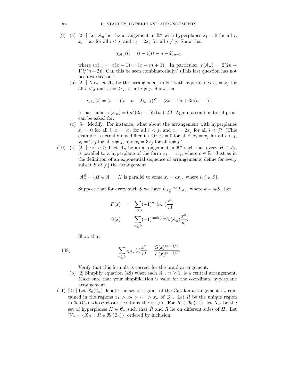(9) (a) [2+] Let  $\mathcal{A}_n$  be the arrangement in  $\mathbb{R}^n$  with hyperplanes  $x_i = 0$  for all i,  $x_i = x_j$  for all  $i < j$ , and  $x_i = 2x_j$  for all  $i \neq j$ . Show that

$$
\chi_{A_n}(t) = (t-1)(t-n-2)_{n-1},
$$

where  $(x)_m = x(x-1)\cdots(x-m+1)$ . In particular,  $r(A_n) = 2(2n +$ 1)!/ $(n+2)$ !. Can this be seen combinatorially? (This last question has not been worked on.)

(b) [2+] Now let  $\mathcal{A}_n$  be the arrangement in  $\mathbb{R}^n$  with hyperplanes  $x_i = x_j$  for all  $i < j$  and  $x_i = 2x_j$  for all  $i \neq j$ . Show that

$$
\chi_{A_n}(t) = (t-1)(t-n-2)_{n-3}(t^2-(3n-1)t+3n(n-1)).
$$

In particular,  $r(A_n) = 6n^2(2n-1)!/(n+2)!$ . Again, a combinatorial proof can be asked for.

- (c) [5–] Modify. For instance, what about the arrangement with hyperplanes  $x_i = 0$  for all i,  $x_i = x_j$  for all  $i < j$ , and  $x_i = 2x_j$  for all  $i < j$ ? (This example is actually not difficult.) Or  $x_i = 0$  for all  $i, x_i = x_j$  for all  $i < j$ ,  $x_i = 2x_j$  for all  $i \neq j$ , and  $x_i = 3x_j$  for all  $i \neq j$ ?
- (10) (a) [2+] For  $n \geq 1$  let  $\mathcal{A}_n$  be an arrangement in  $\mathbb{R}^n$  such that every  $H \in \mathcal{A}_n$ is parallel to a hyperplane of the form  $x_i = cx_j$ , where  $c \in \mathbb{R}$ . Just as in the definition of an exponential sequence of arrangements, define for every subset  $S$  of  $[n]$  the arrangement

$$
\mathcal{A}_n^S = \{ H \in \mathcal{A}_n : H \text{ is parallel to some } x_i = cx_j, \text{ where } i, j \in S \}.
$$

Suppose that for every such S we have  $L_{\mathcal{A}_n^S} \cong L_{\mathcal{A}_k}$ , where  $k = \#S$ . Let

$$
F(x) = \sum_{n\geq 0} (-1)^n r(A_n) \frac{x^n}{n!}
$$
  

$$
G(x) = \sum_{n\geq 0} (-1)^{\text{rank}(A_n)} b(A_n) \frac{x^n}{n!}.
$$

Show that

(48) 
$$
\sum_{n\geq 0} \chi_{A_n}(t) \frac{x^n}{n!} = \frac{G(x)^{(t+1)/2}}{F(x)^{(t-1)/2}}.
$$

Verify that this formula is correct for the braid arrangement.

- (b) [2] Simplify equation (48) when each  $A_n$ ,  $n \geq 1$ , is a central arrangement. Make sure that your simplification is valid for the coordinate hyperplane arrangement.
- (11) [2+] Let  $\mathcal{R}_0(\mathcal{C}_n)$  denote the set of regions of the Catalan arrangement  $\mathcal{C}_n$  contained in the regions  $x_1 > x_2 > \cdots > x_n$  of  $\mathcal{B}_n$ . Let R be the unique region in  $\mathcal{R}_0(\mathcal{C}_n)$  whose closure contains the origin. For  $R \in \mathcal{R}_0(\mathcal{C}_n)$ , let  $X_R$  be the set of hyperplanes  $H \in \mathcal{C}_n$  such that  $\tilde{R}$  and R lie on different sides of H. Let  $W_n = \{X_R : R \in \mathcal{R}_0(\mathcal{C}_n)\}\,$  ordered by inclusion.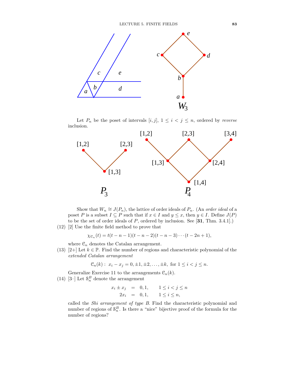

Let  $P_n$  be the poset of intervals  $[i, j]$ ,  $1 \leq i < j \leq n$ , ordered by *reverse* inclusion.



Show that  $W_n \cong J(P_n)$ , the lattice of order ideals of  $P_n$ . (An *order ideal* of a poset P is a subset  $I \subseteq P$  such that if  $x \in I$  and  $y \leq x$ , then  $y \in I$ . Define  $J(P)$ to be the set of order ideals of  $P$ , ordered by inclusion. See [31, Thm. 3.4.1].)

(12) [2] Use the finite field method to prove that

$$
\chi_{\mathfrak{C}_n}(t) = t(t - n - 1)(t - n - 2)(t - n - 3) \cdots (t - 2n + 1),
$$

where  $\mathfrak{C}_n$  denotes the Catalan arrangement.

(13) [2+] Let  $k \in \mathbb{P}$ . Find the number of regions and characteristic polynomial of the extended Catalan arrangement

$$
C_n(k): x_i - x_j = 0, \pm 1, \pm 2, \ldots, \pm k
$$
, for  $1 \le i < j \le n$ .

Generalize Exercise 11 to the arrangements  $\mathcal{C}_n(k)$ .

(14) [3–] Let  $\mathcal{S}_n^B$  denote the arrangement

$$
x_i \pm x_j = 0, 1, \quad 1 \le i < j \le n
$$
\n
$$
2x_i = 0, 1, \quad 1 \le i \le n,
$$

called the Shi arrangement of type B. Find the characteristic polynomial and number of regions of  $S_n^B$ . Is there a "nice" bijective proof of the formula for the number of regions?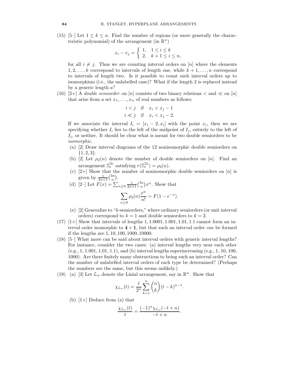(15) [5–] Let  $1 \leq k \leq n$ . Find the number of regions (or more generally the characteristic polynomial) of the arrangement (in  $\mathbb{R}^n$ )

$$
x_i - x_j = \begin{cases} 1, & 1 \le i \le k \\ 2, & k+1 \le i \le n, \end{cases}
$$

for all  $i \neq j$ . Thus we are counting interval orders on [n] where the elements  $1, 2, \ldots, k$  correspond to intervals of length one, while  $k + 1, \ldots, n$  correspond to intervals of length two. Is it possible to count such interval orders up to isomorphism (i.e., the unlabelled case)? What if the length 2 is replaced instead by a generic length a?

(16) [2+] A *double semiorder* on [n] consists of two binary relations  $\lt$  and  $\ll$  on [n] that arise from a set  $x_1, \ldots, x_n$  of real numbers as follows:

$$
i < j \quad \text{if} \quad x_i < x_j - 1
$$
\n
$$
i \ll j \quad \text{if} \quad x_i < x_j - 2.
$$

If we associate the interval  $I_i = [x_i - 2, x_i]$  with the point  $x_i$ , then we are specifying whether  $I_i$  lies to the left of the midpoint of  $I_j$ , entirely to the left of  $I_j$ , or neither. It should be clear what is meant for two double semiorders to be isomorphic.

- (a) [2] Draw interval diagrams of the 12 nonisomorphic double semiorders on  $\{1, 2, 3\}.$
- (b) [2] Let  $\rho_2(n)$  denote the number of double semiorders on [n]. Find an arrangement  $\mathfrak{I}_n^{(2)}$  satisfying  $r(\mathfrak{I}_n^{(2)}) = \rho_2(n)$ .
- (c)  $[2+]$  Show that the number of nonisomorphic double semiorders on  $[n]$  is given by  $\frac{1}{2n+1} {3n \choose n}$ .
- (d) [2-] Let  $F(x) = \sum_{n\geq 0} \frac{1}{2n+1} {3n \choose n} x^n$ . Show that

$$
\sum_{n\geq 0} \rho_2(n) \frac{x^n}{n!} = F(1 - e^{-x}).
$$

- (e) [2] Generalize to "k-semiorders," where ordinary semiorders (or unit interval orders) correspond to  $k = 1$  and double semiorders to  $k = 2$ .
- $(17)$  [1+] Show that intervals of lengths 1, 1,0001, 1,001, 1,01, 1,1 cannot form an interval order isomorphic to  $4+1$ , but that such an interval order can be formed if the lengths are 1, 10, 100, 1000, 10000.
- (18) [5–] What more can be said about interval orders with generic interval lengths? For instance, consider the two cases: (a) interval lengths very near each other  $(e.g., 1, 1.001, 1.01, 1.1)$ , and (b) interval lengths superincreasing  $(e.g., 1, 10, 100,$ 1000). Are there finitely many obstructions to being such an interval order? Can the number of unlabelled interval orders of each type be determined? (Perhaps the numbers are the same, but this seems unlikely.)
- (19) (a) [3] Let  $\mathcal{L}_n$  denote the Linial arrangement, say in  $\mathbb{R}^n$ . Show that

$$
\chi_{\mathcal{L}_n}(t) = \frac{t}{2^n} \sum_{k=1}^n \binom{n}{k} (t-k)^{n-1}.
$$

(b)  $[1+]$  Deduce from (a) that

$$
\frac{\chi_{\mathcal{L}_n}(t)}{t} = \frac{(-1)^n \chi_{\mathcal{L}_n}(-t+n)}{-t+n}.
$$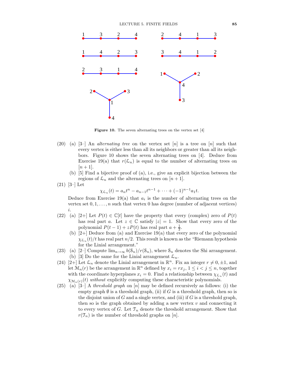

Figure 10. The seven alternating trees on the vertex set [4]

- (20) (a)  $[3-]$  An *alternating tree* on the vertex set  $[n]$  is a tree on  $[n]$  such that every vertex is either less than all its neighbors or greater than all its neighbors. Figure 10 shows the seven alternating trees on [4]. Deduce from Exercise 19(a) that  $r(\mathcal{L}_n)$  is equal to the number of alternating trees on  $[n+1]$ .
	- (b) [5] Find a bijective proof of (a), i.e., give an explicit bijection between the regions of  $\mathcal{L}_n$  and the alternating trees on  $[n+1]$ .
- (21) [3–] Let

$$
\chi_{\mathcal{L}_n}(t) = a_n t^n - a_{n-1} t^{n-1} + \dots + (-1)^{n-1} a_1 t.
$$

Deduce from Exercise 19(a) that  $a_i$  is the number of alternating trees on the vertex set  $0, 1, \ldots, n$  such that vertex 0 has degree (number of adjacent vertices) i.

- (22) (a) [2+] Let  $P(t) \in \mathbb{C}[t]$  have the property that every (complex) zero of  $P(t)$ has real part a. Let  $z \in \mathbb{C}$  satisfy  $|z| = 1$ . Show that every zero of the polynomial  $P(t-1) + zP(t)$  has real part  $a + \frac{1}{2}$ .
	- (b) [2+] Deduce from (a) and Exercise 19(a) that every zero of the polynomial  $\chi_{\mathcal{L}_n}(t)/t$  has real part  $n/2$ . This result is known as the "Riemann hypothesis for the Linial arrangement."
- (23) (a) [2–] Compute  $\lim_{n\to\infty} b(\mathcal{S}_n)/r(\mathcal{S}_n)$ , where  $\mathcal{S}_n$  denotes the Shi arrangement. (b) [3] Do the same for the Linial arrangement  $\mathcal{L}_n$ .
- (24) [2+] Let  $\mathcal{L}_n$  denote the Linial arrangement in  $\mathbb{R}^n$ . Fix an integer  $r \neq 0, \pm 1$ , and let  $\mathcal{M}_n(r)$  be the arrangement in  $\mathbb{R}^n$  defined by  $x_i = rx_j$ ,  $1 \leq i < j \leq n$ , together with the coordinate hyperplanes  $x_i = 0$ . Find a relationship between  $\chi_{\mathcal{L}_n}(t)$  and  $\chi_{\mathcal{M}_n(r)}(t)$  without explicitly computing these characteristic polynomials.
- (25) (a)  $[3-]$  A *threshold graph* on  $[n]$  may be defined recursively as follows: (i) the empty graph  $\emptyset$  is a threshold graph, (ii) if G is a threshold graph, then so is the disjoint union of  $G$  and a single vertex, and (iii) if  $G$  is a threshold graph, then so is the graph obtained by adding a new vertex  $v$  and connecting it to every vertex of G. Let  $\mathcal{T}_n$  denote the threshold arrangement. Show that  $r(\mathcal{T}_n)$  is the number of threshold graphs on [n].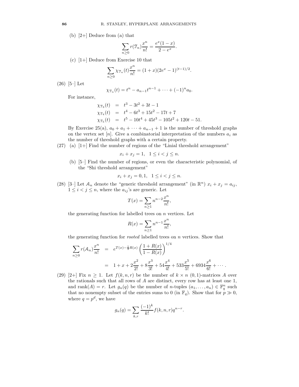(b) [2+] Deduce from (a) that

$$
\sum_{n\geq 0} r(\mathfrak{T}_n) \frac{x^n}{n!} = \frac{e^x (1-x)}{2 - e^x}.
$$

(c) [1+] Deduce from Exercise 10 that

$$
\sum_{n\geq 0} \chi_{\mathcal{T}_n}(t) \frac{x^n}{n!} = (1+x)(2e^x - 1)^{(t-1)/2}.
$$

(26) [5–] Let

$$
\chi_{\mathcal{T}_n}(t) = t^n - a_{n-1}t^{n-1} + \cdots + (-1)^n a_0.
$$

For instance,

$$
\chi_{\mathcal{T}_3}(t) = t^3 - 3t^2 + 3t - 1
$$
  
\n
$$
\chi_{\mathcal{T}_4}(t) = t^4 - 6t^3 + 15t^2 - 17t + 7
$$
  
\n
$$
\chi_{\mathcal{T}_5}(t) = t^5 - 10t^4 + 45t^3 - 105t^2 + 120t - 51.
$$

By Exercise 25(a),  $a_0 + a_1 + \cdots + a_{n-1} + 1$  is the number of threshold graphs on the vertex set [n]. Give a combinatorial interpretation of the numbers  $a_i$  as the number of threshold graphs with a certain property.

(27) (a) [1+] Find the number of regions of the "Linial threshold arrangement"

$$
x_i + x_j = 1, \quad 1 \le i < j \le n.
$$

(b) [5–] Find the number of regions, or even the characteristic polynomial, of the "Shi threshold arrangement"

$$
x_i + x_j = 0, 1, \ \ 1 \le i < j \le n.
$$

(28) [3-] Let  $\mathcal{A}_n$  denote the "generic threshold arrangement" (in  $\mathbb{R}^n$ )  $x_i + x_j = a_{ij}$ ,  $1 \leq i < j \leq n$ , where the  $a_{ij}$ 's are generic. Let

$$
T(x) = \sum_{n \ge 1} n^{n-2} \frac{x^n}{n!},
$$

the generating function for labelled trees on  $n$  vertices. Let

$$
R(x) = \sum_{n \ge 1} n^{n-1} \frac{x^n}{n!},
$$

the generating function for rooted labelled trees on n vertices. Show that

$$
\sum_{n\geq 0} r(\mathcal{A}_n) \frac{x^n}{n!} = e^{T(x) - \frac{1}{2}R(x)} \left( \frac{1 + R(x)}{1 - R(x)} \right)^{1/4}
$$
  
= 1 + x + 2\frac{x^2}{2!} + 8\frac{x^3}{3!} + 54\frac{x^4}{4!} + 533\frac{x^5}{5!} + 6934\frac{x^6}{6!} + \cdots

(29) [2+] Fix  $n \geq 1$ . Let  $f(k, n, r)$  be the number of  $k \times n$  (0, 1)-matrices A over the rationals such that all rows of A are distinct, every row has at least one 1, and rank $(A) = r$ . Let  $g_n(q)$  be the number of *n*-tuples  $(a_1, \ldots, a_n) \in \mathbb{F}_q^n$  such that no nonempty subset of the entries sums to 0 (in  $\mathbb{F}_q$ ). Show that for  $p \gg 0$ , where  $q = p^d$ , we have

$$
g_n(q) = \sum_{k,r} \frac{(-1)^k}{k!} f(k,n,r) q^{n-r}.
$$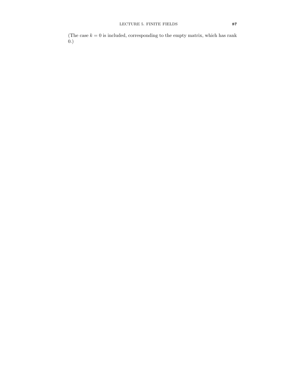(The case  $k = 0$  is included, corresponding to the empty matrix, which has rank  $\overline{0.}$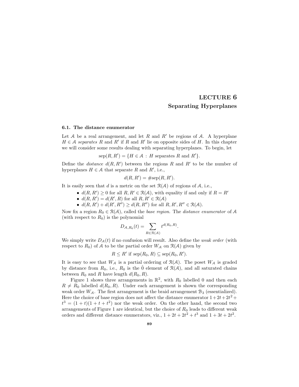# LECTURE 6 Separating Hyperplanes

#### 6.1. The distance enumerator

Let A be a real arrangement, and let R and R' be regions of A. A hyperplane  $H \in \mathcal{A}$  separates R and R' if R and R' lie on opposite sides of H. In this chapter we will consider some results dealing with separating hyperplanes. To begin, let

$$
sep(R, R') = \{H \in \mathcal{A} : H \text{ separates } R \text{ and } R'\}.
$$

Define the *distance*  $d(R, R')$  between the regions R and R' to be the number of hyperplanes  $H \in \mathcal{A}$  that separate R and R', i.e.,

$$
d(R, R') = \#\text{sep}(R, R').
$$

It is easily seen that d is a metric on the set  $\mathcal{R}(\mathcal{A})$  of regions of  $\mathcal{A}$ , i.e.,

- $d(R, R') \geq 0$  for all  $R, R' \in \mathcal{R}(\mathcal{A})$ , with equality if and only if  $R = R'$ 
	- $d(R, R') = d(R', R)$  for all  $R, R' \in \mathcal{R}(\mathcal{A})$
- $d(R, R') + d(R', R'') \ge d(R, R'')$  for all  $R, R', R'' \in \mathcal{R}(\mathcal{A})$ .

Now fix a region  $R_0 \in \mathcal{R}(\mathcal{A})$ , called the base region. The distance enumerator of A (with respect to  $R_0$ ) is the polynomial

$$
D_{\mathcal{A},R_0}(t) = \sum_{R \in \mathcal{R}(\mathcal{A})} t^{d(R_0,R)}.
$$

We simply write  $D_{\mathcal{A}}(t)$  if no confusion will result. Also define the *weak order* (with respect to  $R_0$ ) of A to be the partial order  $W_A$  on  $\mathcal{R}(A)$  given by

$$
R \leq R' \text{ if } \operatorname{sep}(R_0, R) \subseteq \operatorname{sep}(R_0, R').
$$

It is easy to see that  $W_A$  is a partial ordering of  $\mathcal{R}(A)$ . The poset  $W_A$  is graded by distance from  $R_0$ , i.e.,  $R_0$  is the  $\hat{0}$  element of  $\mathcal{R}(\mathcal{A})$ , and all saturated chains between  $R_0$  and R have length  $d(R_0, R)$ .

Figure 1 shows three arrangements in  $\mathbb{R}^2$ , with  $R_0$  labelled 0 and then each  $R \neq R_0$  labelled  $d(R_0, R)$ . Under each arrangement is shown the corresponding weak order  $W_A$ . The first arrangement is the braid arrangement  $\mathcal{B}_3$  (essentialized). Here the choice of base region does not affect the distance enumerator  $1+2t+2t^2$  +  $t^3 = (1+t)(1+t+t^2)$  nor the weak order. On the other hand, the second two arrangements of Figure 1 are identical, but the choice of  $R_0$  leads to different weak orders and different distance enumerators, viz.,  $1 + 2t + 2t^2 + t^3$  and  $1 + 3t + 2t^2$ .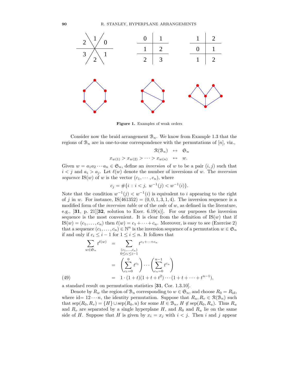

Figure 1. Examples of weak orders

Consider now the braid arrangement  $\mathcal{B}_n$ . We know from Example 1.3 that the regions of  $\mathcal{B}_n$  are in one-to-one correspondence with the permutations of [n], viz.,

$$
\mathcal{R}(\mathcal{B}_n) \leftrightarrow \mathfrak{S}_n
$$
  

$$
x_{w(1)} > x_{w(2)} > \cdots > x_{w(n)} \leftrightarrow w.
$$

Given  $w = a_1 a_2 \cdots a_n \in \mathfrak{S}_n$ , define an *inversion* of w to be a pair  $(i, j)$  such that  $i < j$  and  $a_i > a_j$ . Let  $\ell(w)$  denote the number of inversions of w. The *inversion* sequence IS(w) of w is the vector  $(c_1, \dots, c_n)$ , where

$$
c_j = #\{i : i < j, w^{-1}(j) < w^{-1}(i)\}.
$$

Note that the condition  $w^{-1}(j) < w^{-1}(i)$  is equivalent to i appearing to the right of j in w. For instance,  $IS(461352) = (0, 0, 1, 3, 1, 4)$ . The inversion sequence is a modified form of the *inversion table* or of the *code* of  $w$ , as defined in the literature, e.g., [31, p. 21][32, solution to Exer. 6.19(x)]. For our purposes the inversion sequence is the most convenient. It is clear from the definition of  $IS(w)$  that if  $IS(w) = (c_1, \ldots, c_n)$  then  $\ell(w) = c_1 + \cdots + c_n$ . Moreover, is easy to see (Exercise 2) that a sequence  $(c_1, \ldots, c_n) \in \mathbb{N}^n$  is the inversion sequence of a permutation  $w \in \mathfrak{S}_n$ if and only if  $c_i \leq i - 1$  for  $1 \leq i \leq n$ . It follows that

$$
\sum_{w \in \mathfrak{S}_n} t^{\ell(w)} = \sum_{\substack{(c_1, \dots, c_n) \\ 0 \le c_i \le i-1}} t^{c_1 + \dots + c_n}
$$
\n
$$
= \left( \sum_{c_1=0}^0 t^{c_1} \right) \dots \left( \sum_{c_n=0}^{n-1} t^{c_n} \right)
$$
\n
$$
= 1 \cdot (1+t)(1+t+t^2) \dots (1+t+\dots+t^{n-1}),
$$

a standard result on permutation statistics [31, Cor. 1.3.10].

Denote by  $R_w$  the region of  $\mathcal{B}_n$  corresponding to  $w \in \mathfrak{S}_n$ , and choose  $R_0 = R_{\rm id}$ , where id=  $12 \cdots n$ , the identity permutation. Suppose that  $R_u, R_v \in \mathcal{R}(\mathcal{B}_n)$  such that  $sep(R_0, R_v) = \{H\} \cup sep(R_0, u)$  for some  $H \in \mathcal{B}_n$ ,  $H \notin sep(R_0, R_u)$ . Thus  $R_u$ and  $R_v$  are separated by a single hyperplane H, and  $R_0$  and  $R_u$  lie on the same side of H. Suppose that H is given by  $x_i = x_j$  with  $i < j$ . Then i and j appear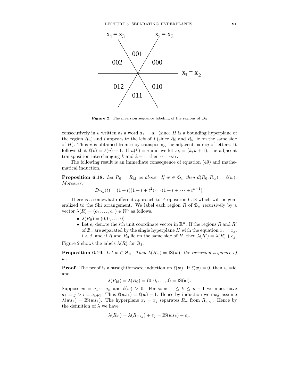

**Figure 2.** The inversion sequence labeling of the regions of  $\mathcal{B}_3$ 

consecutively in u written as a word  $a_1 \cdots a_n$  (since H is a bounding hyperplane of the region  $R_u$ ) and i appears to the left of j (since  $R_0$  and  $R_u$  lie on the same side of  $H$ ). Thus v is obtained from u by transposing the adjacent pair ij of letters. It follows that  $\ell(v) = \ell(u) + 1$ . If  $u(k) = i$  and we let  $s_k = (k, k + 1)$ , the adjacent transposition interchanging k and  $k + 1$ , then  $v = us_k$ .

The following result is an immediate consequence of equation (49) and mathematical induction.

**Proposition 6.18.** Let  $R_0 = R_{\text{id}}$  as above. If  $w \in \mathfrak{S}_n$  then  $d(R_0, R_w) = \ell(w)$ . Moreover,

$$
D_{\mathcal{B}_n}(t) = (1+t)(1+t+t^2)\cdots(1+t+\cdots+t^{n-1}).
$$

There is a somewhat different approach to Proposition 6.18 which will be generalized to the Shi arrangement. We label each region R of  $\mathcal{B}_n$  recursively by a vector  $\lambda(R) = (c_1, \ldots, c_n) \in \mathbb{N}^n$  as follows.

- $\lambda(R_0) = (0, 0, \dots, 0)$
- Let  $e_i$  denote the *i*<sup>th</sup> unit coordinate vector in  $\mathbb{R}^n$ . If the regions R and R' of  $\mathcal{B}_n$  are separated by the single hyperplane H with the equation  $x_i = x_j$ ,  $i < j$ , and if R and  $R_0$  lie on the same side of H, then  $\lambda(R') = \lambda(R) + e_j$ .

Figure 2 shows the labels  $\lambda(R)$  for  $\mathcal{B}_3$ .

**Proposition 6.19.** Let  $w \in \mathfrak{S}_n$ . Then  $\lambda(R_w) = \text{IS}(w)$ , the inversion sequence of  $w$ .

**Proof.** The proof is a straightforward induction on  $\ell(w)$ . If  $\ell(w) = 0$ , then w =id and

$$
\lambda(R_{\rm id}) = \lambda(R_0) = (0,0,\ldots,0) = \text{IS}(\text{id}).
$$

Suppose  $w = a_1 \cdots a_n$  and  $\ell(w) > 0$ . For some  $1 \leq k \leq n-1$  we must have  $a_k = j > i = a_{k+1}$ . Thus  $\ell(ws_k) = \ell(w) - 1$ . Hence by induction we may assume  $\lambda(ws_k) = \text{IS}(ws_k)$ . The hyperplane  $x_i = x_j$  separates  $R_w$  from  $R_{ws_k}$ . Hence by the definition of  $\lambda$  we have

$$
\lambda(R_w) = \lambda(R_{ws_k}) + e_j = \text{IS}(ws_k) + e_j.
$$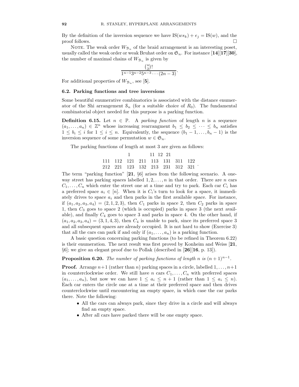By the definition of the inversion sequence we have  $IS(ws_k)+e_j=IS(w)$ , and the  $\Box$ 

NOTE. The weak order  $W_{\mathcal{B}_n}$  of the braid arrangement is an interesting poset, usually called the weak order or weak Bruhat order on  $\mathfrak{S}_n$ . For instance [14][17][30], the number of maximal chains of  $W_{\mathcal{B}_n}$  is given by

$$
\frac{\binom{n}{2}!}{1^{n-1}3^{n-2}5^{n-3}\cdots(2n-3)}.
$$

For additional properties of  $W_{\mathcal{B}_n}$ , see [5].

# 6.2. Parking functions and tree inversions

Some beautiful enumerative combinatorics is associated with the distance enumerator of the Shi arrangement  $S_n$  (for a suitable choice of  $R_0$ ). The fundamental combinatorial object needed for this purpose is a parking function.

**Definition 6.15.** Let  $n \in \mathbb{P}$ . A parking function of length n is a sequence  $(a_1, \ldots, a_n) \in \mathbb{Z}^n$  whose increasing rearrangment  $b_1 \leq b_2 \leq \cdots \leq b_n$  satisfies  $1 \leq b_i \leq i$  for  $1 \leq i \leq n$ . Equivalently, the sequence  $(b_1 - 1, \ldots, b_n - 1)$  is the inversion sequence of some permutation  $w \in \mathfrak{S}_n$ .

The parking functions of length at most 3 are given as follows:

1 11 12 21 111 112 121 211 113 131 311 122 <sup>212</sup> <sup>221</sup> <sup>123</sup> <sup>132</sup> <sup>213</sup> <sup>231</sup> <sup>312</sup> <sup>321</sup> .

The term "parking function"  $[21, \S6]$  arises from the following scenario. A oneway street has parking spaces labelled  $1, 2, \ldots, n$  in that order. There are n cars  $C_1, \ldots, C_n$  which enter the street one at a time and try to park. Each car  $C_i$  has a preferred space  $a_i \in [n]$ . When it is  $C_i$ 's turn to look for a space, it immediately drives to space  $a_i$  and then parks in the first available space. For instance, if  $(a_1, a_2, a_3, a_4) = (2, 1, 2, 3)$ , then  $C_1$  parks in space 2, then  $C_2$  parks in space 1, then  $C_3$  goes to space 2 (which is occupied) parks in space 3 (the next available), and finally  $C_4$  goes to space 3 and parks in space 4. On the other hand, if  $(a_1, a_2, a_3, a_4) = (3, 1, 4, 3)$ , then  $C_4$  is unable to park, since its preferred space 3 and all subsequent spaces are already occupied. It is not hard to show (Exercise 3) that all the cars can park if and only if  $(a_1, \ldots, a_n)$  is a parking function.

A basic question concerning parking functions (to be refined in Theorem 6.22) is their enumeration. The next result was first proved by Konheim and Weiss [21,  $\S6$ ; we give an elegant proof due to Pollak (described in [26][16, p. 13]).

**Proposition 6.20.** The number of parking functions of length n is  $(n+1)^{n-1}$ .

**Proof.** Arrange  $n+1$  (rather than n) parking spaces in a circle, labelled  $1, \ldots, n+1$ in counterclockwise order. We still have n cars  $C_1, \ldots, C_n$  with preferred spaces  $(a_1, \ldots, a_n)$ , but now we can have  $1 \leq a_i \leq n+1$  (rather than  $1 \leq a_i \leq n$ ). Each car enters the circle one at a time at their preferred space and then drives counterclockwise until encountering an empty space, in which case the car parks there. Note the following:

- All the cars can always park, since they drive in a circle and will always find an empty space.
- After all cars have parked there will be one empty space.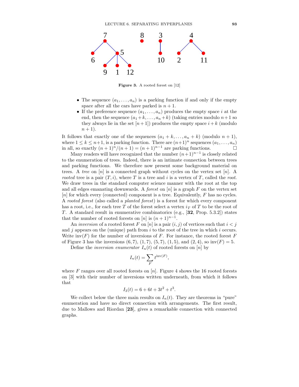

Figure 3. A rooted forest on [12]

- The sequence  $(a_1, \ldots, a_n)$  is a parking function if and only if the empty space after all the cars have parked is  $n + 1$ .
- If the preference sequence  $(a_1, \ldots, a_n)$  produces the empty space i at the end, then the sequence  $(a_1 + k, \ldots, a_n + k)$  (taking entries modulo  $n+1$  so they always lie in the set  $[n+1]$  produces the empty space  $i + k$  (modulo  $n+1$ ).

It follows that exactly one of the sequences  $(a_1 + k, \ldots, a_n + k)$  (modulo  $n + 1$ ), where  $1 \le k \le n+1$ , is a parking function. There are  $(n+1)^n$  sequences  $(a_1, \ldots, a_n)$ <br>in all, so exactly  $(n+1)^n/(n+1) = (n+1)^{n-1}$  are parking functions. in all, so exactly  $(n + 1)^n/(n + 1) = (n + 1)^{n-1}$  are parking functions.

Many readers will have recognized that the number  $(n+1)^{n-1}$  is closely related to the enumeration of trees. Indeed, there is an intimate connection between trees and parking functions. We therefore now present some background material on trees. A tree on  $[n]$  is a connected graph without cycles on the vertex set  $[n]$ . A rooted tree is a pair  $(T, i)$ , where T is a tree and i is a vertex of T, called the root. We draw trees in the standard computer science manner with the root at the top and all edges emanating downwards. A *forest* on  $[n]$  is a graph F on the vertex set [n] for which every (connected) component is a tree. Equivalently, F has no cycles. A rooted forest (also called a planted forest) is a forest for which every component has a root, i.e., for each tree T of the forest select a vertex  $i<sub>T</sub>$  of T to be the root of T. A standard result in enumerative combinatorics (e.g., [32, Prop. 5.3.2]) states that the number of rooted forests on [n] is  $(n+1)^{n-1}$ .

An inversion of a rooted forest F on  $[n]$  is a pair  $(i, j)$  of vertices such that  $i < j$ and j appears on the (unique) path from  $i$  to the root of the tree in which  $i$  occurs. Write  $inv(F)$  for the number of inversions of F. For instance, the rooted forest F of Figure 3 has the inversions  $(6, 7), (1, 7), (5, 7), (1, 5),$  and  $(2, 4),$  so  $inv(F) = 5$ .

Define the *inversion enumerator*  $I_n(t)$  of rooted forests on [n] by

$$
I_n(t) = \sum_F t^{\text{inv}(F)},
$$

where F ranges over all rooted forests on  $[n]$ . Figure 4 shows the 16 rooted forests on [3] with their number of inversions written underneath, from which it follows that

$$
I_3(t) = 6 + 6t + 3t^2 + t^3.
$$

We collect below the three main results on  $I_n(t)$ . They are theorems in "pure" enumeration and have no direct connection with arrangements. The first result, due to Mallows and Riordan [23], gives a remarkable connection with connected graphs.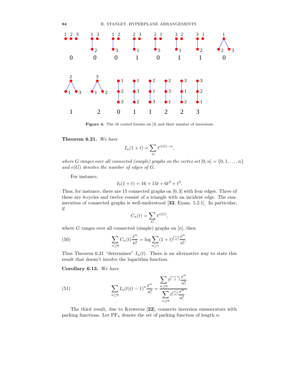

Figure 4. The 16 rooted forests on [3] and their number of inversions

Theorem 6.21. We have

$$
I_n(1+t) = \sum_G t^{e(G)-n},
$$

where G ranges over all connected (simple) graphs on the vertex set  $[0, n] = \{0, 1, \ldots, n\}$ and  $e(G)$  denotes the number of edges of  $G$ .

For instance,

$$
I_3(1+t) = 16 + 15t + 6t^2 + t^3.
$$

Thus, for instance, there are 15 connected graphs on [0, 3] with four edges. Three of these are 4-cycles and twelve consist of a triangle with an incident edge. The enumeration of connected graphs is well-understood [32, Exam. 5.2.1]. In particular, if

$$
C_n(t) = \sum_G t^{e(G)},
$$

where G ranges over all connected (simple) graphs on  $[n]$ , then

(50) 
$$
\sum_{n\geq 0} C_n(t) \frac{x^n}{n!} = \log \sum_{n\geq 1} (1+t)^{\binom{n}{2}} \frac{x^n}{n!}.
$$

Thus Theorem 6.21 "determines"  $I_n(t)$ . There is an alternative way to state this result that doesn't involve the logarithm function.

Corollary 6.13. We have

(51) 
$$
\sum_{n\geq 0} I_n(t)(t-1)^n \frac{x^n}{n!} = \frac{\sum_{n\geq 0} t^{\binom{n+1}{2}} \frac{x^n}{n!}}{\sum_{n\geq 0} t^{\binom{n}{2}} \frac{x^n}{n!}}
$$

The third result, due to Kreweras [22], connects inversion enumerators with parking functions. Let  $PF_n$  denote the set of parking function of length n.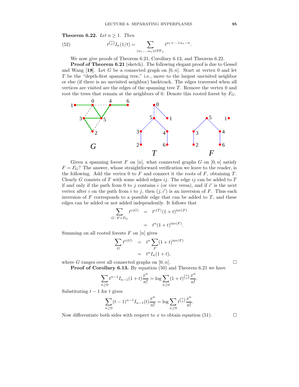Theorem 6.22. Let  $n \geq 1$ . Then

(52) 
$$
t^{\binom{n}{2}} I_n(1/t) = \sum_{(a_1,...,a_n) \in \text{PF}_n} t^{a_1 + \dots + a_n - n}.
$$

We now give proofs of Theorem 6.21, Corollary 6.13, and Theorem 6.22.

Proof of Theorem 6.21 (sketch). The following elegant proof is due to Gessel and Wang [18]. Let G be a connected graph on  $[0, n]$ . Start at vertex 0 and let T be the "depth-first spanning tree," i.e., move to the largest unvisited neighbor or else (if there is no unvisited neighbor) backtrack. The edges traversed when all vertices are visited are the edges of the spanning tree T. Remove the vertex 0 and root the trees that remain at the neighbors of 0. Denote this rooted forest by  $F_G$ .



Given a spanning forest  $F$  on  $[n]$ , what connected graphs  $G$  on  $[0, n]$  satisfy  $F = F_G$ ? The answer, whose straightforward verification we leave to the reader, is the following. Add the vertex 0 to  $F$  and connect it the roots of  $F$ , obtaining  $T$ . Clearly  $G$  consists of  $T$  with some added edges  $ij$ . The edge  $ij$  can be added to  $T$ if and only if the path from 0 to j contains i (or vice versa), and if  $i'$  is the next vertex after i on the path from i to j, then  $(j, i')$  is an inversion of F. Thus each inversion of F corresponds to a possible edge that can be added to  $T$ , and these edges can be added or not added independently. It follows that

$$
\sum_{G \,:\, F = F_G} t^{e(G)} = t^{e(T)} (1+t)^{\text{inv}(F)}
$$

$$
= t^n (1+t)^{\text{inv}(F)}.
$$

Summing on all rooted forests  $F$  on  $[n]$  gives

$$
\sum_{G} t^{e(G)} = t^n \sum_{F} (1+t)^{\text{inv}(F)}
$$
  
= 
$$
t^n I_n (1+t),
$$

where G ranges over all connected graphs on  $[0, n]$ .

Proof of Corollary 6.13. By equation (50) and Theorem 6.21 we have

$$
\sum_{n\geq 0} t^{n-1} I_{n-1}(1+t) \frac{x^n}{n!} = \log \sum_{n\geq 0} (1+t)^{\binom{n}{2}} \frac{x^n}{n!}.
$$

Substituting  $t-1$  for t gives

$$
\sum_{n\geq 0} (t-1)^{n-1} I_{n-1}(t) \frac{x^n}{n!} = \log \sum_{n\geq 0} t^{\binom{n}{2}} \frac{x^n}{n!}.
$$

Now differentiate both sides with respect to x to obtain equation (51).  $\Box$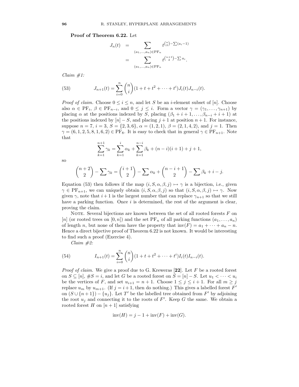Proof of Theorem 6.22. Let

$$
J_n(t) = \sum_{(a_1,...,a_n) \in \text{PF}_n} t^{\binom{n}{2} - \sum (a_i - 1)}
$$
  
= 
$$
\sum_{(a_1,...,a_n) \in \text{PF}_n} t^{\binom{n+1}{2} - \sum a_i}.
$$

 $Claim #1:$ 

(53) 
$$
J_{n+1}(t) = \sum_{i=0}^{n} {n \choose i} (1+t+t^2 + \dots + t^i) J_i(t) J_{n-i}(t).
$$

*Proof of claim.* Choose  $0 \leq i \leq n$ , and let S be an *i*-element subset of [n]. Choose also  $\alpha \in \mathrm{PF}_i$ ,  $\beta \in \mathrm{PF}_{n-i}$ , and  $0 \leq j \leq i$ . Form a vector  $\gamma = (\gamma_1, \ldots, \gamma_{n+1})$  by placing  $\alpha$  at the positions indexed by S, placing  $(\beta_1 + i + 1, \ldots, \beta_{n-i} + i + 1)$  at the positions indexed by  $[n] - S$ , and placing  $j + 1$  at position  $n + 1$ . For instance, suppose  $n = 7$ ,  $i = 3$ ,  $S = \{2, 3, 6\}$ ,  $\alpha = (1, 2, 1)$ ,  $\beta = (2, 1, 4, 2)$ , and  $j = 1$ . Then  $\gamma = (6, 1, 2, 5, 8, 1, 6, 2) \in \text{PF}_8$ . It is easy to check that in general  $\gamma \in \text{PF}_{n+1}$ . Note that

$$
\sum_{k=1}^{n+1} \gamma_k = \sum_{k=1}^i \alpha_k + \sum_{k=1}^{n-i} \beta_k + (n-i)(i+1) + j + 1,
$$

so

$$
\binom{n+2}{2} - \sum \gamma_k = \binom{i+1}{2} - \sum \alpha_k + \binom{n-i+1}{2} - \sum \beta_k + i - j.
$$

Equation (53) then follows if the map  $(i, S, \alpha, \beta, j) \mapsto \gamma$  is a bijection, i.e., given  $\gamma \in \mathrm{PF}_{n+1}$ , we can uniquely obtain  $(i, S, \alpha, \beta, j)$  so that  $(i, S, \alpha, \beta, j) \mapsto \gamma$ . Now given  $\gamma$ , note that  $i+1$  is the largest number that can replace  $\gamma_{n+1}$  so that we still have a parking function. Once  $i$  is determined, the rest of the argument is clear, proving the claim.

NOTE. Several bijections are known between the set of all rooted forests  $F$  on [n] (or rooted trees on [0, n]) and the set PF<sub>n</sub> of all parking functions  $(a_1, \ldots, a_n)$ of length n, but none of them have the property that  $inv(F) = a_1 + \cdots + a_n - n$ . Hence a direct bijective proof of Theorem 6.22 is not known. It would be interesting to find such a proof (Exercise 4).

Claim #2:

(54) 
$$
I_{n+1}(t) = \sum_{i=0}^{n} {n \choose i} (1+t+t^2 + \dots + t^i) I_i(t) I_{n-i}(t).
$$

*Proof of claim.* We give a proof due to G. Kreweras  $[22]$ . Let F be a rooted forest on  $S \subseteq [n]$ ,  $\#S = i$ , and let G be a rooted forest on  $S = [n] - S$ . Let  $u_1 < \cdots < u_i$ be the vertices of F, and set  $u_{i+1} = n + 1$ . Choose  $1 \leq j \leq i+1$ . For all  $m \geq j$ replace  $u_m$  by  $u_{m+1}$ . (If  $j = i + 1$ , then do nothing.) This gives a labelled forest  $F'$ on  $(S \cup \{n+1\}) - \{u_j\}$ . Let T' be the labelled tree obtained from F' by adjoining the root  $u_j$  and connecting it to the roots of  $F'$ . Keep G the same. We obtain a rooted forest H on  $[n+1]$  satisfying

$$
inv(H) = j - 1 + inv(F) + inv(G).
$$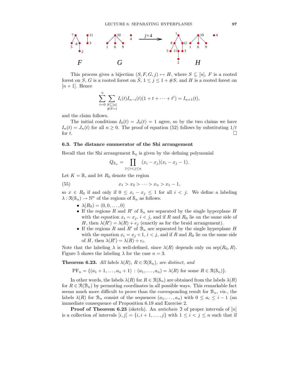

This process gives a bijection  $(S, F, G, j) \mapsto H$ , where  $S \subseteq [n]$ , F is a rooted forest on S, G is a rooted forest on  $\overline{S}$ ,  $1 \leq j \leq 1 + \#S$ , and H is a rooted forest on  $[n+1]$ . Hence

$$
\sum_{i=0}^{n} \sum_{\substack{S \subseteq [n] \\ \#S=i}} I_i(t)I_{n-i}(t)(1+t+\cdots+t^i) = I_{n+1}(t),
$$

and the claim follows.

The initial conditions  $I_0(t) = J_0(t) = 1$  agree, so by the two claims we have  $I_n(t) = J_n(t)$  for all  $n \ge 0$ . The proof of equation (52) follows by substituting  $1/t$  for t. for  $t$ .

## 6.3. The distance enumerator of the Shi arrangement

Recall that the Shi arrangement  $S_n$  is given by the defining polynomial

$$
Q_{\mathcal{S}_n} = \prod_{1 \le i < j \le n} (x_i - x_j)(x_i - x_j - 1).
$$

Let  $K = \mathbb{R}$ , and let  $R_0$  denote the region

(55) 
$$
x_1 > x_2 > \cdots > x_n > x_1 - 1,
$$

so  $x \in R_0$  if and only if  $0 \le x_i - x_j \le 1$  for all  $i < j$ . We define a labeling  $\lambda: \mathcal{R}(\mathcal{S}_n) \to \mathbb{N}^n$  of the regions of  $\mathcal{S}_n$  as follows.

- $\lambda(R_0) = (0, 0, \dots, 0)$
- If the regions R and R' of  $S_n$  are separated by the single hyperplane H with the equation  $x_i = x_j$ ,  $i < j$ , and if R and R<sub>0</sub> lie on the same side of H, then  $\lambda(R') = \lambda(R) + e_j$  (exactly as for the braid arrangement).
- If the regions R and R' of  $\mathcal{B}_n$  are separated by the single hyperplane H with the equation  $x_i = x_j + 1$ ,  $i < j$ , and if R and  $R_0$  lie on the same side of H, then  $\lambda(R') = \lambda(R) + e_i$ .

Note that the labeling  $\lambda$  is well-defined, since  $\lambda(R)$  depends only on sep $(R_0, R)$ . Figure 5 shows the labeling  $\lambda$  for the case  $n = 3$ .

**Theorem 6.23.** All labels  $\lambda(R)$ ,  $R \in \mathcal{R}(\mathcal{S}_n)$ , are distinct, and

$$
PF_n = \{(a_1 + 1, \dots, a_n + 1) : (a_1, \dots, a_n) = \lambda(R) \text{ for some } R \in \mathcal{R}(\mathcal{S}_n)\}.
$$

In other words, the labels  $\lambda(R)$  for  $R \in \mathcal{R}(\mathcal{S}_n)$  are obtained from the labels  $\lambda(R)$ for  $R \in \mathcal{R}(\mathcal{B}_n)$  by permuting coordinates in all possible ways. This remarkable fact seems much more difficult to prove than the corresponding result for  $\mathcal{B}_n$ , viz., the labels  $\lambda(R)$  for  $\mathcal{B}_n$  consist of the sequences  $(a_1, \ldots, a_n)$  with  $0 \le a_i \le i-1$  (an immediate consequence of Proposition 6.19 and Exercise 2.

**Proof of Theorem 6.23** (sketch). An *antichain*  $\mathfrak{I}$  of proper intervals of  $[n]$ is a collection of intervals  $[i, j] = \{i, i + 1, \ldots, j\}$  with  $1 \leq i < j \leq n$  such that if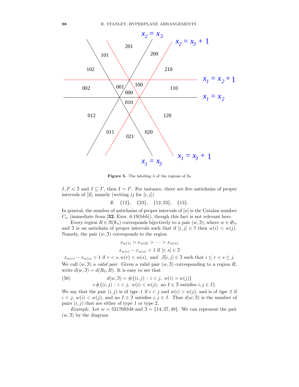

**Figure 5.** The labeling  $\lambda$  of the regions of  $S_3$ 

 $I, I' \in \mathfrak{I}$  and  $I \subseteq I'$ , then  $I = I'$ . For instance, there are five antichains of proper intervals of [3], namely (writing  $ij$  for  $[i, j]$ )

 $\emptyset$ ,  $\{12\}$ ,  $\{23\}$ ,  $\{12, 23\}$ ,  $\{13\}$ .

In general, the number of antichains of proper intervals of  $[n]$  is the Catalan number  $C_n$  (immediate from [32, Exer. 6.19(bbb]), though this fact is not relevant here.

Every region  $R \in \mathcal{R}(\mathcal{S}_n)$  corresponds bijectively to a pair  $(w, \mathfrak{I})$ , where  $w \in \mathfrak{S}_n$ and  $\Im$  is an antichain of proper intervals such that if  $[i, j] \in \Im$  then  $w(i) < w(j)$ . Namely, the pair  $(w, \mathfrak{I})$  corresponds to the region

$$
x_{w(1)} > x_{w(2)} > \cdots > x_{w(n)}
$$
  

$$
x_{w(r)} - x_{w(s)} < 1
$$
 if  $[r, s] \in \mathfrak{I}$ 

 $x_{w(r)} - x_{w(s)} > 1$  if  $r < s, w(r) < w(s)$ , and  $\exists [i, j] \in \mathfrak{I}$  such that  $i \leq r < s \leq j$ . We call  $(w, \mathfrak{I})$  a valid pair. Given a valid pair  $(w, \mathfrak{I})$  corresponding to a region R, write  $d(w, \mathfrak{I}) = d(R_0, R)$ . It is easy to see that

(56) 
$$
d(w, \mathfrak{I}) = \#\{(i, j) : i < j, w(i) > w(j)\} + \#\{(i, j) : i < j, w(i) < w(j), \text{ no } I \in \mathfrak{I} \text{ satisfies } i, j \in I\}.
$$

We say that the pair  $(i, j)$  is of type 1 if  $i < j$  and  $w(i) > w(j)$ , and is of type 2 if  $i < j$ ,  $w(i) < w(j)$ , and no  $I \in \mathfrak{I}$  satisfies  $i, j \in I$ . Thus  $d(w, \mathfrak{I})$  is the number of pairs  $(i, j)$  that are either of type 1 or type 2.

Example. Let  $w = 521769348$  and  $\mathfrak{I} = \{14, 27, 49\}$ . We can represent the pair  $(w, \mathfrak{I})$  by the diagram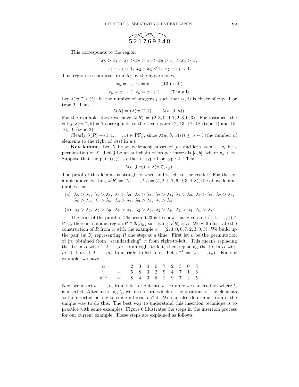

This corresponds to the region

 $x_5 > x_2 > x_1 > x_7 > x_6 > x_9 > x_3 > x_4 > x_8$  $x_5 - x_7 < 1, x_2 - x_3 < 1, x_7 - x_8 < 1.$ 

This region is separated from  $R_0$  by the hyperplanes

 $x_5 = x_2, x_5 = x_1, \ldots (13 \text{ in all})$ 

$$
x_5 = x_6 + 1, x_5 = x_9 + 1, \dots (7 \text{ in all}).
$$

Let  $\lambda(w, \mathfrak{I}, w(i))$  be the number of integers j such that  $(i, j)$  is either of type 1 or type 2. Thus

$$
\lambda(R)=(\lambda(w,\mathfrak{I},1),\ldots,\lambda(w,\mathfrak{I},n)).
$$

For the example above we have  $\lambda(R) = (2, 3, 0, 0, 7, 2, 3, 0, 3)$ . For instance, the entry  $\lambda(w, \mathfrak{I}, 5) = 7$  corresponds to the seven pairs 12, 13, 17, 18 (type 1) and 15, 16, 19 (type 2).

Clearly  $\lambda(R) + (1, 1, \ldots, 1) \in \text{PF}_n$ , since  $\lambda(w, \mathfrak{I}, w(i)) \leq n - i$  (the number of elements to the right of  $w(i)$  in w).

**Key lemma.** Let X be an r-element subset of [n], and let  $v = v_1 \cdots v_r$  be a permutation of X. Let  $\mathfrak J$  be an antichain of proper intervals  $[a, b]$ , where  $v_a < v_b$ . Suppose that the pair  $(i, j)$  is either of type 1 or type 2. Then

$$
\lambda(v, \mathfrak{J}, v_i) > \lambda(v, \mathfrak{J}, v_j).
$$

The proof of this lemma is straightforward and is left to the reader. For the example above, writing  $\lambda(R) = (\lambda_1, \ldots, \lambda_9) = (5, 2, 1, 7, 6, 9, 3, 4, 8)$ , the above lemma implies that

(a)  $\lambda_5 > \lambda_2$ ,  $\lambda_5 > \lambda_1$ ,  $\lambda_5 > \lambda_3$ ,  $\lambda_5 > \lambda_4$ ,  $\lambda_2 > \lambda_1$ ,  $\lambda_7 > \lambda_6$ ,  $\lambda_7 > \lambda_3$ ,  $\lambda_7 > \lambda_4$ ,  $\lambda_6 > \lambda_3$ ,  $\lambda_6 > \lambda_4$ ,  $\lambda_9 > \lambda_3$ ,  $\lambda_9 > \lambda_4$ ,  $\lambda_9 > \lambda_8$ 

(b)  $\lambda_5 > \lambda_6$ ,  $\lambda_5 > \lambda_9$ ,  $\lambda_5 > \lambda_8$ ,  $\lambda_2 > \lambda_4$ ,  $\lambda_2 > \lambda_8$ ,  $\lambda_1 > \lambda_4$ ,  $\lambda_1 > \lambda_8$ .

The crux of the proof of Theorem 6.23 is to show that given  $\alpha + (1, 1, \ldots, 1) \in$  $PF_n$ , there is a unique region  $R \in \mathcal{R}(\mathcal{S}_n)$  satisfying  $\lambda(R) = \alpha$ . We will illustrate the construction of R from  $\alpha$  with the example  $\alpha = (2, 3, 0, 0, 7, 2, 3, 0, 3)$ . We build up the pair  $(w, \mathfrak{I})$  representing R one step at a time. First let v be the permutation of  $[n]$  obtained from "standardizing"  $\alpha$  from right-to-left. This means replacing the 0's in  $\alpha$  with  $1, 2, \ldots, m_1$  from right-to-left, then replacing the 1's in  $\alpha$  with  $m_1 + 1, m_1 + 2, \ldots, m_2$  from right-to-left, etc. Let  $v^{-1} = (t_1, \ldots, t_n)$ . For our example, we have

| $\alpha = 230072303$         |  |  |  |  |  |
|------------------------------|--|--|--|--|--|
| $v = 583294716$ .            |  |  |  |  |  |
| $v^{-1}$ = 8 4 3 6 1 9 7 2 5 |  |  |  |  |  |

Next we insert  $t_1, \ldots, t_n$  from left-to-right into w. From  $\alpha$  we can read off where  $t_i$ is inserted. After inserting  $t_i$ , we also record which of the positions of the elements so far inserted belong to some interval  $I \in \mathfrak{I}$ . We can also determine from  $\alpha$  the unique way to do this. The best way to understand this insertion technique is to practice with some examples. Figure 6 illustrates the steps in the insertion process for our current example. These steps are explained as follows.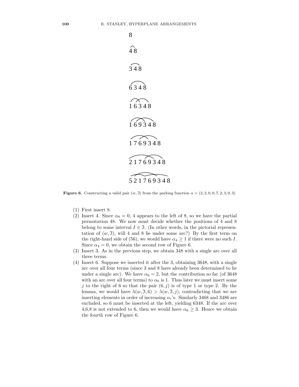

**Figure 6.** Constructing a valid pair  $(w, 0)$  from the parking function  $\alpha = (2, 3, 0, 0, 7, 2, 3, 0, 3)$ 

- (1) First insert 8.
- (2) Insert 4. Since  $\alpha_8 = 0$ , 4 appears to the left of 8, so we have the partial permutation 48. We now must decide whether the positions of 4 and 8 belong to some interval  $I \in \mathfrak{I}$ . (In other words, in the pictorial representation of  $(w, \mathfrak{I})$ , will 4 and 8 lie under some arc?) By the first term on the right-hand side of (56), we would have  $\alpha_4 \geq 1$  if there were no such I. Since  $\alpha_4 = 0$ , we obtain the second row of Figure 6.
- (3) Insert 3. As in the previous step, we obtain 348 with a single arc over all three terms.
- (4) Insert 6. Suppose we inserted it after the 3, obtaining 3648, with a single arc over all four terms (since 3 and 8 have already been determined to lie under a single arc). We have  $\alpha_6 = 2$ , but the contribution so far (of 3648) with an arc over all four terms) to  $\alpha_6$  is 1. Thus later we must insert some j to the right of 6 so that the pair  $(6, j)$  is of type 1 or type 2. By the lemma, we would have  $\lambda(w, \mathfrak{I}, 6) > \lambda(w, \mathfrak{I}, j)$ , contradicting that we are inserting elements in order of increasing  $\alpha_i$ 's. Similarly 3468 and 3486 are excluded, so 6 must be inserted at the left, yielding 6348. If the arc over 4,6,8 is not extended to 6, then we would have  $\alpha_6 \geq 3$ . Hence we obtain the fourth row of Figure 6.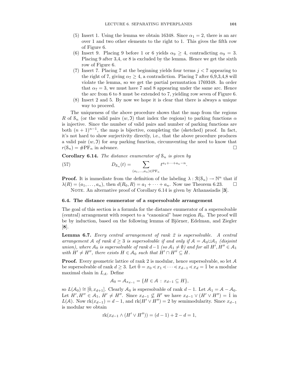- (5) Insert 1. Using the lemma we obtain 16348. Since  $\alpha_1 = 2$ , there is an arc over 1 and two other elements to the right to 1. This gives the fifth row of Figure 6.
- (6) Insert 9. Placing 9 before 1 or 6 yields  $\alpha_9 \geq 4$ , contradicting  $\alpha_9 = 3$ . Placing 9 after 3,4, or 8 is excluded by the lemma. Hence we get the sixth row of Figure 6.
- (7) Insert 7. Placing 7 at the beginning yields four terms  $j < 7$  appearing to the right of 7, giving  $\alpha_7 \geq 4$ , a contradiction. Placing 7 after 6,9,3,4,8 will violate the lemma, so we get the partial permutation 1769348. In order that  $\alpha_7 = 3$ , we must have 7 and 8 appearing under the same arc. Hence the arc from 6 to 8 must be extended to 7, yielding row seven of Figure 6.
- (8) Insert 2 and 5. By now we hope it is clear that there is always a unique way to proceed.

The uniqueness of the above procedure shows that the map from the regions R of  $\mathcal{S}_n$  (or the valid pairs  $(w, \mathfrak{I})$  that index the regions) to parking functions  $\alpha$ is injective. Since the number of valid pairs and number of parking functions are both  $(n + 1)^{n-1}$ , the map is bijective, completing the (sketched) proof. In fact, it's not hard to show surjectivity directly, i.e., that the above procedure produces a valid pair  $(w, 3)$  for any parking function, circumventing the need to know that  $r(\mathcal{S}_n) = \# \mathrm{PF}_n$  in advance.

**Corollary 6.14.** The distance enumerator of  $S_n$  is given by

(57) 
$$
D_{s_n}(t) = \sum_{(a_1,...,a_n) \in \text{PF}_n} t^{a_1 + \dots + a_n - n}.
$$

**Proof.** It is immediate from the definition of the labeling  $\lambda : \mathcal{R}(\mathcal{S}_n) \to \mathbb{N}^n$  that if  $\lambda(R) = (a_1, \ldots, a_n)$ , then  $d(R_0, R) = a_1 + \cdots + a_n$ . Now use Theorem 6.23.  $\Box$ NOTE. An alternative proof of Corollary  $6.14$  is given by Athanasiadis [3].

## 6.4. The distance enumerator of a supersolvable arrangement

The goal of this section is a formula for the distance enumerator of a supersolvable (central) arrangement with respect to a "canonical" base region  $R_0$ . The proof will be by induction, based on the following lemma of Björner, Edelman, and Ziegler [8].

Lemma 6.7. Every central arrangement of rank 2 is supersolvable. A central arrangement A of rank  $d \geq 3$  is supersolvable if and only if  $A = A_0 \cup A_1$  (disjoint union), where  $A_0$  is supersolvable of rank  $d-1$  (so  $A_1 \neq \emptyset$ ) and for all  $H', H'' \in A_1$ with  $H' \neq H''$ , there exists  $H \in \mathcal{A}_0$  such that  $H' \cap H'' \subseteq H$ .

**Proof.** Every geometric lattice of rank 2 is modular, hence supersolvable, so let  $A$ be supersolvable of rank  $d \geq 3$ . Let  $\hat{0} = x_0 \leq x_1 \leq \cdots \leq x_{d-1} \leq x_d = \hat{1}$  be a modular maximal chain in  $L_A$ . Define

$$
\mathcal{A}_0 = \mathcal{A}_{x_{d-1}} = \{H \in \mathcal{A} : x_{d-1} \subseteq H\},\
$$

so  $L(\mathcal{A}_0) \cong [0, x_{d+1}]$ . Clearly  $\mathcal{A}_0$  is supersolvable of rank  $d-1$ . Let  $\mathcal{A}_1 = \mathcal{A} - \mathcal{A}_0$ . Let  $H', H'' \in \mathcal{A}_1, H' \neq H''$ . Since  $x_{d-1} \nsubseteq H'$  we have  $x_{d-1} \vee (H' \vee H'') = \hat{1}$  in  $L(\mathcal{A})$ . Now rk $(x_{d-1}) = d - 1$ , and rk $(H' \vee H'') = 2$  by semimodularity. Since  $x_{d-1}$ is modular we obtain

$$
rk(x_{d-1} \wedge (H' \vee H'')) = (d-1) + 2 - d = 1,
$$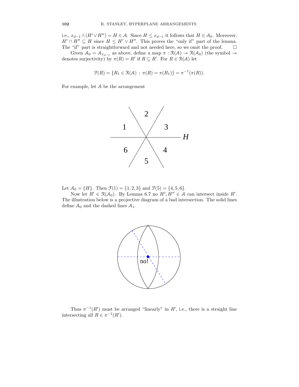i.e.,  $x_{d-1} \wedge (H' \vee H'') = H \in \mathcal{A}$ . Since  $H \leq x_{d-1}$  it follows that  $H \in \mathcal{A}_0$ . Moreover,  $H' \cap H'' \subseteq H$  since  $H \leq H' \vee H''$ . This proves the "only if" part of the lemma. The "if" part is straightforward and not needed here, so we omit the proof.  $\qquad \Box$ 

Given  $A_0 = A_{x_{d-1}}$  as above, define a map  $\pi : \mathcal{R}(A) \to \mathcal{R}(A_0)$  (the symbol  $\to$ denotes surjectivity) by  $\pi(R) = R'$  if  $R \subseteq R'$ . For  $R \in \mathcal{R}(A)$  let

$$
\mathcal{F}(R) = \{ R_1 \in \mathcal{R}(\mathcal{A}) : \pi(R) = \pi(R_1) \} = \pi^{-1}(\pi(R)).
$$

For example, let A be the arrangement



Let  $\mathcal{A}_0 = \{H\}$ . Then  $\mathcal{F}(1) = \{1, 2, 3\}$  and  $\mathcal{F}(5) = \{4, 5, 6\}$ .

Now let  $R' \in \mathcal{R}(\mathcal{A}_0)$ . By Lemma 6.7 no  $H', H'' \in \mathcal{A}$  can intersect inside  $R'$ . The illustration below is a projective diagram of a bad intersection. The solid lines define  $A_0$  and the dashed lines  $A_1$ .



Thus  $\pi^{-1}(R')$  must be arranged "linearly" in R', i.e., there is a straight line intersecting all  $R \in \pi^{-1}(R')$ .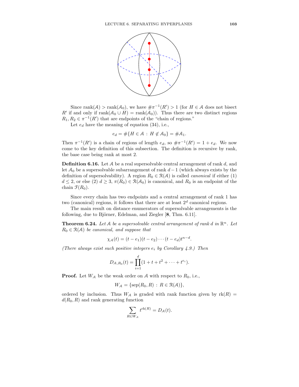

Since rank $(A)$  > rank $(A_0)$ , we have  $\#\pi^{-1}(R') > 1$  (for  $H \in \mathcal{A}$  does not bisect R' if and only if  $\text{rank}(\mathcal{A}_0 \cup H) = \text{rank}(\mathcal{A}_0)$ . Thus there are two distinct regions  $R_1, R_2 \in \pi^{-1}(R')$  that are endpoints of the "chain of regions."

Let  $e_d$  have the meaning of equation (34), i.e.,

$$
e_d = \#\{H \in \mathcal{A} : H \notin \mathcal{A}_0\} = \#\mathcal{A}_1.
$$

Then  $\pi^{-1}(R')$  is a chain of regions of length  $e_d$ , so  $\#\pi^{-1}(R') = 1 + e_d$ . We now come to the key definition of this subsection. The definition is recursive by rank, the base case being rank at most 2.

**Definition 6.16.** Let  $A$  be a real supersolvable central arrangement of rank  $d$ , and let  $A_0$  be a supersolvable subarrangement of rank  $d-1$  (which always exists by the definition of supersolvability). A region  $R_0 \in \mathcal{R}(\mathcal{A})$  is called *canonical* if either (1)  $d \leq 2$ , or else  $(2)$   $d \geq 3$ ,  $\pi(R_0) \in \mathcal{R}(\mathcal{A}_0)$  is canonical, and  $R_0$  is an endpoint of the chain  $\mathfrak{F}(R_0)$ .

Since every chain has two endpoints and a central arrangement of rank 1 has two (canonical) regions, it follows that there are at least  $2<sup>d</sup>$  canonical regions.

The main result on distance enumerators of supersolvable arrangements is the following, due to Björner, Edelman, and Ziegler [8, Thm. 6.11].

**Theorem 6.24.** Let A be a supersolvable central arrangement of rank d in  $\mathbb{R}^n$ . Let  $R_0 \in \mathcal{R}(\mathcal{A})$  be canonical, and suppose that

$$
\chi_{\mathcal{A}}(t) = (t - e_1)(t - e_2) \cdots (t - e_d)t^{n-d}.
$$

(There always exist such positive integers  $e_i$  by Corollary 4.9.) Then

$$
D_{A,R_0}(t) = \prod_{i=1}^d (1+t+t^2 + \cdots + t^{e_i}).
$$

**Proof.** Let  $W_A$  be the weak order on A with respect to  $R_0$ , i.e.,

$$
W_{\mathcal{A}} = \{ \text{sep}(R_0, R) : R \in \mathcal{R}(\mathcal{A}) \},
$$

ordered by inclusion. Thus  $W_A$  is graded with rank function given by  $rk(R)$  =  $d(R_0, R)$  and rank generating function

$$
\sum_{R \in W_{\mathcal{A}}} t^{\operatorname{rk}(R)} = D_{\mathcal{A}}(t).
$$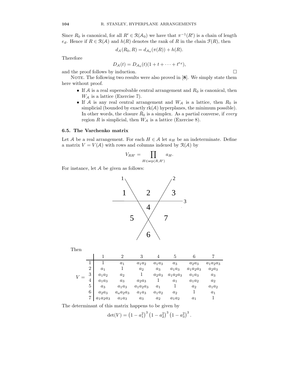Since  $R_0$  is canonical, for all  $R' \in \mathcal{R}(\mathcal{A}_0)$  we have that  $\pi^{-1}(R')$  is a chain of length  $e_d$ . Hence if  $R \in \mathcal{R}(\mathcal{A})$  and  $h(R)$  denotes the rank of R in the chain  $\mathcal{F}(R)$ , then

$$
d_{\mathcal{A}}(R_0, R) = d_{\mathcal{A}_0}(\pi(R)) + h(R).
$$

Therefore

$$
D_{\mathcal{A}}(t) = D_{\mathcal{A}_0}(t)(1 + t + \cdots + t^{e_d}),
$$

and the proof follows by induction.  $\Box$ 

NOTE. The following two results were also proved in  $[8]$ . We simply state them here without proof.

- If  $A$  is a real supersolvable central arrangement and  $R_0$  is canonical, then  $W_A$  is a lattice (Exercise 7).
- If A is any real central arrangement and  $W_A$  is a lattice, then  $R_0$  is simplicial (bounded by exactly  $rk(A)$  hyperplanes, the minimum possible). In other words, the closure  $\bar{R}_0$  is a simplex. As a partial converse, if *every* region R is simplicial, then  $W_A$  is a lattice (Exercise 8).

## 6.5. The Varchenko matrix

Let A be a real arrangement. For each  $H \in \mathcal{A}$  let  $a_H$  be an indeterminate. Define a matrix  $V = V(\mathcal{A})$  with rows and columns indexed by  $\mathcal{R}(\mathcal{A})$  by

$$
V_{RR'} = \prod_{H \in \text{sep}(R,R')} a_H.
$$

For instance, let A be given as follows:



 $V =$ 1 2 3 4 5 6 7  $1 \quad 1 \quad a_1 \quad a_1 a_2 \quad a_1 a_3 \quad a_3 \quad a_2 a_3 \quad a_1 a_2 a_3$  $2 \begin{array}{|l|c|c|c|c|} \hline a_1 &1 & a_2 & a_3 & a_1a_3 & a_1a_2a_3 & a_2a_3 \ \hline \end{array}$  $3 \begin{array}{|l} a_1a_2 \end{array}$  a<sub>2</sub>  $a_1$  a<sub>2</sub> $a_3$  a<sub>1</sub> $a_2a_3$  a<sub>1</sub> $a_3$  a<sub>3</sub>  $4 \begin{array}{|l} a_1a_3 \end{array}$  a<sub>3</sub> a<sub>2</sub>a<sub>3</sub> 1 a<sub>1</sub> a<sub>1</sub>a<sub>2</sub> a<sub>2</sub>  $5 \begin{array}{|l|} 5 & a_3 & a_1a_3 & a_1a_2a_3 & a_1 & 1 & a_2 & a_1a_2 \end{array}$  $6 \begin{array}{|l} 6 & a_2a_3 & a_a a_2a_3 & a_1a_3 & a_1a_2 & a_2 & 1 \end{array}$  a<sub>1</sub>  $7 \begin{array}{|l} a_1a_2a_3 \quad a_1a_3 \quad a_3 \quad a_2 \quad a_1a_2 \quad a_1 \quad 1 \end{array}$ 

The determinant of this matrix happens to be given by

$$
\det(V) = (1 - a_1^2)^3 (1 - a_2^2)^3 (1 - a_3^2)^3.
$$

Then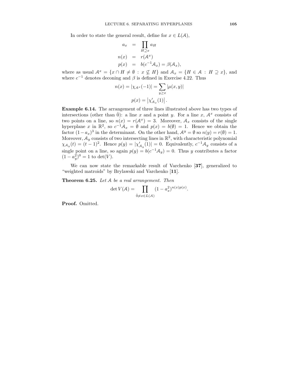In order to state the general result, define for  $x \in L(\mathcal{A})$ ,

$$
a_x = \prod_{H \supseteq x} a_H
$$
  
\n
$$
n(x) = r(A^x)
$$
  
\n
$$
p(x) = b(c^{-1}A_x) = \beta(A_x),
$$

where as usual  $\mathcal{A}^x = \{x \cap H \neq \emptyset : x \not\subseteq H\}$  and  $\mathcal{A}_x = \{H \in \mathcal{A} : H \supseteq x\}$ , and where  $c^{-1}$  denotes deconing and  $\beta$  is defined in Exercise 4.22. Thus

$$
n(x) = |\chi_{A^x}(-1)| = \sum_{y \ge x} |\mu(x, y)|
$$

$$
p(x) = |\chi'_{A_x}(1)|.
$$

Example 6.14. The arrangement of three lines illustrated above has two types of intersections (other than  $\hat{0}$ ): a line x and a point y. For a line x,  $A^x$  consists of two points on a line, so  $n(x) = r(A^x) = 3$ . Moreover,  $A_x$  consists of the single hyperplane x in  $\mathbb{R}^2$ , so  $c^{-1}A_x = \emptyset$  and  $p(x) = b(\emptyset) = 1$ . Hence we obtain the factor  $(1-a_x)^3$  in the determinant. On the other hand,  $\mathcal{A}^y = \emptyset$  so  $n(y) = r(\emptyset) = 1$ . Moreover,  $A_y$  consists of two intersecting lines in  $\mathbb{R}^2$ , with characteristic polynomial  $\chi_{A_y}(t) = (t-1)^2$ . Hence  $p(y) = |\chi'_{A_y}(1)| = 0$ . Equivalently,  $c^{-1}A_y$  consists of a single point on a line, so again  $p(y) = b(c^{-1}A_y) = 0$ . Thus y contributes a factor  $(1 - a_y^2)^0 = 1$  to  $\det(V)$ .

We can now state the remarkable result of Varchenko [37], generalized to "weighted matroids" by Brylawski and Varchenko [11].

Theorem 6.25. Let A be a real arrangement. Then

$$
\det V(\mathcal{A}) = \prod_{\hat{0} \neq x \in L(\mathcal{A})} (1 - a_x^2)^{n(x)p(x)}.
$$

Proof. Omitted.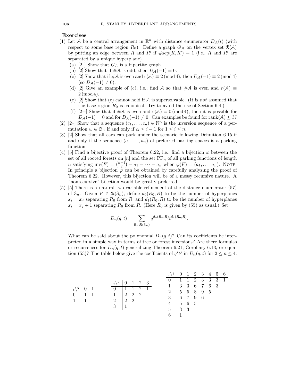## Exercises

- (1) Let A be a central arrangement in  $\mathbb{R}^n$  with distance enumerator  $D_{\mathcal{A}}(t)$  (with respect to some base region  $R_0$ ). Define a graph  $G_A$  on the vertex set  $\mathcal{R}(A)$ by putting an edge between R and R' if  $\#sep(R, R') = 1$  (i.e., R and R' are separated by a unique hyperplane).
	- (a) [2–] Show that  $G_A$  is a bipartite graph.
	- (b) [2] Show that if  $\#\mathcal{A}$  is odd, then  $D_{\mathcal{A}}(-1) = 0$ .
	- (c) [2] Show that if  $\#\mathcal{A}$  is even and  $r(\mathcal{A}) \equiv 2 \pmod{4}$ , then  $D_{\mathcal{A}}(-1) \equiv 2 \pmod{4}$ (so  $D_{\mathcal{A}}(-1) \neq 0$ ).
	- (d) [2] Give an example of (c), i.e., find A so that  $\#\mathcal{A}$  is even and  $r(\mathcal{A}) \equiv$ 2 (mod 4).
	- (e) [2] Show that (c) cannot hold if  $A$  is supersolvable. (It is *not* assumed that the base region  $R_0$  is canonical. Try to avoid the use of Section 6.4.)
	- (f) [2+] Show that if  $\#\mathcal{A}$  is even and  $r(\mathcal{A}) \equiv 0 \pmod{4}$ , then it is possible for  $D_{\mathcal{A}}(-1) = 0$  and for  $D_{\mathcal{A}}(-1) \neq 0$ . Can examples be found for rank(A)  $\leq 3$ ?
- (2) [2–] Show that a sequence  $(c_1, \ldots, c_n) \in \mathbb{N}^n$  is the inversion sequence of a permutation  $w \in \mathfrak{S}_n$  if and only if  $c_i \leq i - 1$  for  $1 \leq i \leq n$ .
- (3) [2] Show that all cars can park under the scenario following Definition 6.15 if and only if the sequence  $(a_1, \ldots, a_n)$  of preferred parking spaces is a parking function.
- (4) [5] Find a bijective proof of Theorem 6.22, i.e., find a bijection  $\varphi$  between the set of all rooted forests on  $[n]$  and the set  $PF_n$  of all parking functions of length *n* satisfying  $inv(F) = \binom{n+1}{2} - a_1 - \cdots - a_n$  when  $\varphi(F) = (a_1, \ldots, a_n)$ . NOTE. In principle a bijection  $\varphi$  can be obtained by carefully analyzing the proof of Theorem 6.22. However, this bijection will be of a messy recursive nature. A "nonrecursive" bijection would be greatly preferred.
- (5) [5] There is a natural two-variable refinement of the distance enumerator (57) of  $S_n$ . Given  $R \in \mathcal{R}(S_n)$ , define  $d_0(R_0, R)$  to be the number of hyperplanes  $x_i = x_j$  separating  $R_0$  from R, and  $d_1(R_0, R)$  to be the number of hyperplanes  $x_i = x_j + 1$  separating  $R_0$  from R. (Here  $R_0$  is given by (55) as usual.) Set

$$
D_n(q,t) = \sum_{R \in \mathcal{R}(\mathcal{S}_n)} q^{d_0(R_0,R)} t^{d_1(R_0,R)}.
$$

What can be said about the polynomial  $D_n(q,t)$ ? Can its coefficients be interpreted in a simple way in terms of tree or forest inversions? Are there formulas or recurrences for  $D_n(q,t)$  generalizing Theorem 6.21, Corollary 6.13, or equation (53)? The table below give the coefficients of  $q^i t^j$  in  $D_n(q, t)$  for  $2 \le n \le 4$ .

t\ <sup>q</sup> 0 1 0 1 1 1 1 t\ <sup>q</sup> 0 1 2 3 0 1 1 2 1 1 2 2 2 2 2 2 3 1 t\ <sup>q</sup> 0 1 2 3 4 5 6 0 1 1 2 3 3 3 1 1 3 3 6 7 6 3 2 5 5 8 9 5 3 6 7 9 6 4 5 6 5 5 3 3 6 1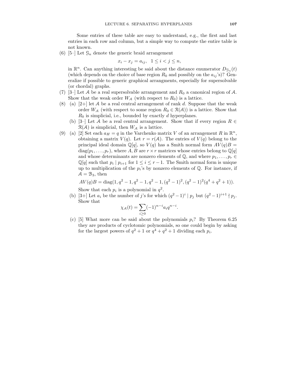Some entries of these table are easy to understand, e.g., the first and last entries in each row and column, but a simple way to compute the entire table is not known.

(6) [5–] Let  $\mathcal{G}_n$  denote the generic braid arrangement

 $x_i - x_j = a_{ij}, \ \ 1 \leq i < j \leq n,$ 

in  $\mathbb{R}^n$ . Can anything interesting be said about the distance enumerator  $D_{\mathcal{G}_n}(t)$ (which depends on the choice of base region  $R_0$  and possibly on the  $a_{ij}$ 's)? Generalize if possible to generic graphical arrangments, especially for supersolvable (or chordal) graphs.

- (7) [3–] Let A be a real supersolvable arrangement and  $R_0$  a canonical region of A. Show that the weak order  $W_A$  (with respect to  $R_0$ ) is a lattice.
- (8) (a)  $[2+]$  let A be a real central arrangement of rank d. Suppose that the weak order  $W_A$  (with respect to some region  $R_0 \in \mathcal{R}(A)$ ) is a lattice. Show that  $R_0$  is simplicial, i.e., bounded by exactly d hyperplanes.
	- (b) [3–] Let A be a real central arrangement. Show that if every region  $R \in$  $\mathcal{R}(\mathcal{A})$  is simplicial, then  $W_{\mathcal{A}}$  is a lattice.
- (9) (a) [2] Set each  $a_H = q$  in the Varchenko matrix V of an arrangement R in  $\mathbb{R}^n$ , obtaining a matrix  $V(q)$ . Let  $r = r(A)$ . The entries of  $V(q)$  belong to the principal ideal domain  $\mathbb{Q}[q]$ , so  $V(q)$  has a Smith normal form  $AV(q)B =$  $diag(p_1, \ldots, p_r)$ , where A, B are  $r \times r$  matrices whose entries belong to  $\mathbb{Q}[q]$ and whose determinants are nonzero elements of  $\mathbb{Q}$ , and where  $p_1, \ldots, p_r \in$  $\mathbb{Q}[q]$  such that  $p_i | p_{i+1}$  for  $1 \leq i \leq r-1$ . The Smith normal form is unique up to multiplication of the  $p_i$ 's by nonzero elements of  $\mathbb Q$ . For instance, if  $A = B_3$ , then

$$
AV(q)B = diag(1, q2 - 1, q2 - 1, q2 - 1, (q2 - 1)2, (q2 - 1)2(q4 + q2 + 1)).
$$

Show that each  $p_i$  is a polynomial in  $q^2$ .

(b) [3+] Let  $a_i$  be the number of j's for which  $(q^2 - 1)^i | p_j$  but  $(q^2 - 1)^{i+1} | p_j$ . Show that

$$
\chi_{\mathcal{A}}(t) = \sum_{i \ge 0} (-1)^{n-i} a_i q^{n-i}.
$$

(c) [5] What more can be said about the polynomials  $p_i$ ? By Theorem 6.25 they are products of cyclotomic polynomials, so one could begin by asking for the largest powers of  $q^2 + 1$  or  $q^4 + q^2 + 1$  dividing each  $p_i$ .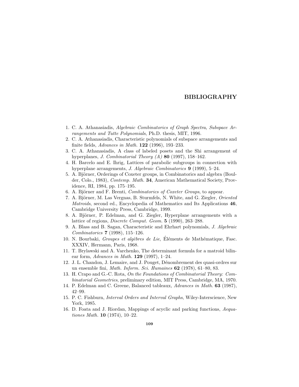## BIBLIOGRAPHY

- 1. C. A. Athanasiadis, Algebraic Combinatorics of Graph Spectra, Subspace Arrangements and Tutte Polynomials, Ph.D. thesis, MIT, 1996.
- 2. C. A. Athanasiadis, Characteristic polynomials of subspace arrangements and finite fields, Advances in Math. 122 (1996), 193–233.
- 3. C. A. Athanasiadis, A class of labeled posets and the Shi arrangement of hyperplanes, *J. Combinatorial Theory (A)* **80** (1997), 158-162.
- 4. H. Barcelo and E. Ihrig, Lattices of parabolic subgroups in connection with hyperplane arrangements, J. Algebraic Combinatorics 9 (1999), 5-24.
- 5. A. Björner, Orderings of Coxeter groups, in Combinatorics and algebra (Boulder, Colo., 1983), Contemp. Math. 34, American Mathematical Society, Providence, RI, 1984, pp. 175–195.
- 6. A. Björner and F. Brenti, *Combinatorics of Coxeter Groups*, to appear.
- 7. A. Björner, M. Las Vergnas, B. Sturmfels, N. White, and G. Ziegler, Oriented Matroids, second ed., Encyclopedia of Mathematics and Its Applications 46, Cambridge University Press, Cambridge, 1999.
- 8. A. Björner, P. Edelman, and G. Ziegler, Hyperplane arrangements with a lattice of regions, *Discrete Comput. Geom.* 5 (1990), 263-288.
- 9. A. Blass and B. Sagan, Characteristic and Ehrhart polynomials, J. Algebraic Combinatorics 7 (1998), 115–126.
- 10. N. Bourbaki, Groupes et algèbres de Lie, Éléments de Mathématique, Fasc. XXXIV, Hermann, Paris, 1968.
- 11. T. Brylawski and A. Varchenko, The determinant formula for a matroid bilinear form, Advances in Math.  $129$  (1997), 1–24.
- 12. J. L. Chandon, J. Lemaire, and J. Pouget, D´enombrement des quasi-ordres sur un ensemble fini, Math. Inform. Sci. Humaines 62 (1978), 61–80, 83.
- 13. H. Crapo and G.-C. Rota, On the Foundations of Combinatorial Theory: Combinatorial Geometries, preliminary edition, MIT Press, Cambridge, MA, 1970.
- 14. P. Edelman and C. Greene, Balanced tableaux, Advances in Math. 63 (1987), 42–99.
- 15. P. C. Fishburn, Interval Orders and Interval Graphs, Wiley-Interscience, New York, 1985.
- 16. D. Foata and J. Riordan, Mappings of acyclic and parking functions, Aequationes Math. 10 (1974), 10–22.